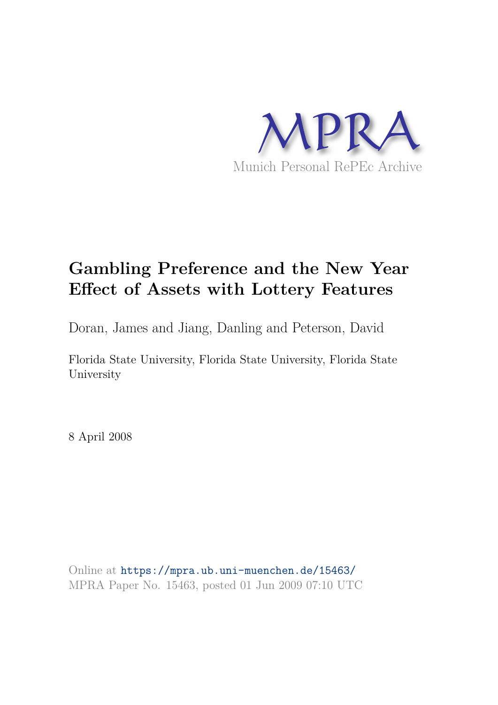

# **Gambling Preference and the New Year Effect of Assets with Lottery Features**

Doran, James and Jiang, Danling and Peterson, David

Florida State University, Florida State University, Florida State University

8 April 2008

Online at https://mpra.ub.uni-muenchen.de/15463/ MPRA Paper No. 15463, posted 01 Jun 2009 07:10 UTC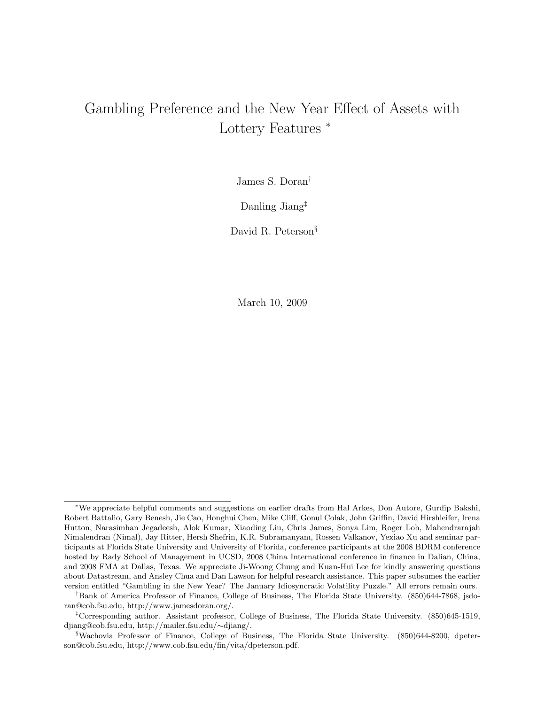# Gambling Preference and the New Year Effect of Assets with Lottery Features <sup>∗</sup>

James S. Doran†

Danling Jiang‡

David R. Peterson§

March 10, 2009

<sup>∗</sup>We appreciate helpful comments and suggestions on earlier drafts from Hal Arkes, Don Autore, Gurdip Bakshi, Robert Battalio, Gary Benesh, Jie Cao, Honghui Chen, Mike Cliff, Gonul Colak, John Griffin, David Hirshleifer, Irena Hutton, Narasimhan Jegadeesh, Alok Kumar, Xiaoding Liu, Chris James, Sonya Lim, Roger Loh, Mahendrarajah Nimalendran (Nimal), Jay Ritter, Hersh Shefrin, K.R. Subramanyam, Rossen Valkanov, Yexiao Xu and seminar participants at Florida State University and University of Florida, conference participants at the 2008 BDRM conference hosted by Rady School of Management in UCSD, 2008 China International conference in finance in Dalian, China, and 2008 FMA at Dallas, Texas. We appreciate Ji-Woong Chung and Kuan-Hui Lee for kindly answering questions about Datastream, and Ansley Chua and Dan Lawson for helpful research assistance. This paper subsumes the earlier version entitled "Gambling in the New Year? The January Idiosyncratic Volatility Puzzle." All errors remain ours.

<sup>†</sup>Bank of America Professor of Finance, College of Business, The Florida State University. (850)644-7868, jsdoran@cob.fsu.edu, http://www.jamesdoran.org/.

<sup>‡</sup>Corresponding author. Assistant professor, College of Business, The Florida State University. (850)645-1519, djiang@cob.fsu.edu, http://mailer.fsu.edu/∼djiang/.

<sup>§</sup>Wachovia Professor of Finance, College of Business, The Florida State University. (850)644-8200, dpeterson@cob.fsu.edu, http://www.cob.fsu.edu/fin/vita/dpeterson.pdf.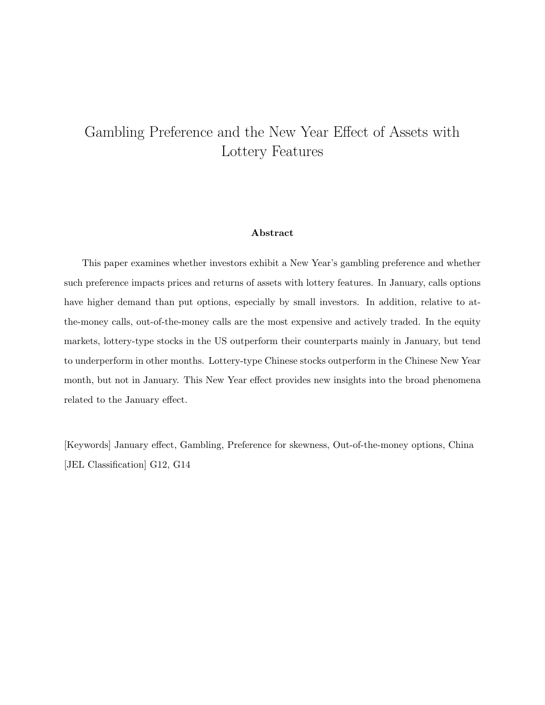# Gambling Preference and the New Year Effect of Assets with Lottery Features

# Abstract

This paper examines whether investors exhibit a New Year's gambling preference and whether such preference impacts prices and returns of assets with lottery features. In January, calls options have higher demand than put options, especially by small investors. In addition, relative to atthe-money calls, out-of-the-money calls are the most expensive and actively traded. In the equity markets, lottery-type stocks in the US outperform their counterparts mainly in January, but tend to underperform in other months. Lottery-type Chinese stocks outperform in the Chinese New Year month, but not in January. This New Year effect provides new insights into the broad phenomena related to the January effect.

[Keywords] January effect, Gambling, Preference for skewness, Out-of-the-money options, China [JEL Classification] G12, G14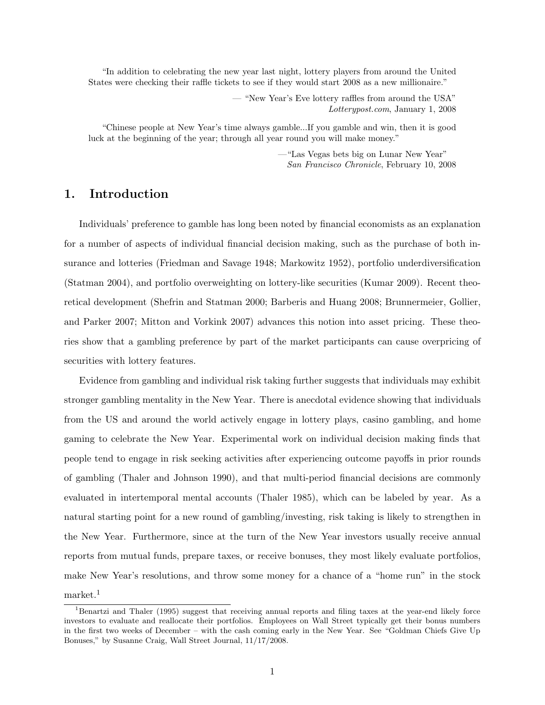"In addition to celebrating the new year last night, lottery players from around the United States were checking their raffle tickets to see if they would start 2008 as a new millionaire."

> — "New Year's Eve lottery raffles from around the USA" Lotterypost.com, January 1, 2008

"Chinese people at New Year's time always gamble...If you gamble and win, then it is good luck at the beginning of the year; through all year round you will make money."

> —"Las Vegas bets big on Lunar New Year" San Francisco Chronicle, February 10, 2008

# 1. Introduction

Individuals' preference to gamble has long been noted by financial economists as an explanation for a number of aspects of individual financial decision making, such as the purchase of both insurance and lotteries (Friedman and Savage 1948; Markowitz 1952), portfolio underdiversification (Statman 2004), and portfolio overweighting on lottery-like securities (Kumar 2009). Recent theoretical development (Shefrin and Statman 2000; Barberis and Huang 2008; Brunnermeier, Gollier, and Parker 2007; Mitton and Vorkink 2007) advances this notion into asset pricing. These theories show that a gambling preference by part of the market participants can cause overpricing of securities with lottery features.

Evidence from gambling and individual risk taking further suggests that individuals may exhibit stronger gambling mentality in the New Year. There is anecdotal evidence showing that individuals from the US and around the world actively engage in lottery plays, casino gambling, and home gaming to celebrate the New Year. Experimental work on individual decision making finds that people tend to engage in risk seeking activities after experiencing outcome payoffs in prior rounds of gambling (Thaler and Johnson 1990), and that multi-period financial decisions are commonly evaluated in intertemporal mental accounts (Thaler 1985), which can be labeled by year. As a natural starting point for a new round of gambling/investing, risk taking is likely to strengthen in the New Year. Furthermore, since at the turn of the New Year investors usually receive annual reports from mutual funds, prepare taxes, or receive bonuses, they most likely evaluate portfolios, make New Year's resolutions, and throw some money for a chance of a "home run" in the stock market.<sup>1</sup>

<sup>&</sup>lt;sup>1</sup>Benartzi and Thaler (1995) suggest that receiving annual reports and filing taxes at the year-end likely force investors to evaluate and reallocate their portfolios. Employees on Wall Street typically get their bonus numbers in the first two weeks of December – with the cash coming early in the New Year. See "Goldman Chiefs Give Up Bonuses," by Susanne Craig, Wall Street Journal, 11/17/2008.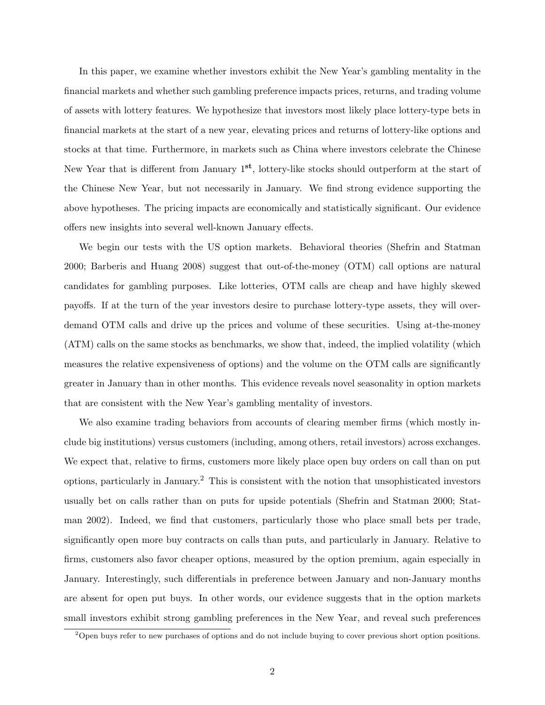In this paper, we examine whether investors exhibit the New Year's gambling mentality in the financial markets and whether such gambling preference impacts prices, returns, and trading volume of assets with lottery features. We hypothesize that investors most likely place lottery-type bets in financial markets at the start of a new year, elevating prices and returns of lottery-like options and stocks at that time. Furthermore, in markets such as China where investors celebrate the Chinese New Year that is different from January 1<sup>st</sup>, lottery-like stocks should outperform at the start of the Chinese New Year, but not necessarily in January. We find strong evidence supporting the above hypotheses. The pricing impacts are economically and statistically significant. Our evidence offers new insights into several well-known January effects.

We begin our tests with the US option markets. Behavioral theories (Shefrin and Statman 2000; Barberis and Huang 2008) suggest that out-of-the-money (OTM) call options are natural candidates for gambling purposes. Like lotteries, OTM calls are cheap and have highly skewed payoffs. If at the turn of the year investors desire to purchase lottery-type assets, they will overdemand OTM calls and drive up the prices and volume of these securities. Using at-the-money (ATM) calls on the same stocks as benchmarks, we show that, indeed, the implied volatility (which measures the relative expensiveness of options) and the volume on the OTM calls are significantly greater in January than in other months. This evidence reveals novel seasonality in option markets that are consistent with the New Year's gambling mentality of investors.

We also examine trading behaviors from accounts of clearing member firms (which mostly include big institutions) versus customers (including, among others, retail investors) across exchanges. We expect that, relative to firms, customers more likely place open buy orders on call than on put options, particularly in January.<sup>2</sup> This is consistent with the notion that unsophisticated investors usually bet on calls rather than on puts for upside potentials (Shefrin and Statman 2000; Statman 2002). Indeed, we find that customers, particularly those who place small bets per trade, significantly open more buy contracts on calls than puts, and particularly in January. Relative to firms, customers also favor cheaper options, measured by the option premium, again especially in January. Interestingly, such differentials in preference between January and non-January months are absent for open put buys. In other words, our evidence suggests that in the option markets small investors exhibit strong gambling preferences in the New Year, and reveal such preferences

<sup>&</sup>lt;sup>2</sup>Open buys refer to new purchases of options and do not include buying to cover previous short option positions.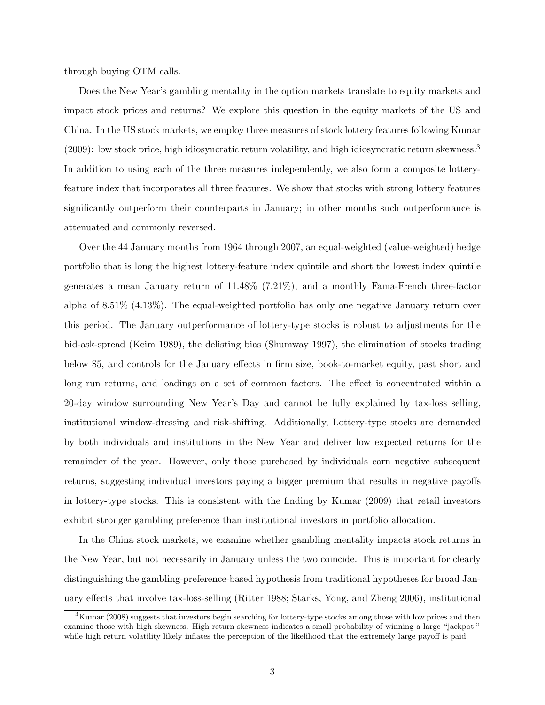through buying OTM calls.

Does the New Year's gambling mentality in the option markets translate to equity markets and impact stock prices and returns? We explore this question in the equity markets of the US and China. In the US stock markets, we employ three measures of stock lottery features following Kumar (2009): low stock price, high idiosyncratic return volatility, and high idiosyncratic return skewness.<sup>3</sup> In addition to using each of the three measures independently, we also form a composite lotteryfeature index that incorporates all three features. We show that stocks with strong lottery features significantly outperform their counterparts in January; in other months such outperformance is attenuated and commonly reversed.

Over the 44 January months from 1964 through 2007, an equal-weighted (value-weighted) hedge portfolio that is long the highest lottery-feature index quintile and short the lowest index quintile generates a mean January return of 11.48% (7.21%), and a monthly Fama-French three-factor alpha of 8.51% (4.13%). The equal-weighted portfolio has only one negative January return over this period. The January outperformance of lottery-type stocks is robust to adjustments for the bid-ask-spread (Keim 1989), the delisting bias (Shumway 1997), the elimination of stocks trading below \$5, and controls for the January effects in firm size, book-to-market equity, past short and long run returns, and loadings on a set of common factors. The effect is concentrated within a 20-day window surrounding New Year's Day and cannot be fully explained by tax-loss selling, institutional window-dressing and risk-shifting. Additionally, Lottery-type stocks are demanded by both individuals and institutions in the New Year and deliver low expected returns for the remainder of the year. However, only those purchased by individuals earn negative subsequent returns, suggesting individual investors paying a bigger premium that results in negative payoffs in lottery-type stocks. This is consistent with the finding by Kumar (2009) that retail investors exhibit stronger gambling preference than institutional investors in portfolio allocation.

In the China stock markets, we examine whether gambling mentality impacts stock returns in the New Year, but not necessarily in January unless the two coincide. This is important for clearly distinguishing the gambling-preference-based hypothesis from traditional hypotheses for broad January effects that involve tax-loss-selling (Ritter 1988; Starks, Yong, and Zheng 2006), institutional

 ${}^{3}$ Kumar (2008) suggests that investors begin searching for lottery-type stocks among those with low prices and then examine those with high skewness. High return skewness indicates a small probability of winning a large "jackpot," while high return volatility likely inflates the perception of the likelihood that the extremely large payoff is paid.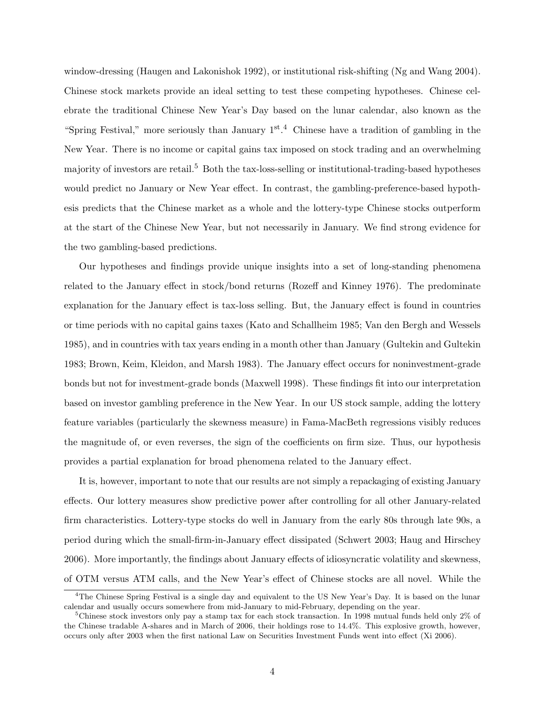window-dressing (Haugen and Lakonishok 1992), or institutional risk-shifting (Ng and Wang 2004). Chinese stock markets provide an ideal setting to test these competing hypotheses. Chinese celebrate the traditional Chinese New Year's Day based on the lunar calendar, also known as the "Spring Festival," more seriously than January 1<sup>st</sup>.<sup>4</sup> Chinese have a tradition of gambling in the New Year. There is no income or capital gains tax imposed on stock trading and an overwhelming majority of investors are retail.<sup>5</sup> Both the tax-loss-selling or institutional-trading-based hypotheses would predict no January or New Year effect. In contrast, the gambling-preference-based hypothesis predicts that the Chinese market as a whole and the lottery-type Chinese stocks outperform at the start of the Chinese New Year, but not necessarily in January. We find strong evidence for the two gambling-based predictions.

Our hypotheses and findings provide unique insights into a set of long-standing phenomena related to the January effect in stock/bond returns (Rozeff and Kinney 1976). The predominate explanation for the January effect is tax-loss selling. But, the January effect is found in countries or time periods with no capital gains taxes (Kato and Schallheim 1985; Van den Bergh and Wessels 1985), and in countries with tax years ending in a month other than January (Gultekin and Gultekin 1983; Brown, Keim, Kleidon, and Marsh 1983). The January effect occurs for noninvestment-grade bonds but not for investment-grade bonds (Maxwell 1998). These findings fit into our interpretation based on investor gambling preference in the New Year. In our US stock sample, adding the lottery feature variables (particularly the skewness measure) in Fama-MacBeth regressions visibly reduces the magnitude of, or even reverses, the sign of the coefficients on firm size. Thus, our hypothesis provides a partial explanation for broad phenomena related to the January effect.

It is, however, important to note that our results are not simply a repackaging of existing January effects. Our lottery measures show predictive power after controlling for all other January-related firm characteristics. Lottery-type stocks do well in January from the early 80s through late 90s, a period during which the small-firm-in-January effect dissipated (Schwert 2003; Haug and Hirschey 2006). More importantly, the findings about January effects of idiosyncratic volatility and skewness, of OTM versus ATM calls, and the New Year's effect of Chinese stocks are all novel. While the

<sup>&</sup>lt;sup>4</sup>The Chinese Spring Festival is a single day and equivalent to the US New Year's Day. It is based on the lunar calendar and usually occurs somewhere from mid-January to mid-February, depending on the year.

<sup>&</sup>lt;sup>5</sup>Chinese stock investors only pay a stamp tax for each stock transaction. In 1998 mutual funds held only  $2\%$  of the Chinese tradable A-shares and in March of 2006, their holdings rose to 14.4%. This explosive growth, however, occurs only after 2003 when the first national Law on Securities Investment Funds went into effect (Xi 2006).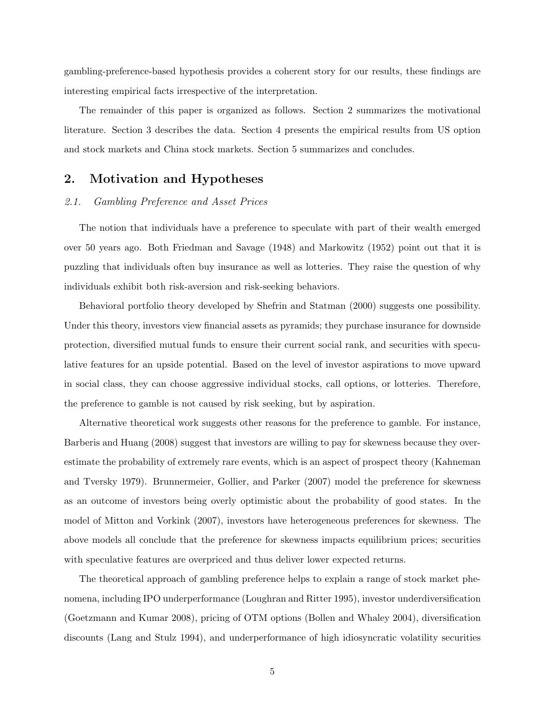gambling-preference-based hypothesis provides a coherent story for our results, these findings are interesting empirical facts irrespective of the interpretation.

The remainder of this paper is organized as follows. Section 2 summarizes the motivational literature. Section 3 describes the data. Section 4 presents the empirical results from US option and stock markets and China stock markets. Section 5 summarizes and concludes.

# 2. Motivation and Hypotheses

# 2.1. Gambling Preference and Asset Prices

The notion that individuals have a preference to speculate with part of their wealth emerged over 50 years ago. Both Friedman and Savage (1948) and Markowitz (1952) point out that it is puzzling that individuals often buy insurance as well as lotteries. They raise the question of why individuals exhibit both risk-aversion and risk-seeking behaviors.

Behavioral portfolio theory developed by Shefrin and Statman (2000) suggests one possibility. Under this theory, investors view financial assets as pyramids; they purchase insurance for downside protection, diversified mutual funds to ensure their current social rank, and securities with speculative features for an upside potential. Based on the level of investor aspirations to move upward in social class, they can choose aggressive individual stocks, call options, or lotteries. Therefore, the preference to gamble is not caused by risk seeking, but by aspiration.

Alternative theoretical work suggests other reasons for the preference to gamble. For instance, Barberis and Huang (2008) suggest that investors are willing to pay for skewness because they overestimate the probability of extremely rare events, which is an aspect of prospect theory (Kahneman and Tversky 1979). Brunnermeier, Gollier, and Parker (2007) model the preference for skewness as an outcome of investors being overly optimistic about the probability of good states. In the model of Mitton and Vorkink (2007), investors have heterogeneous preferences for skewness. The above models all conclude that the preference for skewness impacts equilibrium prices; securities with speculative features are overpriced and thus deliver lower expected returns.

The theoretical approach of gambling preference helps to explain a range of stock market phenomena, including IPO underperformance (Loughran and Ritter 1995), investor underdiversification (Goetzmann and Kumar 2008), pricing of OTM options (Bollen and Whaley 2004), diversification discounts (Lang and Stulz 1994), and underperformance of high idiosyncratic volatility securities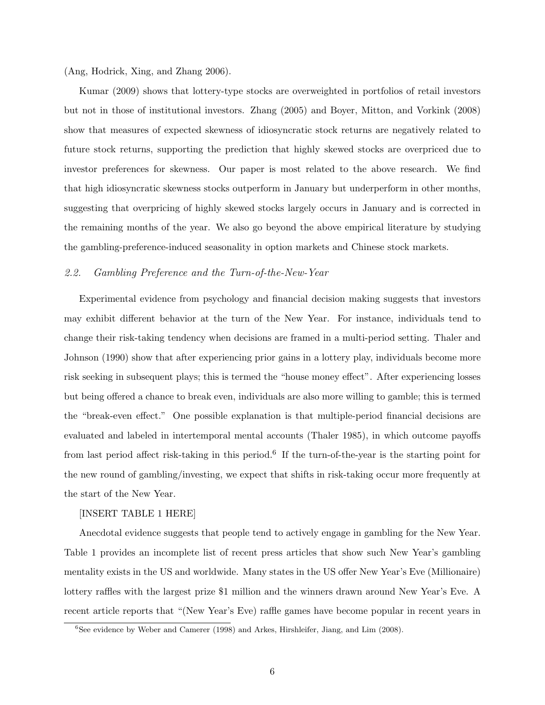(Ang, Hodrick, Xing, and Zhang 2006).

Kumar (2009) shows that lottery-type stocks are overweighted in portfolios of retail investors but not in those of institutional investors. Zhang (2005) and Boyer, Mitton, and Vorkink (2008) show that measures of expected skewness of idiosyncratic stock returns are negatively related to future stock returns, supporting the prediction that highly skewed stocks are overpriced due to investor preferences for skewness. Our paper is most related to the above research. We find that high idiosyncratic skewness stocks outperform in January but underperform in other months, suggesting that overpricing of highly skewed stocks largely occurs in January and is corrected in the remaining months of the year. We also go beyond the above empirical literature by studying the gambling-preference-induced seasonality in option markets and Chinese stock markets.

# 2.2. Gambling Preference and the Turn-of-the-New-Year

Experimental evidence from psychology and financial decision making suggests that investors may exhibit different behavior at the turn of the New Year. For instance, individuals tend to change their risk-taking tendency when decisions are framed in a multi-period setting. Thaler and Johnson (1990) show that after experiencing prior gains in a lottery play, individuals become more risk seeking in subsequent plays; this is termed the "house money effect". After experiencing losses but being offered a chance to break even, individuals are also more willing to gamble; this is termed the "break-even effect." One possible explanation is that multiple-period financial decisions are evaluated and labeled in intertemporal mental accounts (Thaler 1985), in which outcome payoffs from last period affect risk-taking in this period.<sup>6</sup> If the turn-of-the-year is the starting point for the new round of gambling/investing, we expect that shifts in risk-taking occur more frequently at the start of the New Year.

## [INSERT TABLE 1 HERE]

Anecdotal evidence suggests that people tend to actively engage in gambling for the New Year. Table 1 provides an incomplete list of recent press articles that show such New Year's gambling mentality exists in the US and worldwide. Many states in the US offer New Year's Eve (Millionaire) lottery raffles with the largest prize \$1 million and the winners drawn around New Year's Eve. A recent article reports that "(New Year's Eve) raffle games have become popular in recent years in

<sup>&</sup>lt;sup>6</sup>See evidence by Weber and Camerer (1998) and Arkes, Hirshleifer, Jiang, and Lim (2008).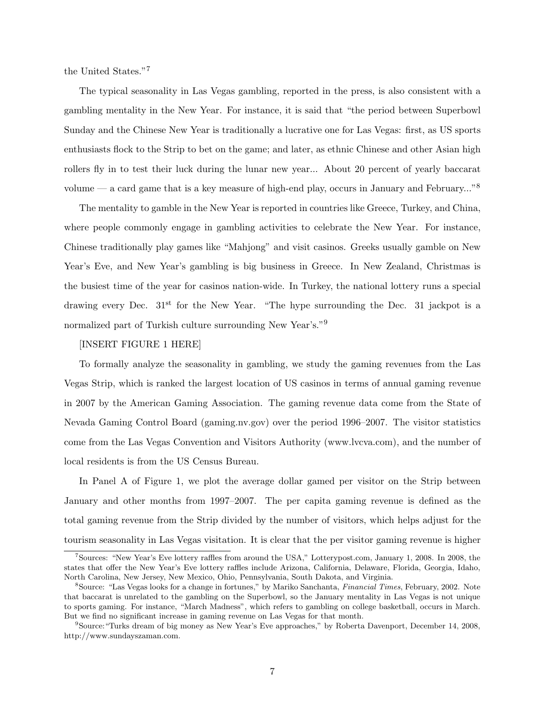the United States."<sup>7</sup>

The typical seasonality in Las Vegas gambling, reported in the press, is also consistent with a gambling mentality in the New Year. For instance, it is said that "the period between Superbowl Sunday and the Chinese New Year is traditionally a lucrative one for Las Vegas: first, as US sports enthusiasts flock to the Strip to bet on the game; and later, as ethnic Chinese and other Asian high rollers fly in to test their luck during the lunar new year... About 20 percent of yearly baccarat volume — a card game that is a key measure of high-end play, occurs in January and February..."<sup>8</sup>

The mentality to gamble in the New Year is reported in countries like Greece, Turkey, and China, where people commonly engage in gambling activities to celebrate the New Year. For instance, Chinese traditionally play games like "Mahjong" and visit casinos. Greeks usually gamble on New Year's Eve, and New Year's gambling is big business in Greece. In New Zealand, Christmas is the busiest time of the year for casinos nation-wide. In Turkey, the national lottery runs a special drawing every Dec.  $31<sup>st</sup>$  for the New Year. "The hype surrounding the Dec. 31 jackpot is a normalized part of Turkish culture surrounding New Year's."<sup>9</sup>

# [INSERT FIGURE 1 HERE]

To formally analyze the seasonality in gambling, we study the gaming revenues from the Las Vegas Strip, which is ranked the largest location of US casinos in terms of annual gaming revenue in 2007 by the American Gaming Association. The gaming revenue data come from the State of Nevada Gaming Control Board (gaming.nv.gov) over the period 1996–2007. The visitor statistics come from the Las Vegas Convention and Visitors Authority (www.lvcva.com), and the number of local residents is from the US Census Bureau.

In Panel A of Figure 1, we plot the average dollar gamed per visitor on the Strip between January and other months from 1997–2007. The per capita gaming revenue is defined as the total gaming revenue from the Strip divided by the number of visitors, which helps adjust for the tourism seasonality in Las Vegas visitation. It is clear that the per visitor gaming revenue is higher

<sup>7</sup>Sources: "New Year's Eve lottery raffles from around the USA," Lotterypost.com, January 1, 2008. In 2008, the states that offer the New Year's Eve lottery raffles include Arizona, California, Delaware, Florida, Georgia, Idaho, North Carolina, New Jersey, New Mexico, Ohio, Pennsylvania, South Dakota, and Virginia.

<sup>&</sup>lt;sup>8</sup>Source: "Las Vegas looks for a change in fortunes," by Mariko Sanchanta, *Financial Times*, February, 2002. Note that baccarat is unrelated to the gambling on the Superbowl, so the January mentality in Las Vegas is not unique to sports gaming. For instance, "March Madness", which refers to gambling on college basketball, occurs in March. But we find no significant increase in gaming revenue on Las Vegas for that month.

 $<sup>9</sup>$ Source: "Turks dream of big money as New Year's Eve approaches," by Roberta Davenport, December 14, 2008,</sup> http://www.sundayszaman.com.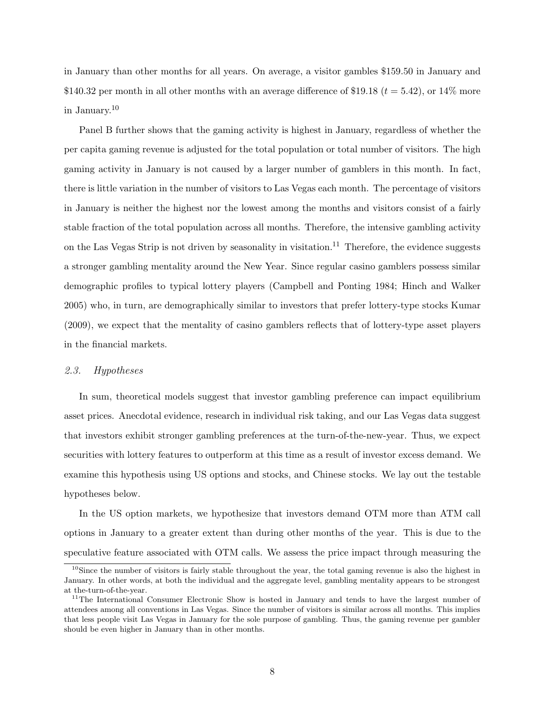in January than other months for all years. On average, a visitor gambles \$159.50 in January and \$140.32 per month in all other months with an average difference of \$19.18 ( $t = 5.42$ ), or 14\% more in January.<sup>10</sup>

Panel B further shows that the gaming activity is highest in January, regardless of whether the per capita gaming revenue is adjusted for the total population or total number of visitors. The high gaming activity in January is not caused by a larger number of gamblers in this month. In fact, there is little variation in the number of visitors to Las Vegas each month. The percentage of visitors in January is neither the highest nor the lowest among the months and visitors consist of a fairly stable fraction of the total population across all months. Therefore, the intensive gambling activity on the Las Vegas Strip is not driven by seasonality in visitation.<sup>11</sup> Therefore, the evidence suggests a stronger gambling mentality around the New Year. Since regular casino gamblers possess similar demographic profiles to typical lottery players (Campbell and Ponting 1984; Hinch and Walker 2005) who, in turn, are demographically similar to investors that prefer lottery-type stocks Kumar (2009), we expect that the mentality of casino gamblers reflects that of lottery-type asset players in the financial markets.

## 2.3. Hypotheses

In sum, theoretical models suggest that investor gambling preference can impact equilibrium asset prices. Anecdotal evidence, research in individual risk taking, and our Las Vegas data suggest that investors exhibit stronger gambling preferences at the turn-of-the-new-year. Thus, we expect securities with lottery features to outperform at this time as a result of investor excess demand. We examine this hypothesis using US options and stocks, and Chinese stocks. We lay out the testable hypotheses below.

In the US option markets, we hypothesize that investors demand OTM more than ATM call options in January to a greater extent than during other months of the year. This is due to the speculative feature associated with OTM calls. We assess the price impact through measuring the

 $10$ Since the number of visitors is fairly stable throughout the year, the total gaming revenue is also the highest in January. In other words, at both the individual and the aggregate level, gambling mentality appears to be strongest at the-turn-of-the-year.

 $11$ The International Consumer Electronic Show is hosted in January and tends to have the largest number of attendees among all conventions in Las Vegas. Since the number of visitors is similar across all months. This implies that less people visit Las Vegas in January for the sole purpose of gambling. Thus, the gaming revenue per gambler should be even higher in January than in other months.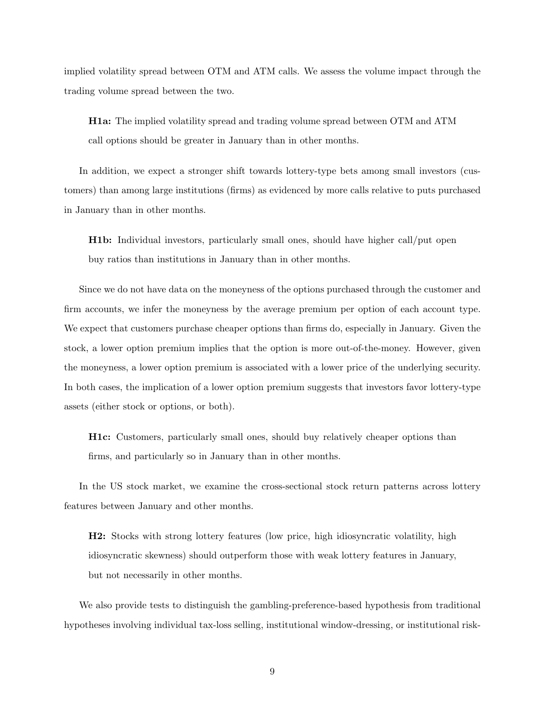implied volatility spread between OTM and ATM calls. We assess the volume impact through the trading volume spread between the two.

H1a: The implied volatility spread and trading volume spread between OTM and ATM call options should be greater in January than in other months.

In addition, we expect a stronger shift towards lottery-type bets among small investors (customers) than among large institutions (firms) as evidenced by more calls relative to puts purchased in January than in other months.

H1b: Individual investors, particularly small ones, should have higher call/put open buy ratios than institutions in January than in other months.

Since we do not have data on the moneyness of the options purchased through the customer and firm accounts, we infer the moneyness by the average premium per option of each account type. We expect that customers purchase cheaper options than firms do, especially in January. Given the stock, a lower option premium implies that the option is more out-of-the-money. However, given the moneyness, a lower option premium is associated with a lower price of the underlying security. In both cases, the implication of a lower option premium suggests that investors favor lottery-type assets (either stock or options, or both).

H1c: Customers, particularly small ones, should buy relatively cheaper options than firms, and particularly so in January than in other months.

In the US stock market, we examine the cross-sectional stock return patterns across lottery features between January and other months.

H2: Stocks with strong lottery features (low price, high idiosyncratic volatility, high idiosyncratic skewness) should outperform those with weak lottery features in January, but not necessarily in other months.

We also provide tests to distinguish the gambling-preference-based hypothesis from traditional hypotheses involving individual tax-loss selling, institutional window-dressing, or institutional risk-

9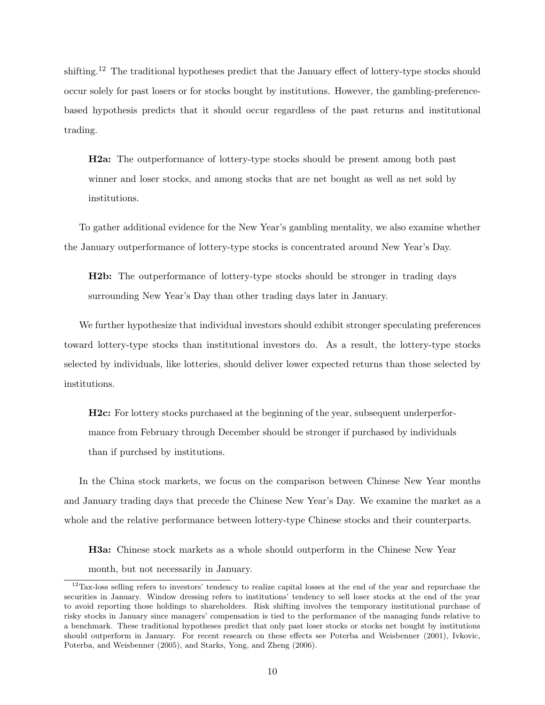shifting.<sup>12</sup> The traditional hypotheses predict that the January effect of lottery-type stocks should occur solely for past losers or for stocks bought by institutions. However, the gambling-preferencebased hypothesis predicts that it should occur regardless of the past returns and institutional trading.

H2a: The outperformance of lottery-type stocks should be present among both past winner and loser stocks, and among stocks that are net bought as well as net sold by institutions.

To gather additional evidence for the New Year's gambling mentality, we also examine whether the January outperformance of lottery-type stocks is concentrated around New Year's Day.

H2b: The outperformance of lottery-type stocks should be stronger in trading days surrounding New Year's Day than other trading days later in January.

We further hypothesize that individual investors should exhibit stronger speculating preferences toward lottery-type stocks than institutional investors do. As a result, the lottery-type stocks selected by individuals, like lotteries, should deliver lower expected returns than those selected by institutions.

H2c: For lottery stocks purchased at the beginning of the year, subsequent underperformance from February through December should be stronger if purchased by individuals than if purchsed by institutions.

In the China stock markets, we focus on the comparison between Chinese New Year months and January trading days that precede the Chinese New Year's Day. We examine the market as a whole and the relative performance between lottery-type Chinese stocks and their counterparts.

H3a: Chinese stock markets as a whole should outperform in the Chinese New Year

month, but not necessarily in January.

<sup>12</sup>Tax-loss selling refers to investors' tendency to realize capital losses at the end of the year and repurchase the securities in January. Window dressing refers to institutions' tendency to sell loser stocks at the end of the year to avoid reporting those holdings to shareholders. Risk shifting involves the temporary institutional purchase of risky stocks in January since managers' compensation is tied to the performance of the managing funds relative to a benchmark. These traditional hypotheses predict that only past loser stocks or stocks net bought by institutions should outperform in January. For recent research on these effects see Poterba and Weisbenner (2001), Ivkovic, Poterba, and Weisbenner (2005), and Starks, Yong, and Zheng (2006).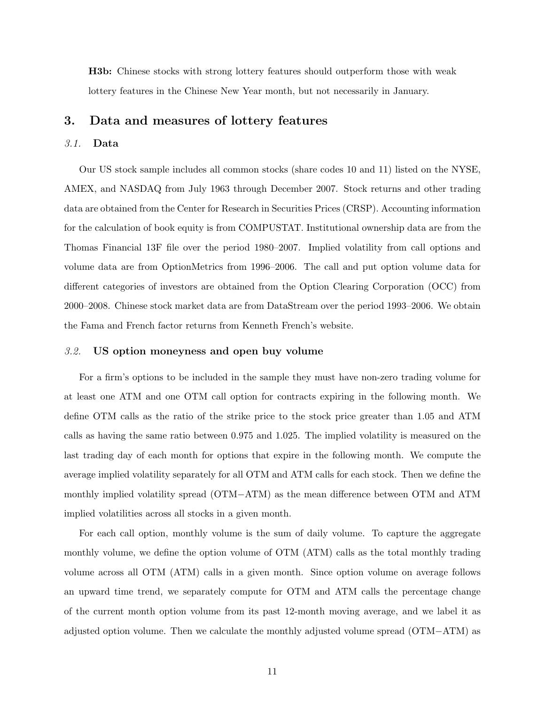H3b: Chinese stocks with strong lottery features should outperform those with weak lottery features in the Chinese New Year month, but not necessarily in January.

# 3. Data and measures of lottery features

# 3.1. Data

Our US stock sample includes all common stocks (share codes 10 and 11) listed on the NYSE, AMEX, and NASDAQ from July 1963 through December 2007. Stock returns and other trading data are obtained from the Center for Research in Securities Prices (CRSP). Accounting information for the calculation of book equity is from COMPUSTAT. Institutional ownership data are from the Thomas Financial 13F file over the period 1980–2007. Implied volatility from call options and volume data are from OptionMetrics from 1996–2006. The call and put option volume data for different categories of investors are obtained from the Option Clearing Corporation (OCC) from 2000–2008. Chinese stock market data are from DataStream over the period 1993–2006. We obtain the Fama and French factor returns from Kenneth French's website.

# 3.2. US option moneyness and open buy volume

For a firm's options to be included in the sample they must have non-zero trading volume for at least one ATM and one OTM call option for contracts expiring in the following month. We define OTM calls as the ratio of the strike price to the stock price greater than 1.05 and ATM calls as having the same ratio between 0.975 and 1.025. The implied volatility is measured on the last trading day of each month for options that expire in the following month. We compute the average implied volatility separately for all OTM and ATM calls for each stock. Then we define the monthly implied volatility spread (OTM−ATM) as the mean difference between OTM and ATM implied volatilities across all stocks in a given month.

For each call option, monthly volume is the sum of daily volume. To capture the aggregate monthly volume, we define the option volume of OTM (ATM) calls as the total monthly trading volume across all OTM (ATM) calls in a given month. Since option volume on average follows an upward time trend, we separately compute for OTM and ATM calls the percentage change of the current month option volume from its past 12-month moving average, and we label it as adjusted option volume. Then we calculate the monthly adjusted volume spread (OTM−ATM) as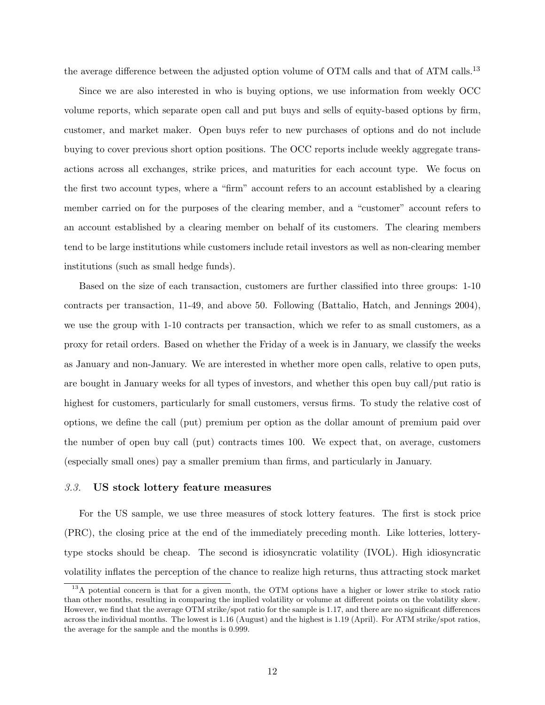the average difference between the adjusted option volume of OTM calls and that of ATM calls.<sup>13</sup>

Since we are also interested in who is buying options, we use information from weekly OCC volume reports, which separate open call and put buys and sells of equity-based options by firm, customer, and market maker. Open buys refer to new purchases of options and do not include buying to cover previous short option positions. The OCC reports include weekly aggregate transactions across all exchanges, strike prices, and maturities for each account type. We focus on the first two account types, where a "firm" account refers to an account established by a clearing member carried on for the purposes of the clearing member, and a "customer" account refers to an account established by a clearing member on behalf of its customers. The clearing members tend to be large institutions while customers include retail investors as well as non-clearing member institutions (such as small hedge funds).

Based on the size of each transaction, customers are further classified into three groups: 1-10 contracts per transaction, 11-49, and above 50. Following (Battalio, Hatch, and Jennings 2004), we use the group with 1-10 contracts per transaction, which we refer to as small customers, as a proxy for retail orders. Based on whether the Friday of a week is in January, we classify the weeks as January and non-January. We are interested in whether more open calls, relative to open puts, are bought in January weeks for all types of investors, and whether this open buy call/put ratio is highest for customers, particularly for small customers, versus firms. To study the relative cost of options, we define the call (put) premium per option as the dollar amount of premium paid over the number of open buy call (put) contracts times 100. We expect that, on average, customers (especially small ones) pay a smaller premium than firms, and particularly in January.

# 3.3. US stock lottery feature measures

For the US sample, we use three measures of stock lottery features. The first is stock price (PRC), the closing price at the end of the immediately preceding month. Like lotteries, lotterytype stocks should be cheap. The second is idiosyncratic volatility (IVOL). High idiosyncratic volatility inflates the perception of the chance to realize high returns, thus attracting stock market

<sup>&</sup>lt;sup>13</sup>A potential concern is that for a given month, the OTM options have a higher or lower strike to stock ratio than other months, resulting in comparing the implied volatility or volume at different points on the volatility skew. However, we find that the average OTM strike/spot ratio for the sample is 1.17, and there are no significant differences across the individual months. The lowest is 1.16 (August) and the highest is 1.19 (April). For ATM strike/spot ratios, the average for the sample and the months is 0.999.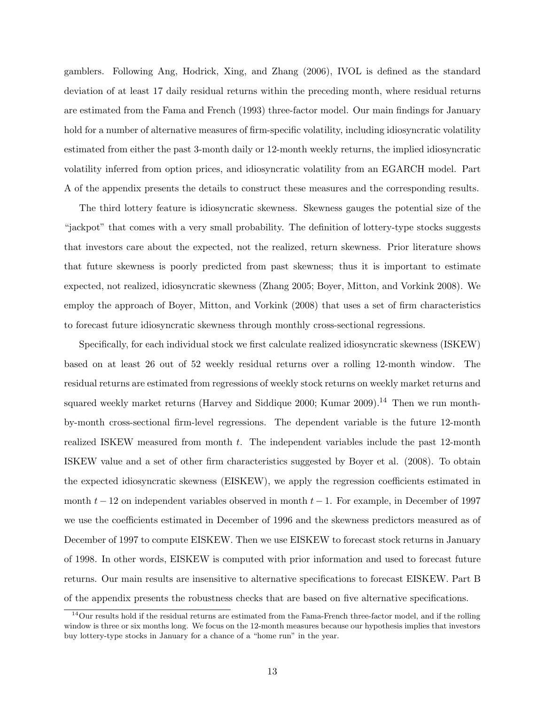gamblers. Following Ang, Hodrick, Xing, and Zhang (2006), IVOL is defined as the standard deviation of at least 17 daily residual returns within the preceding month, where residual returns are estimated from the Fama and French (1993) three-factor model. Our main findings for January hold for a number of alternative measures of firm-specific volatility, including idiosyncratic volatility estimated from either the past 3-month daily or 12-month weekly returns, the implied idiosyncratic volatility inferred from option prices, and idiosyncratic volatility from an EGARCH model. Part A of the appendix presents the details to construct these measures and the corresponding results.

The third lottery feature is idiosyncratic skewness. Skewness gauges the potential size of the "jackpot" that comes with a very small probability. The definition of lottery-type stocks suggests that investors care about the expected, not the realized, return skewness. Prior literature shows that future skewness is poorly predicted from past skewness; thus it is important to estimate expected, not realized, idiosyncratic skewness (Zhang 2005; Boyer, Mitton, and Vorkink 2008). We employ the approach of Boyer, Mitton, and Vorkink (2008) that uses a set of firm characteristics to forecast future idiosyncratic skewness through monthly cross-sectional regressions.

Specifically, for each individual stock we first calculate realized idiosyncratic skewness (ISKEW) based on at least 26 out of 52 weekly residual returns over a rolling 12-month window. The residual returns are estimated from regressions of weekly stock returns on weekly market returns and squared weekly market returns (Harvey and Siddique 2000; Kumar 2009).<sup>14</sup> Then we run monthby-month cross-sectional firm-level regressions. The dependent variable is the future 12-month realized ISKEW measured from month t. The independent variables include the past 12-month ISKEW value and a set of other firm characteristics suggested by Boyer et al. (2008). To obtain the expected idiosyncratic skewness (EISKEW), we apply the regression coefficients estimated in month  $t-12$  on independent variables observed in month  $t-1$ . For example, in December of 1997 we use the coefficients estimated in December of 1996 and the skewness predictors measured as of December of 1997 to compute EISKEW. Then we use EISKEW to forecast stock returns in January of 1998. In other words, EISKEW is computed with prior information and used to forecast future returns. Our main results are insensitive to alternative specifications to forecast EISKEW. Part B of the appendix presents the robustness checks that are based on five alternative specifications.

 $14$ Our results hold if the residual returns are estimated from the Fama-French three-factor model, and if the rolling window is three or six months long. We focus on the 12-month measures because our hypothesis implies that investors buy lottery-type stocks in January for a chance of a "home run" in the year.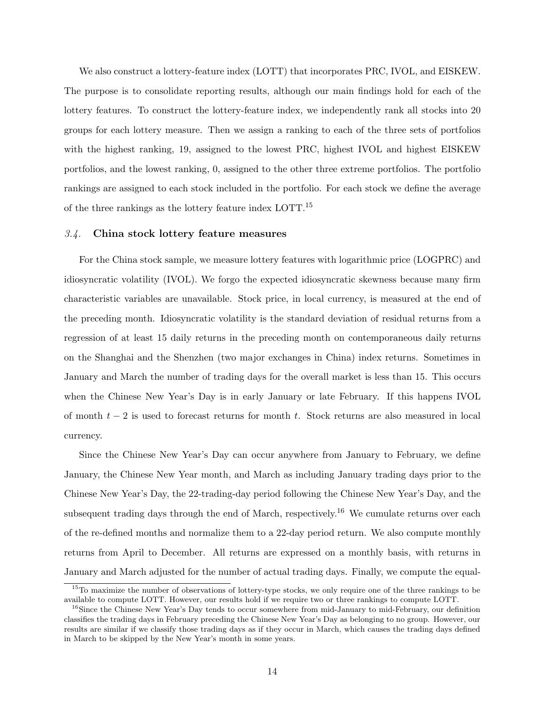We also construct a lottery-feature index (LOTT) that incorporates PRC, IVOL, and EISKEW. The purpose is to consolidate reporting results, although our main findings hold for each of the lottery features. To construct the lottery-feature index, we independently rank all stocks into 20 groups for each lottery measure. Then we assign a ranking to each of the three sets of portfolios with the highest ranking, 19, assigned to the lowest PRC, highest IVOL and highest EISKEW portfolios, and the lowest ranking, 0, assigned to the other three extreme portfolios. The portfolio rankings are assigned to each stock included in the portfolio. For each stock we define the average of the three rankings as the lottery feature index LOTT.<sup>15</sup>

### 3.4. China stock lottery feature measures

For the China stock sample, we measure lottery features with logarithmic price (LOGPRC) and idiosyncratic volatility (IVOL). We forgo the expected idiosyncratic skewness because many firm characteristic variables are unavailable. Stock price, in local currency, is measured at the end of the preceding month. Idiosyncratic volatility is the standard deviation of residual returns from a regression of at least 15 daily returns in the preceding month on contemporaneous daily returns on the Shanghai and the Shenzhen (two major exchanges in China) index returns. Sometimes in January and March the number of trading days for the overall market is less than 15. This occurs when the Chinese New Year's Day is in early January or late February. If this happens IVOL of month  $t - 2$  is used to forecast returns for month t. Stock returns are also measured in local currency.

Since the Chinese New Year's Day can occur anywhere from January to February, we define January, the Chinese New Year month, and March as including January trading days prior to the Chinese New Year's Day, the 22-trading-day period following the Chinese New Year's Day, and the subsequent trading days through the end of March, respectively.<sup>16</sup> We cumulate returns over each of the re-defined months and normalize them to a 22-day period return. We also compute monthly returns from April to December. All returns are expressed on a monthly basis, with returns in January and March adjusted for the number of actual trading days. Finally, we compute the equal-

<sup>&</sup>lt;sup>15</sup>To maximize the number of observations of lottery-type stocks, we only require one of the three rankings to be available to compute LOTT. However, our results hold if we require two or three rankings to compute LOTT.

<sup>&</sup>lt;sup>16</sup>Since the Chinese New Year's Day tends to occur somewhere from mid-January to mid-February, our definition classifies the trading days in February preceding the Chinese New Year's Day as belonging to no group. However, our results are similar if we classify those trading days as if they occur in March, which causes the trading days defined in March to be skipped by the New Year's month in some years.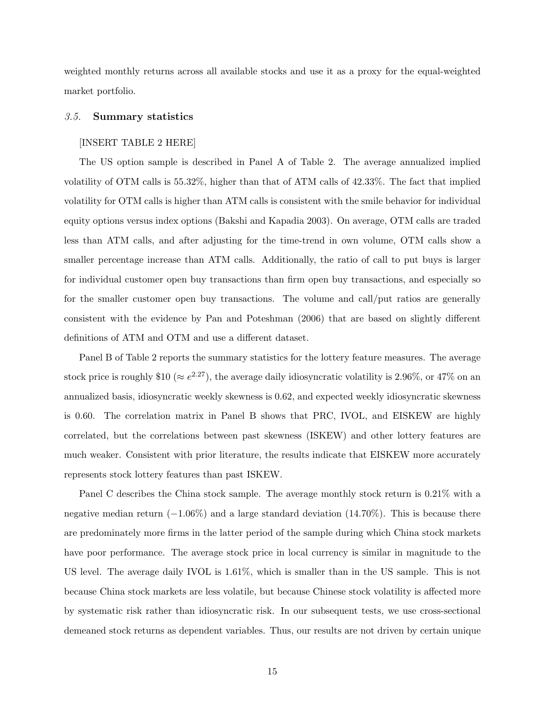weighted monthly returns across all available stocks and use it as a proxy for the equal-weighted market portfolio.

## 3.5. Summary statistics

#### [INSERT TABLE 2 HERE]

The US option sample is described in Panel A of Table 2. The average annualized implied volatility of OTM calls is 55.32%, higher than that of ATM calls of 42.33%. The fact that implied volatility for OTM calls is higher than ATM calls is consistent with the smile behavior for individual equity options versus index options (Bakshi and Kapadia 2003). On average, OTM calls are traded less than ATM calls, and after adjusting for the time-trend in own volume, OTM calls show a smaller percentage increase than ATM calls. Additionally, the ratio of call to put buys is larger for individual customer open buy transactions than firm open buy transactions, and especially so for the smaller customer open buy transactions. The volume and call/put ratios are generally consistent with the evidence by Pan and Poteshman (2006) that are based on slightly different definitions of ATM and OTM and use a different dataset.

Panel B of Table 2 reports the summary statistics for the lottery feature measures. The average stock price is roughly \$10 ( $\approx e^{2.27}$ ), the average daily idiosyncratic volatility is 2.96%, or 47% on an annualized basis, idiosyncratic weekly skewness is 0.62, and expected weekly idiosyncratic skewness is 0.60. The correlation matrix in Panel B shows that PRC, IVOL, and EISKEW are highly correlated, but the correlations between past skewness (ISKEW) and other lottery features are much weaker. Consistent with prior literature, the results indicate that EISKEW more accurately represents stock lottery features than past ISKEW.

Panel C describes the China stock sample. The average monthly stock return is 0.21% with a negative median return  $(-1.06\%)$  and a large standard deviation (14.70%). This is because there are predominately more firms in the latter period of the sample during which China stock markets have poor performance. The average stock price in local currency is similar in magnitude to the US level. The average daily IVOL is 1.61%, which is smaller than in the US sample. This is not because China stock markets are less volatile, but because Chinese stock volatility is affected more by systematic risk rather than idiosyncratic risk. In our subsequent tests, we use cross-sectional demeaned stock returns as dependent variables. Thus, our results are not driven by certain unique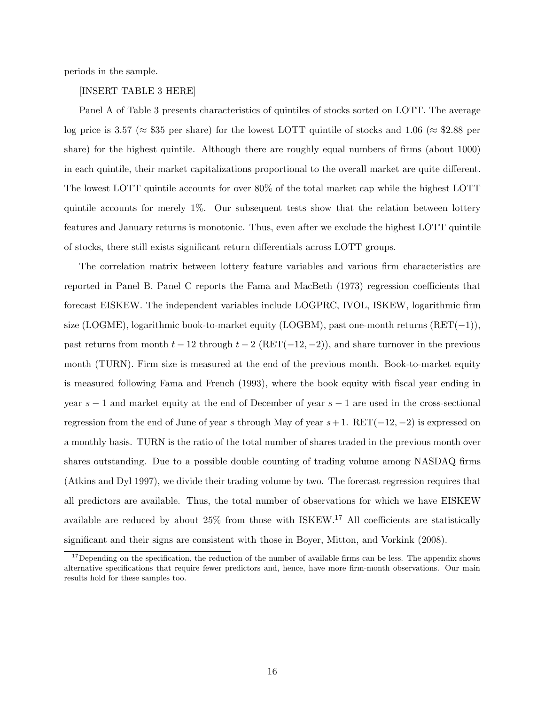periods in the sample.

#### [INSERT TABLE 3 HERE]

Panel A of Table 3 presents characteristics of quintiles of stocks sorted on LOTT. The average log price is 3.57 ( $\approx$  \$35 per share) for the lowest LOTT quintile of stocks and 1.06 ( $\approx$  \$2.88 per share) for the highest quintile. Although there are roughly equal numbers of firms (about 1000) in each quintile, their market capitalizations proportional to the overall market are quite different. The lowest LOTT quintile accounts for over 80% of the total market cap while the highest LOTT quintile accounts for merely 1%. Our subsequent tests show that the relation between lottery features and January returns is monotonic. Thus, even after we exclude the highest LOTT quintile of stocks, there still exists significant return differentials across LOTT groups.

The correlation matrix between lottery feature variables and various firm characteristics are reported in Panel B. Panel C reports the Fama and MacBeth (1973) regression coefficients that forecast EISKEW. The independent variables include LOGPRC, IVOL, ISKEW, logarithmic firm size (LOGME), logarithmic book-to-market equity (LOGBM), past one-month returns (RET(−1)), past returns from month  $t - 12$  through  $t - 2$  (RET(-12, -2)), and share turnover in the previous month (TURN). Firm size is measured at the end of the previous month. Book-to-market equity is measured following Fama and French (1993), where the book equity with fiscal year ending in year  $s - 1$  and market equity at the end of December of year  $s - 1$  are used in the cross-sectional regression from the end of June of year s through May of year  $s+1$ . RET( $-12, -2$ ) is expressed on a monthly basis. TURN is the ratio of the total number of shares traded in the previous month over shares outstanding. Due to a possible double counting of trading volume among NASDAQ firms (Atkins and Dyl 1997), we divide their trading volume by two. The forecast regression requires that all predictors are available. Thus, the total number of observations for which we have EISKEW available are reduced by about  $25\%$  from those with ISKEW.<sup>17</sup> All coefficients are statistically significant and their signs are consistent with those in Boyer, Mitton, and Vorkink (2008).

 $17$ Depending on the specification, the reduction of the number of available firms can be less. The appendix shows alternative specifications that require fewer predictors and, hence, have more firm-month observations. Our main results hold for these samples too.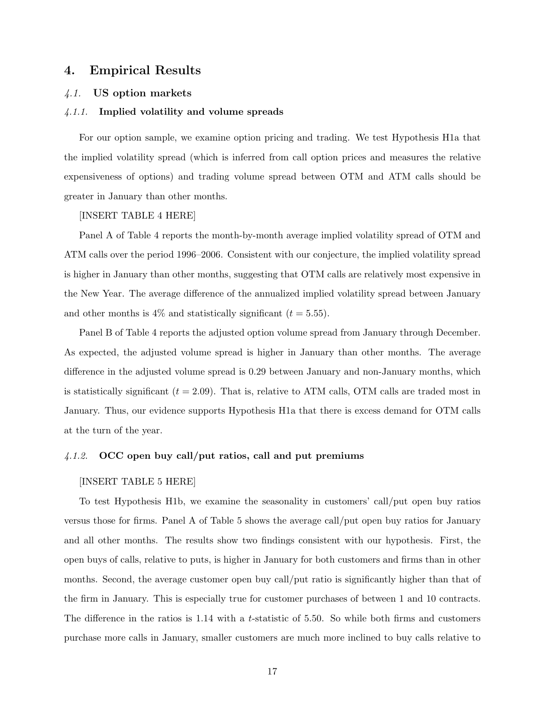# 4. Empirical Results

# 4.1. US option markets

#### 4.1.1. Implied volatility and volume spreads

For our option sample, we examine option pricing and trading. We test Hypothesis H1a that the implied volatility spread (which is inferred from call option prices and measures the relative expensiveness of options) and trading volume spread between OTM and ATM calls should be greater in January than other months.

#### [INSERT TABLE 4 HERE]

Panel A of Table 4 reports the month-by-month average implied volatility spread of OTM and ATM calls over the period 1996–2006. Consistent with our conjecture, the implied volatility spread is higher in January than other months, suggesting that OTM calls are relatively most expensive in the New Year. The average difference of the annualized implied volatility spread between January and other months is  $4\%$  and statistically significant ( $t = 5.55$ ).

Panel B of Table 4 reports the adjusted option volume spread from January through December. As expected, the adjusted volume spread is higher in January than other months. The average difference in the adjusted volume spread is 0.29 between January and non-January months, which is statistically significant  $(t = 2.09)$ . That is, relative to ATM calls, OTM calls are traded most in January. Thus, our evidence supports Hypothesis H1a that there is excess demand for OTM calls at the turn of the year.

# 4.1.2. OCC open buy call/put ratios, call and put premiums

#### [INSERT TABLE 5 HERE]

To test Hypothesis H1b, we examine the seasonality in customers' call/put open buy ratios versus those for firms. Panel A of Table 5 shows the average call/put open buy ratios for January and all other months. The results show two findings consistent with our hypothesis. First, the open buys of calls, relative to puts, is higher in January for both customers and firms than in other months. Second, the average customer open buy call/put ratio is significantly higher than that of the firm in January. This is especially true for customer purchases of between 1 and 10 contracts. The difference in the ratios is 1.14 with a t-statistic of 5.50. So while both firms and customers purchase more calls in January, smaller customers are much more inclined to buy calls relative to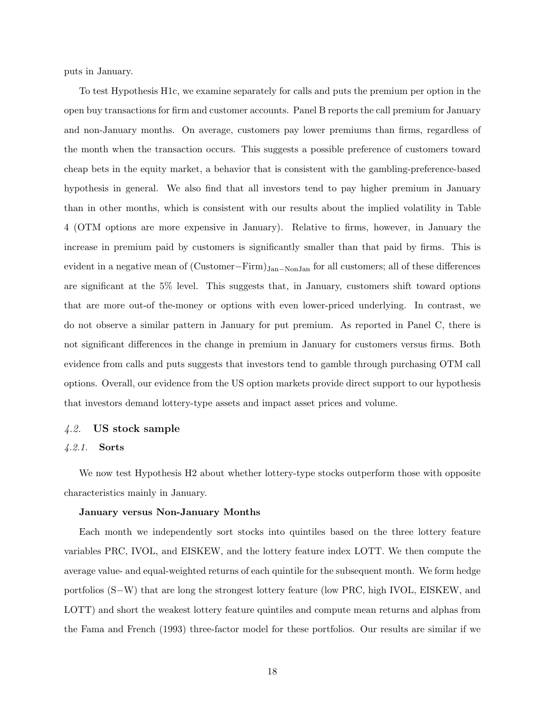puts in January.

To test Hypothesis H1c, we examine separately for calls and puts the premium per option in the open buy transactions for firm and customer accounts. Panel B reports the call premium for January and non-January months. On average, customers pay lower premiums than firms, regardless of the month when the transaction occurs. This suggests a possible preference of customers toward cheap bets in the equity market, a behavior that is consistent with the gambling-preference-based hypothesis in general. We also find that all investors tend to pay higher premium in January than in other months, which is consistent with our results about the implied volatility in Table 4 (OTM options are more expensive in January). Relative to firms, however, in January the increase in premium paid by customers is significantly smaller than that paid by firms. This is evident in a negative mean of (Customer–Firm)<sub>Jan–NonJan</sub> for all customers; all of these differences are significant at the 5% level. This suggests that, in January, customers shift toward options that are more out-of the-money or options with even lower-priced underlying. In contrast, we do not observe a similar pattern in January for put premium. As reported in Panel C, there is not significant differences in the change in premium in January for customers versus firms. Both evidence from calls and puts suggests that investors tend to gamble through purchasing OTM call options. Overall, our evidence from the US option markets provide direct support to our hypothesis that investors demand lottery-type assets and impact asset prices and volume.

## 4.2. US stock sample

#### 4.2.1. Sorts

We now test Hypothesis H<sub>2</sub> about whether lottery-type stocks outperform those with opposite characteristics mainly in January.

## January versus Non-January Months

Each month we independently sort stocks into quintiles based on the three lottery feature variables PRC, IVOL, and EISKEW, and the lottery feature index LOTT. We then compute the average value- and equal-weighted returns of each quintile for the subsequent month. We form hedge portfolios (S−W) that are long the strongest lottery feature (low PRC, high IVOL, EISKEW, and LOTT) and short the weakest lottery feature quintiles and compute mean returns and alphas from the Fama and French (1993) three-factor model for these portfolios. Our results are similar if we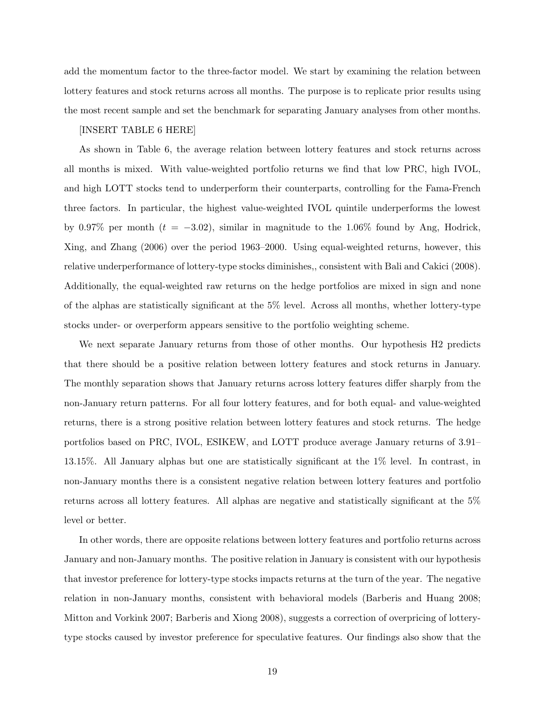add the momentum factor to the three-factor model. We start by examining the relation between lottery features and stock returns across all months. The purpose is to replicate prior results using the most recent sample and set the benchmark for separating January analyses from other months.

# [INSERT TABLE 6 HERE]

As shown in Table 6, the average relation between lottery features and stock returns across all months is mixed. With value-weighted portfolio returns we find that low PRC, high IVOL, and high LOTT stocks tend to underperform their counterparts, controlling for the Fama-French three factors. In particular, the highest value-weighted IVOL quintile underperforms the lowest by 0.97% per month ( $t = -3.02$ ), similar in magnitude to the 1.06% found by Ang, Hodrick, Xing, and Zhang (2006) over the period 1963–2000. Using equal-weighted returns, however, this relative underperformance of lottery-type stocks diminishes,, consistent with Bali and Cakici (2008). Additionally, the equal-weighted raw returns on the hedge portfolios are mixed in sign and none of the alphas are statistically significant at the 5% level. Across all months, whether lottery-type stocks under- or overperform appears sensitive to the portfolio weighting scheme.

We next separate January returns from those of other months. Our hypothesis H2 predicts that there should be a positive relation between lottery features and stock returns in January. The monthly separation shows that January returns across lottery features differ sharply from the non-January return patterns. For all four lottery features, and for both equal- and value-weighted returns, there is a strong positive relation between lottery features and stock returns. The hedge portfolios based on PRC, IVOL, ESIKEW, and LOTT produce average January returns of 3.91– 13.15%. All January alphas but one are statistically significant at the 1% level. In contrast, in non-January months there is a consistent negative relation between lottery features and portfolio returns across all lottery features. All alphas are negative and statistically significant at the 5% level or better.

In other words, there are opposite relations between lottery features and portfolio returns across January and non-January months. The positive relation in January is consistent with our hypothesis that investor preference for lottery-type stocks impacts returns at the turn of the year. The negative relation in non-January months, consistent with behavioral models (Barberis and Huang 2008; Mitton and Vorkink 2007; Barberis and Xiong 2008), suggests a correction of overpricing of lotterytype stocks caused by investor preference for speculative features. Our findings also show that the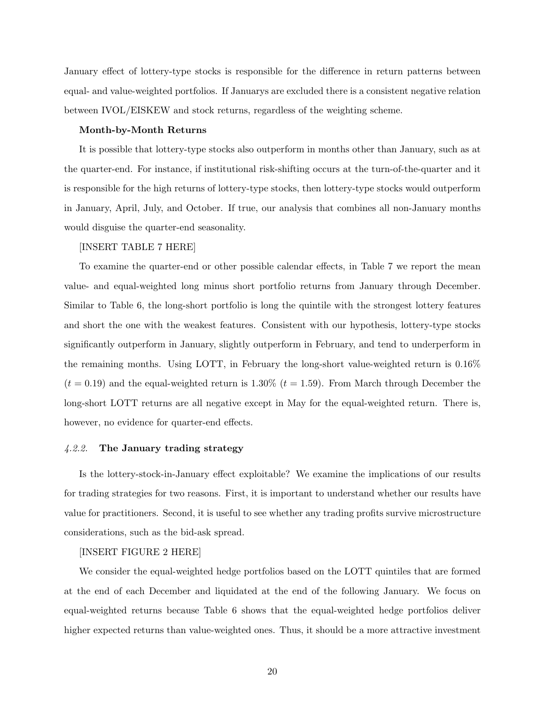January effect of lottery-type stocks is responsible for the difference in return patterns between equal- and value-weighted portfolios. If Januarys are excluded there is a consistent negative relation between IVOL/EISKEW and stock returns, regardless of the weighting scheme.

#### Month-by-Month Returns

It is possible that lottery-type stocks also outperform in months other than January, such as at the quarter-end. For instance, if institutional risk-shifting occurs at the turn-of-the-quarter and it is responsible for the high returns of lottery-type stocks, then lottery-type stocks would outperform in January, April, July, and October. If true, our analysis that combines all non-January months would disguise the quarter-end seasonality.

# [INSERT TABLE 7 HERE]

To examine the quarter-end or other possible calendar effects, in Table 7 we report the mean value- and equal-weighted long minus short portfolio returns from January through December. Similar to Table 6, the long-short portfolio is long the quintile with the strongest lottery features and short the one with the weakest features. Consistent with our hypothesis, lottery-type stocks significantly outperform in January, slightly outperform in February, and tend to underperform in the remaining months. Using LOTT, in February the long-short value-weighted return is 0.16%  $(t = 0.19)$  and the equal-weighted return is 1.30%  $(t = 1.59)$ . From March through December the long-short LOTT returns are all negative except in May for the equal-weighted return. There is, however, no evidence for quarter-end effects.

#### 4.2.2. The January trading strategy

Is the lottery-stock-in-January effect exploitable? We examine the implications of our results for trading strategies for two reasons. First, it is important to understand whether our results have value for practitioners. Second, it is useful to see whether any trading profits survive microstructure considerations, such as the bid-ask spread.

#### [INSERT FIGURE 2 HERE]

We consider the equal-weighted hedge portfolios based on the LOTT quintiles that are formed at the end of each December and liquidated at the end of the following January. We focus on equal-weighted returns because Table 6 shows that the equal-weighted hedge portfolios deliver higher expected returns than value-weighted ones. Thus, it should be a more attractive investment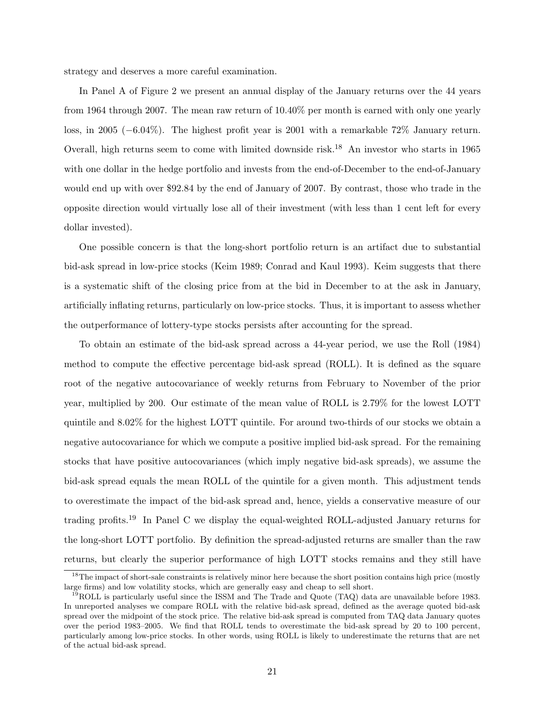strategy and deserves a more careful examination.

In Panel A of Figure 2 we present an annual display of the January returns over the 44 years from 1964 through 2007. The mean raw return of 10.40% per month is earned with only one yearly loss, in 2005 (−6.04%). The highest profit year is 2001 with a remarkable 72% January return. Overall, high returns seem to come with limited downside risk.<sup>18</sup> An investor who starts in 1965 with one dollar in the hedge portfolio and invests from the end-of-December to the end-of-January would end up with over \$92.84 by the end of January of 2007. By contrast, those who trade in the opposite direction would virtually lose all of their investment (with less than 1 cent left for every dollar invested).

One possible concern is that the long-short portfolio return is an artifact due to substantial bid-ask spread in low-price stocks (Keim 1989; Conrad and Kaul 1993). Keim suggests that there is a systematic shift of the closing price from at the bid in December to at the ask in January, artificially inflating returns, particularly on low-price stocks. Thus, it is important to assess whether the outperformance of lottery-type stocks persists after accounting for the spread.

To obtain an estimate of the bid-ask spread across a 44-year period, we use the Roll (1984) method to compute the effective percentage bid-ask spread (ROLL). It is defined as the square root of the negative autocovariance of weekly returns from February to November of the prior year, multiplied by 200. Our estimate of the mean value of ROLL is 2.79% for the lowest LOTT quintile and 8.02% for the highest LOTT quintile. For around two-thirds of our stocks we obtain a negative autocovariance for which we compute a positive implied bid-ask spread. For the remaining stocks that have positive autocovariances (which imply negative bid-ask spreads), we assume the bid-ask spread equals the mean ROLL of the quintile for a given month. This adjustment tends to overestimate the impact of the bid-ask spread and, hence, yields a conservative measure of our trading profits.<sup>19</sup> In Panel C we display the equal-weighted ROLL-adjusted January returns for the long-short LOTT portfolio. By definition the spread-adjusted returns are smaller than the raw returns, but clearly the superior performance of high LOTT stocks remains and they still have

 $18$ The impact of short-sale constraints is relatively minor here because the short position contains high price (mostly large firms) and low volatility stocks, which are generally easy and cheap to sell short.

 $^{19}$ ROLL is particularly useful since the ISSM and The Trade and Quote (TAQ) data are unavailable before 1983. In unreported analyses we compare ROLL with the relative bid-ask spread, defined as the average quoted bid-ask spread over the midpoint of the stock price. The relative bid-ask spread is computed from TAQ data January quotes over the period 1983–2005. We find that ROLL tends to overestimate the bid-ask spread by 20 to 100 percent, particularly among low-price stocks. In other words, using ROLL is likely to underestimate the returns that are net of the actual bid-ask spread.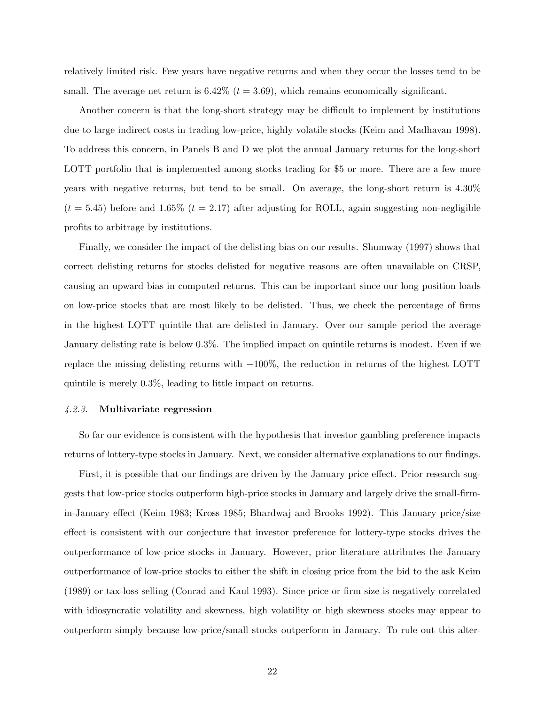relatively limited risk. Few years have negative returns and when they occur the losses tend to be small. The average net return is 6.42%  $(t = 3.69)$ , which remains economically significant.

Another concern is that the long-short strategy may be difficult to implement by institutions due to large indirect costs in trading low-price, highly volatile stocks (Keim and Madhavan 1998). To address this concern, in Panels B and D we plot the annual January returns for the long-short LOTT portfolio that is implemented among stocks trading for \$5 or more. There are a few more years with negative returns, but tend to be small. On average, the long-short return is 4.30%  $(t = 5.45)$  before and 1.65%  $(t = 2.17)$  after adjusting for ROLL, again suggesting non-negligible profits to arbitrage by institutions.

Finally, we consider the impact of the delisting bias on our results. Shumway (1997) shows that correct delisting returns for stocks delisted for negative reasons are often unavailable on CRSP, causing an upward bias in computed returns. This can be important since our long position loads on low-price stocks that are most likely to be delisted. Thus, we check the percentage of firms in the highest LOTT quintile that are delisted in January. Over our sample period the average January delisting rate is below 0.3%. The implied impact on quintile returns is modest. Even if we replace the missing delisting returns with −100%, the reduction in returns of the highest LOTT quintile is merely 0.3%, leading to little impact on returns.

### 4.2.3. Multivariate regression

So far our evidence is consistent with the hypothesis that investor gambling preference impacts returns of lottery-type stocks in January. Next, we consider alternative explanations to our findings.

First, it is possible that our findings are driven by the January price effect. Prior research suggests that low-price stocks outperform high-price stocks in January and largely drive the small-firmin-January effect (Keim 1983; Kross 1985; Bhardwaj and Brooks 1992). This January price/size effect is consistent with our conjecture that investor preference for lottery-type stocks drives the outperformance of low-price stocks in January. However, prior literature attributes the January outperformance of low-price stocks to either the shift in closing price from the bid to the ask Keim (1989) or tax-loss selling (Conrad and Kaul 1993). Since price or firm size is negatively correlated with idiosyncratic volatility and skewness, high volatility or high skewness stocks may appear to outperform simply because low-price/small stocks outperform in January. To rule out this alter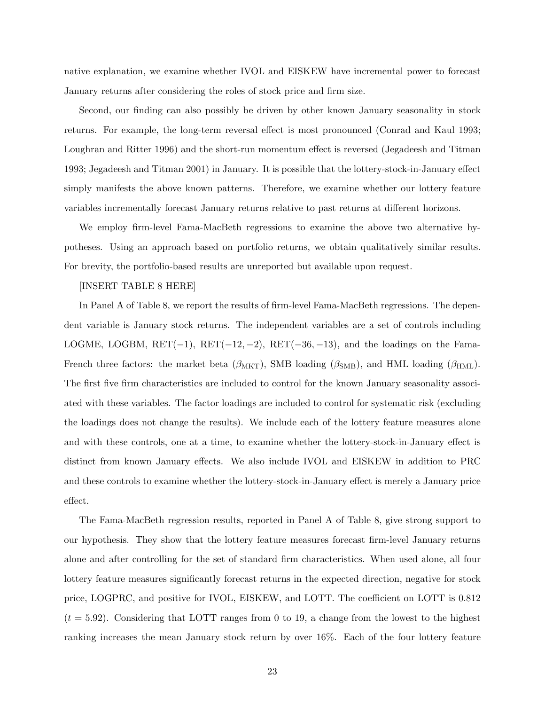native explanation, we examine whether IVOL and EISKEW have incremental power to forecast January returns after considering the roles of stock price and firm size.

Second, our finding can also possibly be driven by other known January seasonality in stock returns. For example, the long-term reversal effect is most pronounced (Conrad and Kaul 1993; Loughran and Ritter 1996) and the short-run momentum effect is reversed (Jegadeesh and Titman 1993; Jegadeesh and Titman 2001) in January. It is possible that the lottery-stock-in-January effect simply manifests the above known patterns. Therefore, we examine whether our lottery feature variables incrementally forecast January returns relative to past returns at different horizons.

We employ firm-level Fama-MacBeth regressions to examine the above two alternative hypotheses. Using an approach based on portfolio returns, we obtain qualitatively similar results. For brevity, the portfolio-based results are unreported but available upon request.

## [INSERT TABLE 8 HERE]

In Panel A of Table 8, we report the results of firm-level Fama-MacBeth regressions. The dependent variable is January stock returns. The independent variables are a set of controls including LOGME, LOGBM,  $RET(-1)$ ,  $RET(-12, -2)$ ,  $RET(-36, -13)$ , and the loadings on the Fama-French three factors: the market beta  $(\beta_{MKT})$ , SMB loading  $(\beta_{SMB})$ , and HML loading  $(\beta_{HML})$ . The first five firm characteristics are included to control for the known January seasonality associated with these variables. The factor loadings are included to control for systematic risk (excluding the loadings does not change the results). We include each of the lottery feature measures alone and with these controls, one at a time, to examine whether the lottery-stock-in-January effect is distinct from known January effects. We also include IVOL and EISKEW in addition to PRC and these controls to examine whether the lottery-stock-in-January effect is merely a January price effect.

The Fama-MacBeth regression results, reported in Panel A of Table 8, give strong support to our hypothesis. They show that the lottery feature measures forecast firm-level January returns alone and after controlling for the set of standard firm characteristics. When used alone, all four lottery feature measures significantly forecast returns in the expected direction, negative for stock price, LOGPRC, and positive for IVOL, EISKEW, and LOTT. The coefficient on LOTT is 0.812  $(t = 5.92)$ . Considering that LOTT ranges from 0 to 19, a change from the lowest to the highest ranking increases the mean January stock return by over 16%. Each of the four lottery feature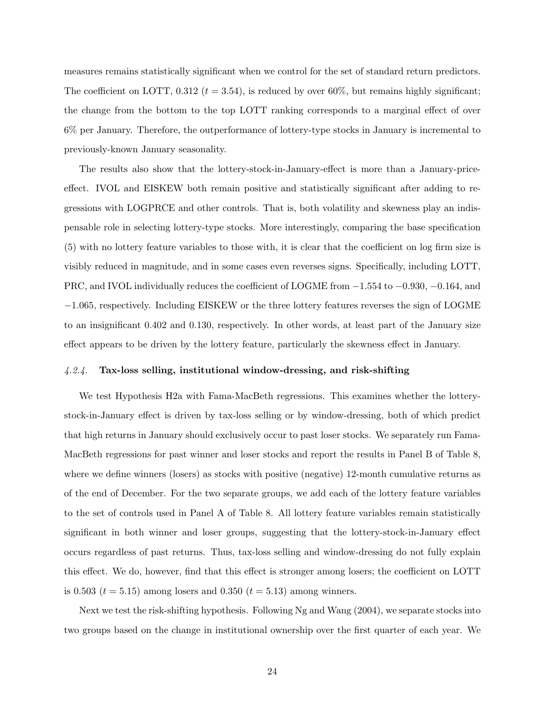measures remains statistically significant when we control for the set of standard return predictors. The coefficient on LOTT, 0.312 ( $t = 3.54$ ), is reduced by over 60%, but remains highly significant; the change from the bottom to the top LOTT ranking corresponds to a marginal effect of over 6% per January. Therefore, the outperformance of lottery-type stocks in January is incremental to previously-known January seasonality.

The results also show that the lottery-stock-in-January-effect is more than a January-priceeffect. IVOL and EISKEW both remain positive and statistically significant after adding to regressions with LOGPRCE and other controls. That is, both volatility and skewness play an indispensable role in selecting lottery-type stocks. More interestingly, comparing the base specification (5) with no lottery feature variables to those with, it is clear that the coefficient on log firm size is visibly reduced in magnitude, and in some cases even reverses signs. Specifically, including LOTT, PRC, and IVOL individually reduces the coefficient of LOGME from −1.554 to −0.930, −0.164, and −1.065, respectively. Including EISKEW or the three lottery features reverses the sign of LOGME to an insignificant 0.402 and 0.130, respectively. In other words, at least part of the January size effect appears to be driven by the lottery feature, particularly the skewness effect in January.

## 4.2.4. Tax-loss selling, institutional window-dressing, and risk-shifting

We test Hypothesis H2a with Fama-MacBeth regressions. This examines whether the lotterystock-in-January effect is driven by tax-loss selling or by window-dressing, both of which predict that high returns in January should exclusively occur to past loser stocks. We separately run Fama-MacBeth regressions for past winner and loser stocks and report the results in Panel B of Table 8, where we define winners (losers) as stocks with positive (negative) 12-month cumulative returns as of the end of December. For the two separate groups, we add each of the lottery feature variables to the set of controls used in Panel A of Table 8. All lottery feature variables remain statistically significant in both winner and loser groups, suggesting that the lottery-stock-in-January effect occurs regardless of past returns. Thus, tax-loss selling and window-dressing do not fully explain this effect. We do, however, find that this effect is stronger among losers; the coefficient on LOTT is 0.503 ( $t = 5.15$ ) among losers and 0.350 ( $t = 5.13$ ) among winners.

Next we test the risk-shifting hypothesis. Following Ng and Wang (2004), we separate stocks into two groups based on the change in institutional ownership over the first quarter of each year. We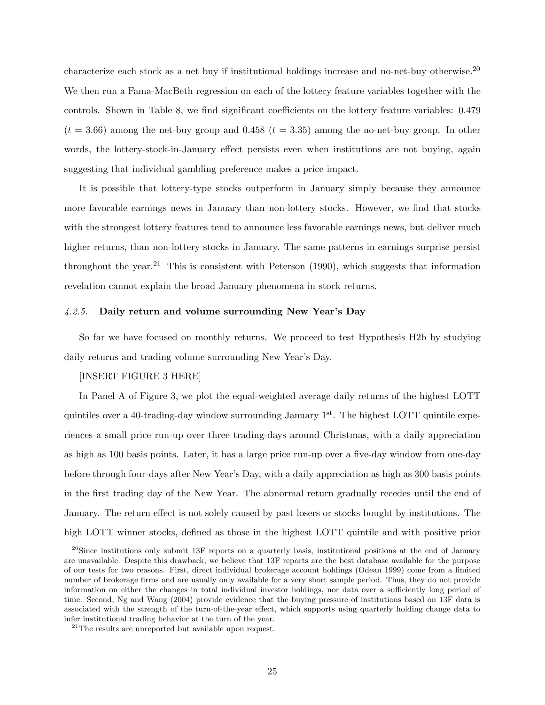characterize each stock as a net buy if institutional holdings increase and no-net-buy otherwise.<sup>20</sup> We then run a Fama-MacBeth regression on each of the lottery feature variables together with the controls. Shown in Table 8, we find significant coefficients on the lottery feature variables: 0.479  $(t = 3.66)$  among the net-buy group and 0.458  $(t = 3.35)$  among the no-net-buy group. In other words, the lottery-stock-in-January effect persists even when institutions are not buying, again suggesting that individual gambling preference makes a price impact.

It is possible that lottery-type stocks outperform in January simply because they announce more favorable earnings news in January than non-lottery stocks. However, we find that stocks with the strongest lottery features tend to announce less favorable earnings news, but deliver much higher returns, than non-lottery stocks in January. The same patterns in earnings surprise persist throughout the year.<sup>21</sup> This is consistent with Peterson  $(1990)$ , which suggests that information revelation cannot explain the broad January phenomena in stock returns.

#### 4.2.5. Daily return and volume surrounding New Year's Day

So far we have focused on monthly returns. We proceed to test Hypothesis H2b by studying daily returns and trading volume surrounding New Year's Day.

# [INSERT FIGURE 3 HERE]

In Panel A of Figure 3, we plot the equal-weighted average daily returns of the highest LOTT quintiles over a 40-trading-day window surrounding January  $1^{st}$ . The highest LOTT quintile experiences a small price run-up over three trading-days around Christmas, with a daily appreciation as high as 100 basis points. Later, it has a large price run-up over a five-day window from one-day before through four-days after New Year's Day, with a daily appreciation as high as 300 basis points in the first trading day of the New Year. The abnormal return gradually recedes until the end of January. The return effect is not solely caused by past losers or stocks bought by institutions. The high LOTT winner stocks, defined as those in the highest LOTT quintile and with positive prior

 $^{20}$ Since institutions only submit 13F reports on a quarterly basis, institutional positions at the end of January are unavailable. Despite this drawback, we believe that 13F reports are the best database available for the purpose of our tests for two reasons. First, direct individual brokerage account holdings (Odean 1999) come from a limited number of brokerage firms and are usually only available for a very short sample period. Thus, they do not provide information on either the changes in total individual investor holdings, nor data over a sufficiently long period of time. Second, Ng and Wang (2004) provide evidence that the buying pressure of institutions based on 13F data is associated with the strength of the turn-of-the-year effect, which supports using quarterly holding change data to infer institutional trading behavior at the turn of the year.

 $^{21}\mathrm{The}$  results are unreported but available upon request.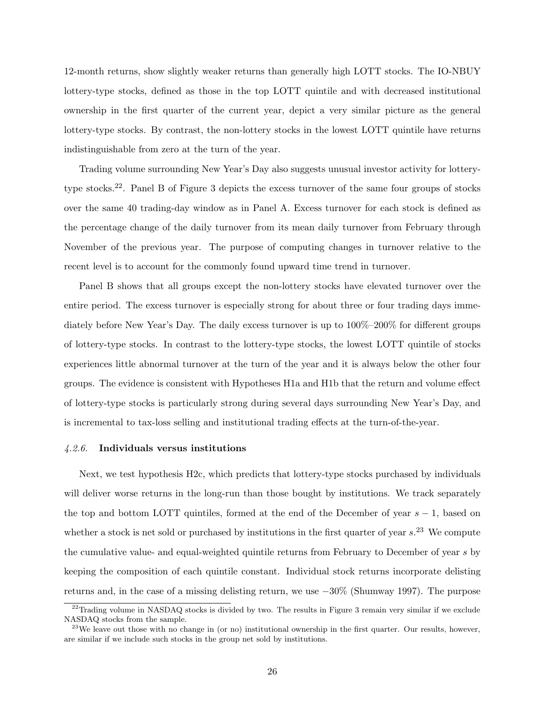12-month returns, show slightly weaker returns than generally high LOTT stocks. The IO-NBUY lottery-type stocks, defined as those in the top LOTT quintile and with decreased institutional ownership in the first quarter of the current year, depict a very similar picture as the general lottery-type stocks. By contrast, the non-lottery stocks in the lowest LOTT quintile have returns indistinguishable from zero at the turn of the year.

Trading volume surrounding New Year's Day also suggests unusual investor activity for lotterytype stocks.22. Panel B of Figure 3 depicts the excess turnover of the same four groups of stocks over the same 40 trading-day window as in Panel A. Excess turnover for each stock is defined as the percentage change of the daily turnover from its mean daily turnover from February through November of the previous year. The purpose of computing changes in turnover relative to the recent level is to account for the commonly found upward time trend in turnover.

Panel B shows that all groups except the non-lottery stocks have elevated turnover over the entire period. The excess turnover is especially strong for about three or four trading days immediately before New Year's Day. The daily excess turnover is up to 100%–200% for different groups of lottery-type stocks. In contrast to the lottery-type stocks, the lowest LOTT quintile of stocks experiences little abnormal turnover at the turn of the year and it is always below the other four groups. The evidence is consistent with Hypotheses H1a and H1b that the return and volume effect of lottery-type stocks is particularly strong during several days surrounding New Year's Day, and is incremental to tax-loss selling and institutional trading effects at the turn-of-the-year.

#### 4.2.6. Individuals versus institutions

Next, we test hypothesis H2c, which predicts that lottery-type stocks purchased by individuals will deliver worse returns in the long-run than those bought by institutions. We track separately the top and bottom LOTT quintiles, formed at the end of the December of year  $s - 1$ , based on whether a stock is net sold or purchased by institutions in the first quarter of year  $s$ .<sup>23</sup> We compute the cumulative value- and equal-weighted quintile returns from February to December of year s by keeping the composition of each quintile constant. Individual stock returns incorporate delisting returns and, in the case of a missing delisting return, we use −30% (Shumway 1997). The purpose

<sup>&</sup>lt;sup>22</sup>Trading volume in NASDAQ stocks is divided by two. The results in Figure 3 remain very similar if we exclude NASDAQ stocks from the sample.

 $23$ We leave out those with no change in (or no) institutional ownership in the first quarter. Our results, however, are similar if we include such stocks in the group net sold by institutions.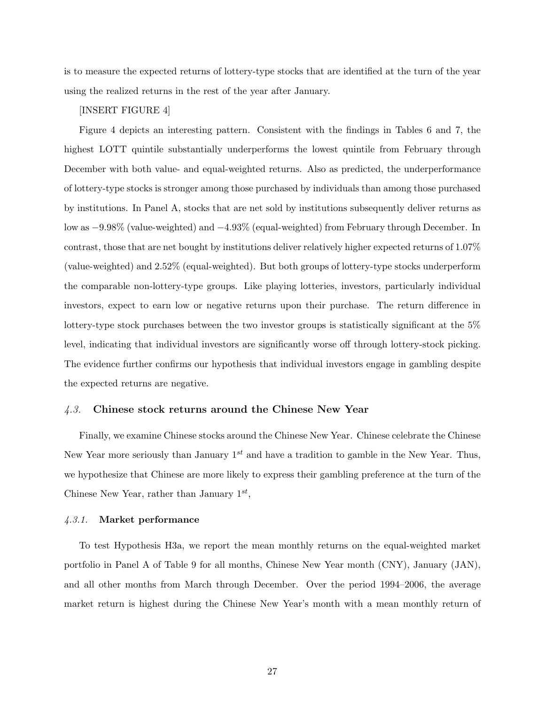is to measure the expected returns of lottery-type stocks that are identified at the turn of the year using the realized returns in the rest of the year after January.

# [INSERT FIGURE 4]

Figure 4 depicts an interesting pattern. Consistent with the findings in Tables 6 and 7, the highest LOTT quintile substantially underperforms the lowest quintile from February through December with both value- and equal-weighted returns. Also as predicted, the underperformance of lottery-type stocks is stronger among those purchased by individuals than among those purchased by institutions. In Panel A, stocks that are net sold by institutions subsequently deliver returns as low as −9.98% (value-weighted) and −4.93% (equal-weighted) from February through December. In contrast, those that are net bought by institutions deliver relatively higher expected returns of 1.07% (value-weighted) and 2.52% (equal-weighted). But both groups of lottery-type stocks underperform the comparable non-lottery-type groups. Like playing lotteries, investors, particularly individual investors, expect to earn low or negative returns upon their purchase. The return difference in lottery-type stock purchases between the two investor groups is statistically significant at the 5% level, indicating that individual investors are significantly worse off through lottery-stock picking. The evidence further confirms our hypothesis that individual investors engage in gambling despite the expected returns are negative.

# 4.3. Chinese stock returns around the Chinese New Year

Finally, we examine Chinese stocks around the Chinese New Year. Chinese celebrate the Chinese New Year more seriously than January  $1^{st}$  and have a tradition to gamble in the New Year. Thus, we hypothesize that Chinese are more likely to express their gambling preference at the turn of the Chinese New Year, rather than January  $1^{st}$ ,

# 4.3.1. Market performance

To test Hypothesis H3a, we report the mean monthly returns on the equal-weighted market portfolio in Panel A of Table 9 for all months, Chinese New Year month (CNY), January (JAN), and all other months from March through December. Over the period 1994–2006, the average market return is highest during the Chinese New Year's month with a mean monthly return of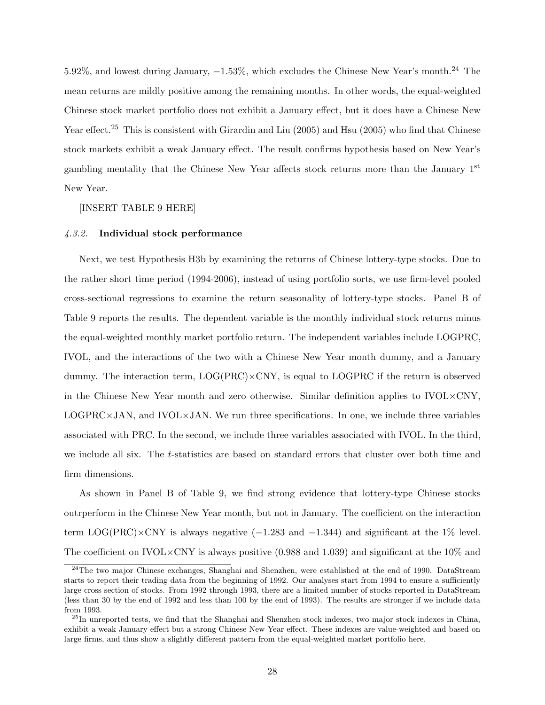5.92%, and lowest during January, −1.53%, which excludes the Chinese New Year's month.<sup>24</sup> The mean returns are mildly positive among the remaining months. In other words, the equal-weighted Chinese stock market portfolio does not exhibit a January effect, but it does have a Chinese New Year effect.<sup>25</sup> This is consistent with Girardin and Liu (2005) and Hsu (2005) who find that Chinese stock markets exhibit a weak January effect. The result confirms hypothesis based on New Year's gambling mentality that the Chinese New Year affects stock returns more than the January 1st New Year.

[INSERT TABLE 9 HERE]

## 4.3.2. Individual stock performance

Next, we test Hypothesis H3b by examining the returns of Chinese lottery-type stocks. Due to the rather short time period (1994-2006), instead of using portfolio sorts, we use firm-level pooled cross-sectional regressions to examine the return seasonality of lottery-type stocks. Panel B of Table 9 reports the results. The dependent variable is the monthly individual stock returns minus the equal-weighted monthly market portfolio return. The independent variables include LOGPRC, IVOL, and the interactions of the two with a Chinese New Year month dummy, and a January dummy. The interaction term,  $LOG(PRC) \times CNY$ , is equal to LOGPRC if the return is observed in the Chinese New Year month and zero otherwise. Similar definition applies to  $\text{IVOL} \times \text{CNN}$ ,  $LOGPRC\times JAN$ , and  $IVOL\times JAN$ . We run three specifications. In one, we include three variables associated with PRC. In the second, we include three variables associated with IVOL. In the third, we include all six. The t-statistics are based on standard errors that cluster over both time and firm dimensions.

As shown in Panel B of Table 9, we find strong evidence that lottery-type Chinese stocks outrperform in the Chinese New Year month, but not in January. The coefficient on the interaction term LOG(PRC)×CNY is always negative  $(-1.283 \text{ and } -1.344)$  and significant at the 1% level. The coefficient on IVOL $\times$ CNY is always positive (0.988 and 1.039) and significant at the 10% and

<sup>&</sup>lt;sup>24</sup>The two major Chinese exchanges, Shanghai and Shenzhen, were established at the end of 1990. DataStream starts to report their trading data from the beginning of 1992. Our analyses start from 1994 to ensure a sufficiently large cross section of stocks. From 1992 through 1993, there are a limited number of stocks reported in DataStream (less than 30 by the end of 1992 and less than 100 by the end of 1993). The results are stronger if we include data from 1993.

<sup>&</sup>lt;sup>25</sup>In unreported tests, we find that the Shanghai and Shenzhen stock indexes, two major stock indexes in China, exhibit a weak January effect but a strong Chinese New Year effect. These indexes are value-weighted and based on large firms, and thus show a slightly different pattern from the equal-weighted market portfolio here.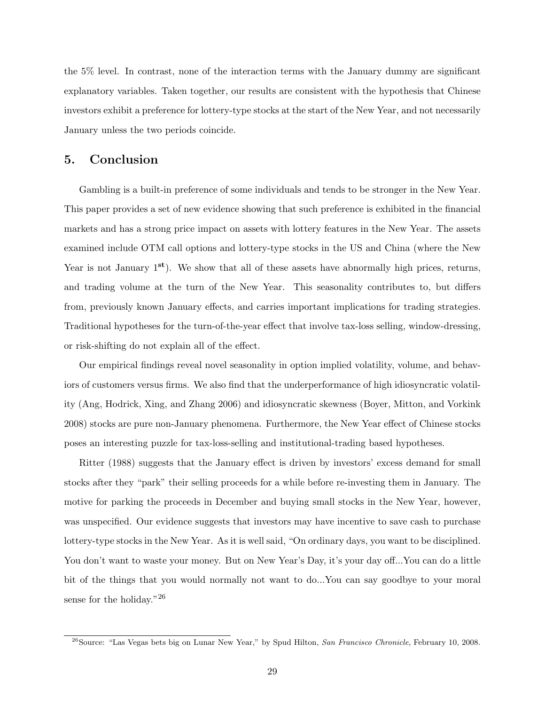the 5% level. In contrast, none of the interaction terms with the January dummy are significant explanatory variables. Taken together, our results are consistent with the hypothesis that Chinese investors exhibit a preference for lottery-type stocks at the start of the New Year, and not necessarily January unless the two periods coincide.

# 5. Conclusion

Gambling is a built-in preference of some individuals and tends to be stronger in the New Year. This paper provides a set of new evidence showing that such preference is exhibited in the financial markets and has a strong price impact on assets with lottery features in the New Year. The assets examined include OTM call options and lottery-type stocks in the US and China (where the New Year is not January  $1^{st}$ ). We show that all of these assets have abnormally high prices, returns, and trading volume at the turn of the New Year. This seasonality contributes to, but differs from, previously known January effects, and carries important implications for trading strategies. Traditional hypotheses for the turn-of-the-year effect that involve tax-loss selling, window-dressing, or risk-shifting do not explain all of the effect.

Our empirical findings reveal novel seasonality in option implied volatility, volume, and behaviors of customers versus firms. We also find that the underperformance of high idiosyncratic volatility (Ang, Hodrick, Xing, and Zhang 2006) and idiosyncratic skewness (Boyer, Mitton, and Vorkink 2008) stocks are pure non-January phenomena. Furthermore, the New Year effect of Chinese stocks poses an interesting puzzle for tax-loss-selling and institutional-trading based hypotheses.

Ritter (1988) suggests that the January effect is driven by investors' excess demand for small stocks after they "park" their selling proceeds for a while before re-investing them in January. The motive for parking the proceeds in December and buying small stocks in the New Year, however, was unspecified. Our evidence suggests that investors may have incentive to save cash to purchase lottery-type stocks in the New Year. As it is well said, "On ordinary days, you want to be disciplined. You don't want to waste your money. But on New Year's Day, it's your day off...You can do a little bit of the things that you would normally not want to do...You can say goodbye to your moral sense for the holiday."<sup>26</sup>

<sup>&</sup>lt;sup>26</sup>Source: "Las Vegas bets big on Lunar New Year," by Spud Hilton, San Francisco Chronicle, February 10, 2008.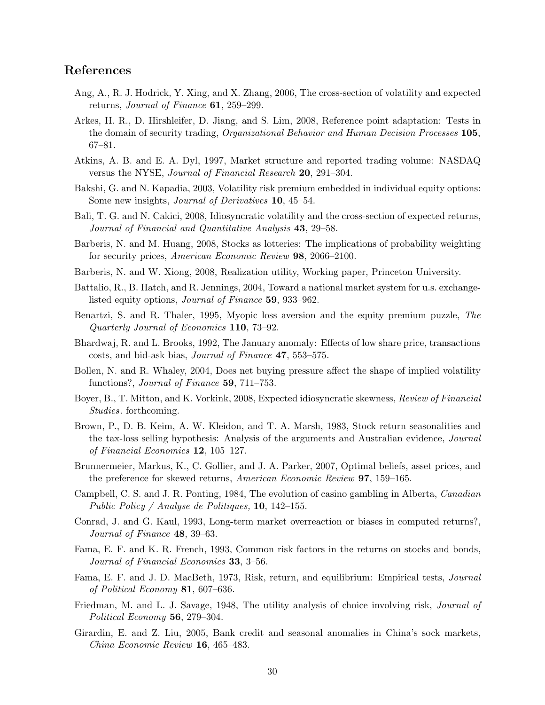# References

- Ang, A., R. J. Hodrick, Y. Xing, and X. Zhang, 2006, The cross-section of volatility and expected returns, Journal of Finance 61, 259–299.
- Arkes, H. R., D. Hirshleifer, D. Jiang, and S. Lim, 2008, Reference point adaptation: Tests in the domain of security trading, Organizational Behavior and Human Decision Processes 105, 67–81.
- Atkins, A. B. and E. A. Dyl, 1997, Market structure and reported trading volume: NASDAQ versus the NYSE, Journal of Financial Research 20, 291–304.
- Bakshi, G. and N. Kapadia, 2003, Volatility risk premium embedded in individual equity options: Some new insights, Journal of Derivatives 10, 45–54.
- Bali, T. G. and N. Cakici, 2008, Idiosyncratic volatility and the cross-section of expected returns, Journal of Financial and Quantitative Analysis 43, 29–58.
- Barberis, N. and M. Huang, 2008, Stocks as lotteries: The implications of probability weighting for security prices, American Economic Review 98, 2066–2100.
- Barberis, N. and W. Xiong, 2008, Realization utility, Working paper, Princeton University.
- Battalio, R., B. Hatch, and R. Jennings, 2004, Toward a national market system for u.s. exchangelisted equity options, Journal of Finance 59, 933–962.
- Benartzi, S. and R. Thaler, 1995, Myopic loss aversion and the equity premium puzzle, The Quarterly Journal of Economics 110, 73–92.
- Bhardwaj, R. and L. Brooks, 1992, The January anomaly: Effects of low share price, transactions costs, and bid-ask bias, Journal of Finance 47, 553–575.
- Bollen, N. and R. Whaley, 2004, Does net buying pressure affect the shape of implied volatility functions?, Journal of Finance 59, 711–753.
- Boyer, B., T. Mitton, and K. Vorkink, 2008, Expected idiosyncratic skewness, Review of Financial Studies. forthcoming.
- Brown, P., D. B. Keim, A. W. Kleidon, and T. A. Marsh, 1983, Stock return seasonalities and the tax-loss selling hypothesis: Analysis of the arguments and Australian evidence, Journal of Financial Economics 12, 105–127.
- Brunnermeier, Markus, K., C. Gollier, and J. A. Parker, 2007, Optimal beliefs, asset prices, and the preference for skewed returns, American Economic Review 97, 159–165.
- Campbell, C. S. and J. R. Ponting, 1984, The evolution of casino gambling in Alberta, Canadian Public Policy / Analyse de Politiques, 10, 142–155.
- Conrad, J. and G. Kaul, 1993, Long-term market overreaction or biases in computed returns?, Journal of Finance 48, 39–63.
- Fama, E. F. and K. R. French, 1993, Common risk factors in the returns on stocks and bonds, Journal of Financial Economics 33, 3–56.
- Fama, E. F. and J. D. MacBeth, 1973, Risk, return, and equilibrium: Empirical tests, Journal of Political Economy 81, 607–636.
- Friedman, M. and L. J. Savage, 1948, The utility analysis of choice involving risk, *Journal of* Political Economy 56, 279–304.
- Girardin, E. and Z. Liu, 2005, Bank credit and seasonal anomalies in China's sock markets, China Economic Review 16, 465–483.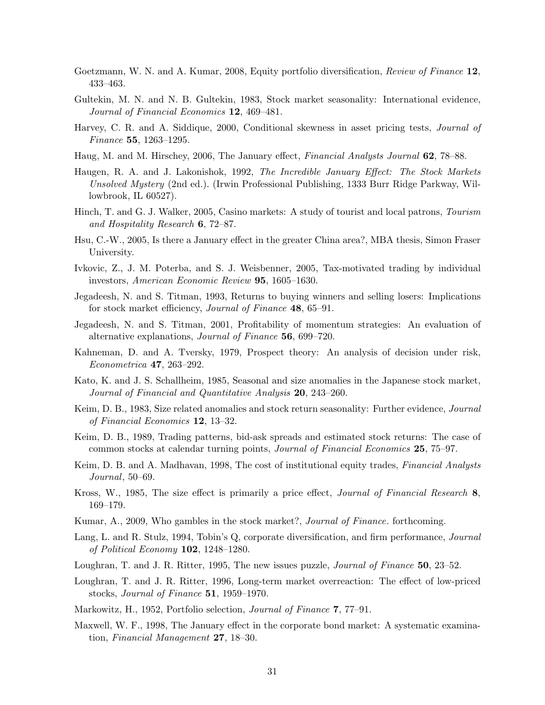- Goetzmann, W. N. and A. Kumar, 2008, Equity portfolio diversification, Review of Finance 12, 433–463.
- Gultekin, M. N. and N. B. Gultekin, 1983, Stock market seasonality: International evidence, Journal of Financial Economics 12, 469-481.
- Harvey, C. R. and A. Siddique, 2000, Conditional skewness in asset pricing tests, *Journal of* Finance 55, 1263–1295.
- Haug, M. and M. Hirschey, 2006, The January effect, Financial Analysts Journal 62, 78–88.
- Haugen, R. A. and J. Lakonishok, 1992, The Incredible January Effect: The Stock Markets Unsolved Mystery (2nd ed.). (Irwin Professional Publishing, 1333 Burr Ridge Parkway, Willowbrook, IL 60527).
- Hinch, T. and G. J. Walker, 2005, Casino markets: A study of tourist and local patrons, Tourism and Hospitality Research 6, 72–87.
- Hsu, C.-W., 2005, Is there a January effect in the greater China area?, MBA thesis, Simon Fraser University.
- Ivkovic, Z., J. M. Poterba, and S. J. Weisbenner, 2005, Tax-motivated trading by individual investors, American Economic Review 95, 1605–1630.
- Jegadeesh, N. and S. Titman, 1993, Returns to buying winners and selling losers: Implications for stock market efficiency, Journal of Finance 48, 65–91.
- Jegadeesh, N. and S. Titman, 2001, Profitability of momentum strategies: An evaluation of alternative explanations, Journal of Finance 56, 699–720.
- Kahneman, D. and A. Tversky, 1979, Prospect theory: An analysis of decision under risk, Econometrica 47, 263–292.
- Kato, K. and J. S. Schallheim, 1985, Seasonal and size anomalies in the Japanese stock market, Journal of Financial and Quantitative Analysis 20, 243–260.
- Keim, D. B., 1983, Size related anomalies and stock return seasonality: Further evidence, *Journal* of Financial Economics 12, 13–32.
- Keim, D. B., 1989, Trading patterns, bid-ask spreads and estimated stock returns: The case of common stocks at calendar turning points, Journal of Financial Economics 25, 75–97.
- Keim, D. B. and A. Madhavan, 1998, The cost of institutional equity trades, Financial Analysts Journal, 50–69.
- Kross, W., 1985, The size effect is primarily a price effect, Journal of Financial Research 8, 169–179.
- Kumar, A., 2009, Who gambles in the stock market?, *Journal of Finance*. forthcoming.
- Lang, L. and R. Stulz, 1994, Tobin's Q, corporate diversification, and firm performance, *Journal* of Political Economy 102, 1248–1280.
- Loughran, T. and J. R. Ritter, 1995, The new issues puzzle, *Journal of Finance* 50, 23–52.
- Loughran, T. and J. R. Ritter, 1996, Long-term market overreaction: The effect of low-priced stocks, Journal of Finance 51, 1959–1970.
- Markowitz, H., 1952, Portfolio selection, Journal of Finance 7, 77–91.
- Maxwell, W. F., 1998, The January effect in the corporate bond market: A systematic examination, Financial Management 27, 18–30.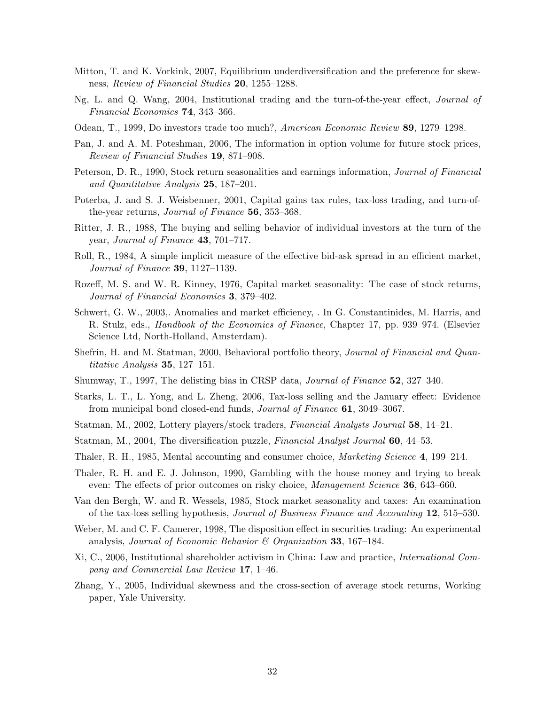- Mitton, T. and K. Vorkink, 2007, Equilibrium underdiversification and the preference for skewness, Review of Financial Studies 20, 1255–1288.
- Ng, L. and Q. Wang, 2004, Institutional trading and the turn-of-the-year effect, Journal of Financial Economics 74, 343–366.
- Odean, T., 1999, Do investors trade too much?, American Economic Review 89, 1279–1298.
- Pan, J. and A. M. Poteshman, 2006, The information in option volume for future stock prices, Review of Financial Studies 19, 871–908.
- Peterson, D. R., 1990, Stock return seasonalities and earnings information, Journal of Financial and Quantitative Analysis 25, 187–201.
- Poterba, J. and S. J. Weisbenner, 2001, Capital gains tax rules, tax-loss trading, and turn-ofthe-year returns, *Journal of Finance* 56, 353–368.
- Ritter, J. R., 1988, The buying and selling behavior of individual investors at the turn of the year, Journal of Finance 43, 701–717.
- Roll, R., 1984, A simple implicit measure of the effective bid-ask spread in an efficient market, Journal of Finance 39, 1127–1139.
- Rozeff, M. S. and W. R. Kinney, 1976, Capital market seasonality: The case of stock returns, Journal of Financial Economics 3, 379–402.
- Schwert, G. W., 2003,. Anomalies and market efficiency, . In G. Constantinides, M. Harris, and R. Stulz, eds., Handbook of the Economics of Finance, Chapter 17, pp. 939–974. (Elsevier Science Ltd, North-Holland, Amsterdam).
- Shefrin, H. and M. Statman, 2000, Behavioral portfolio theory, Journal of Financial and Quantitative Analysis 35, 127–151.
- Shumway, T., 1997, The delisting bias in CRSP data, Journal of Finance 52, 327–340.
- Starks, L. T., L. Yong, and L. Zheng, 2006, Tax-loss selling and the January effect: Evidence from municipal bond closed-end funds, Journal of Finance 61, 3049–3067.
- Statman, M., 2002, Lottery players/stock traders, Financial Analysts Journal 58, 14–21.
- Statman, M., 2004, The diversification puzzle, Financial Analyst Journal 60, 44–53.
- Thaler, R. H., 1985, Mental accounting and consumer choice, Marketing Science 4, 199–214.
- Thaler, R. H. and E. J. Johnson, 1990, Gambling with the house money and trying to break even: The effects of prior outcomes on risky choice, *Management Science* 36, 643–660.
- Van den Bergh, W. and R. Wessels, 1985, Stock market seasonality and taxes: An examination of the tax-loss selling hypothesis, Journal of Business Finance and Accounting 12, 515–530.
- Weber, M. and C. F. Camerer, 1998, The disposition effect in securities trading: An experimental analysis, Journal of Economic Behavior  $\mathcal C$  Organization 33, 167–184.
- Xi, C., 2006, Institutional shareholder activism in China: Law and practice, International Company and Commercial Law Review 17, 1–46.
- Zhang, Y., 2005, Individual skewness and the cross-section of average stock returns, Working paper, Yale University.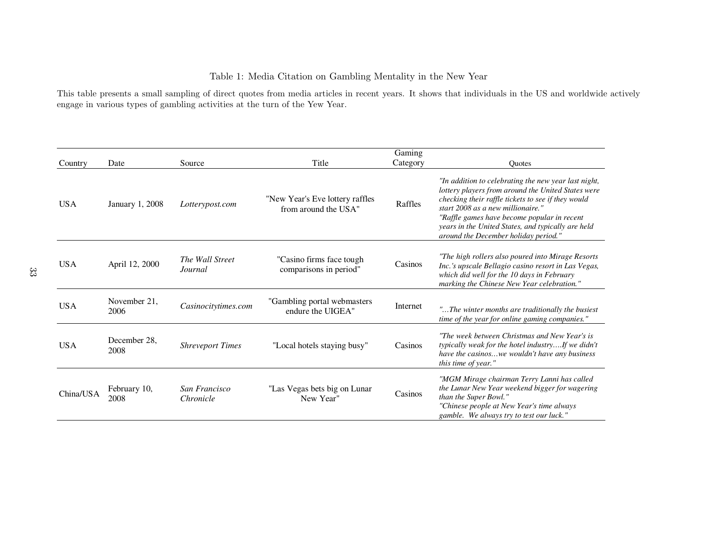# Table 1: Media Citation on Gambling Mentality in the New Year

This table presents <sup>a</sup> small sampling of direct quotes from media articles in recent years. It shows that individuals in the US and worldwide activelyengage in various types of gambling activities at the turn of the Yew Year.

|            |                      |                            |                                                         | Gaming   |                                                                                                                                                                                                                                                                                                                                                    |
|------------|----------------------|----------------------------|---------------------------------------------------------|----------|----------------------------------------------------------------------------------------------------------------------------------------------------------------------------------------------------------------------------------------------------------------------------------------------------------------------------------------------------|
| Country    | Date                 | Source                     | Title                                                   | Category | <b>Ouotes</b>                                                                                                                                                                                                                                                                                                                                      |
| <b>USA</b> | January 1, 2008      | Lotterypost.com            | "New Year's Eve lottery raffles<br>from around the USA" | Raffles  | "In addition to celebrating the new year last night,<br>lottery players from around the United States were<br>checking their raffle tickets to see if they would<br>start 2008 as a new millionaire."<br>"Raffle games have become popular in recent<br>years in the United States, and typically are held<br>around the December holiday period." |
| <b>USA</b> | April 12, 2000       | The Wall Street<br>Journal | "Casino firms face tough<br>comparisons in period"      | Casinos  | "The high rollers also poured into Mirage Resorts"<br>Inc.'s upscale Bellagio casino resort in Las Vegas,<br>which did well for the 10 days in February<br>marking the Chinese New Year celebration."                                                                                                                                              |
| <b>USA</b> | November 21,<br>2006 | Casinocitytimes.com        | "Gambling portal webmasters<br>endure the UIGEA"        | Internet | "The winter months are traditionally the busiest<br>time of the year for online gaming companies."                                                                                                                                                                                                                                                 |
| <b>USA</b> | December 28,<br>2008 | <b>Shreveport Times</b>    | "Local hotels staying busy"                             | Casinos  | "The week between Christmas and New Year's is<br>typically weak for the hotel industryIf we didn't<br>have the casinoswe wouldn't have any business<br>this time of year."                                                                                                                                                                         |
| China/USA  | February 10,<br>2008 | San Francisco<br>Chronicle | "Las Vegas bets big on Lunar<br>New Year"               | Casinos  | "MGM Mirage chairman Terry Lanni has called<br>the Lunar New Year weekend bigger for wagering<br>than the Super Bowl."<br>"Chinese people at New Year's time always<br>gamble. We always try to test our luck."                                                                                                                                    |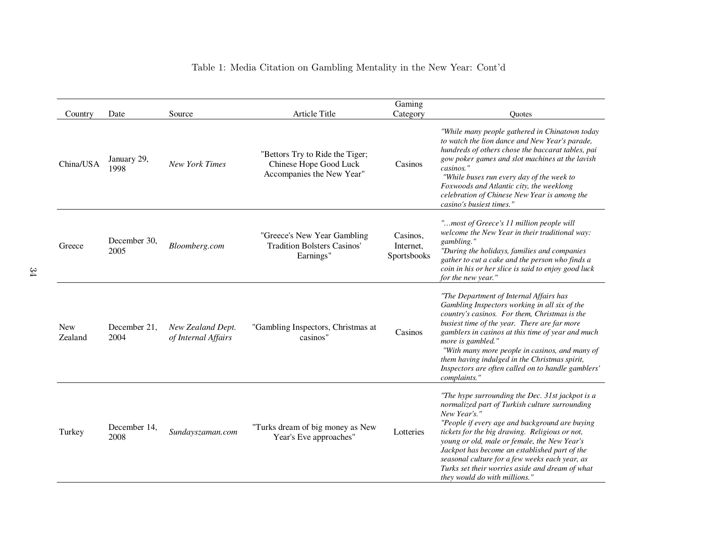# Table 1: Media Citation on Gambling Mentality in the New Year: Cont'd

|                       |                      |                                          |                                                                                        | Gaming                               |                                                                                                                                                                                                                                                                                                                                                                                                                                                               |
|-----------------------|----------------------|------------------------------------------|----------------------------------------------------------------------------------------|--------------------------------------|---------------------------------------------------------------------------------------------------------------------------------------------------------------------------------------------------------------------------------------------------------------------------------------------------------------------------------------------------------------------------------------------------------------------------------------------------------------|
| Country               | Date                 | Source                                   | Article Title                                                                          | Category                             | <b>Ouotes</b>                                                                                                                                                                                                                                                                                                                                                                                                                                                 |
| China/USA             | January 29,<br>1998  | <b>New York Times</b>                    | "Bettors Try to Ride the Tiger;<br>Chinese Hope Good Luck<br>Accompanies the New Year" | Casinos                              | "While many people gathered in Chinatown today<br>to watch the lion dance and New Year's parade,<br>hundreds of others chose the baccarat tables, pai<br>gow poker games and slot machines at the lavish<br>casinos."<br>"While buses run every day of the week to<br>Foxwoods and Atlantic city, the weeklong<br>celebration of Chinese New Year is among the<br>casino's busiest times."                                                                    |
| Greece                | December 30,<br>2005 | Bloomberg.com                            | "Greece's New Year Gambling<br><b>Tradition Bolsters Casinos'</b><br>Earnings"         | Casinos,<br>Internet,<br>Sportsbooks | "most of Greece's 11 million people will<br>welcome the New Year in their traditional way:<br>gambling."<br>"During the holidays, families and companies<br>gather to cut a cake and the person who finds a<br>coin in his or her slice is said to enjoy good luck<br>for the new year."                                                                                                                                                                      |
| <b>New</b><br>Zealand | December 21,<br>2004 | New Zealand Dept.<br>of Internal Affairs | "Gambling Inspectors, Christmas at<br>casinos"                                         | Casinos                              | "The Department of Internal Affairs has<br>Gambling Inspectors working in all six of the<br>country's casinos. For them, Christmas is the<br>busiest time of the year. There are far more<br>gamblers in casinos at this time of year and much<br>more is gambled."<br>"With many more people in casinos, and many of<br>them having indulged in the Christmas spirit,<br>Inspectors are often called on to handle gamblers'<br>complaints."                  |
| Turkey                | December 14,<br>2008 | Sundayszaman.com                         | "Turks dream of big money as New<br>Year's Eve approaches"                             | Lotteries                            | "The hype surrounding the Dec. 31st jackpot is a<br>normalized part of Turkish culture surrounding<br>New Year's."<br>"People if every age and background are buying<br>tickets for the big drawing. Religious or not,<br>young or old, male or female, the New Year's<br>Jackpot has become an established part of the<br>seasonal culture for a few weeks each year, as<br>Turks set their worries aside and dream of what<br>they would do with millions." |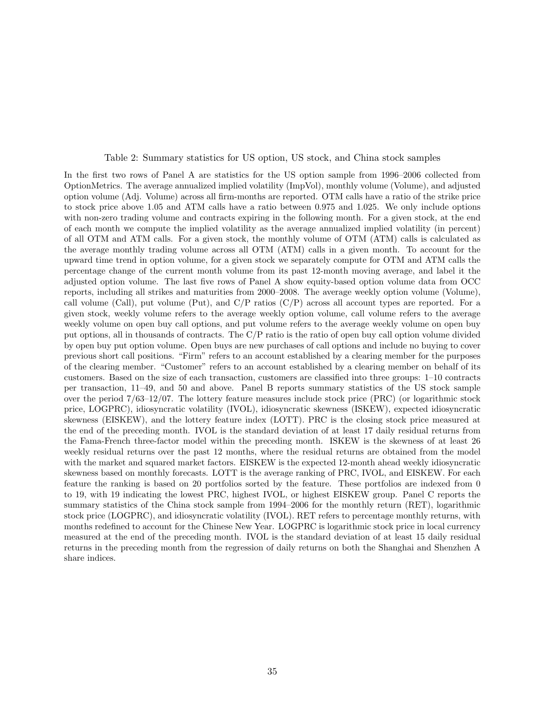#### Table 2: Summary statistics for US option, US stock, and China stock samples

In the first two rows of Panel A are statistics for the US option sample from 1996–2006 collected from OptionMetrics. The average annualized implied volatility (ImpVol), monthly volume (Volume), and adjusted option volume (Adj. Volume) across all firm-months are reported. OTM calls have a ratio of the strike price to stock price above 1.05 and ATM calls have a ratio between 0.975 and 1.025. We only include options with non-zero trading volume and contracts expiring in the following month. For a given stock, at the end of each month we compute the implied volatility as the average annualized implied volatility (in percent) of all OTM and ATM calls. For a given stock, the monthly volume of OTM (ATM) calls is calculated as the average monthly trading volume across all OTM (ATM) calls in a given month. To account for the upward time trend in option volume, for a given stock we separately compute for OTM and ATM calls the percentage change of the current month volume from its past 12-month moving average, and label it the adjusted option volume. The last five rows of Panel A show equity-based option volume data from OCC reports, including all strikes and maturities from 2000–2008. The average weekly option volume (Volume), call volume (Call), put volume (Put), and  $C/P$  ratios  $(C/P)$  across all account types are reported. For a given stock, weekly volume refers to the average weekly option volume, call volume refers to the average weekly volume on open buy call options, and put volume refers to the average weekly volume on open buy put options, all in thousands of contracts. The C/P ratio is the ratio of open buy call option volume divided by open buy put option volume. Open buys are new purchases of call options and include no buying to cover previous short call positions. "Firm" refers to an account established by a clearing member for the purposes of the clearing member. "Customer" refers to an account established by a clearing member on behalf of its customers. Based on the size of each transaction, customers are classified into three groups: 1–10 contracts per transaction, 11–49, and 50 and above. Panel B reports summary statistics of the US stock sample over the period 7/63–12/07. The lottery feature measures include stock price (PRC) (or logarithmic stock price, LOGPRC), idiosyncratic volatility (IVOL), idiosyncratic skewness (ISKEW), expected idiosyncratic skewness (EISKEW), and the lottery feature index (LOTT). PRC is the closing stock price measured at the end of the preceding month. IVOL is the standard deviation of at least 17 daily residual returns from the Fama-French three-factor model within the preceding month. ISKEW is the skewness of at least 26 weekly residual returns over the past 12 months, where the residual returns are obtained from the model with the market and squared market factors. EISKEW is the expected 12-month ahead weekly idiosyncratic skewness based on monthly forecasts. LOTT is the average ranking of PRC, IVOL, and EISKEW. For each feature the ranking is based on 20 portfolios sorted by the feature. These portfolios are indexed from 0 to 19, with 19 indicating the lowest PRC, highest IVOL, or highest EISKEW group. Panel C reports the summary statistics of the China stock sample from 1994–2006 for the monthly return (RET), logarithmic stock price (LOGPRC), and idiosyncratic volatility (IVOL). RET refers to percentage monthly returns, with months redefined to account for the Chinese New Year. LOGPRC is logarithmic stock price in local currency measured at the end of the preceding month. IVOL is the standard deviation of at least 15 daily residual returns in the preceding month from the regression of daily returns on both the Shanghai and Shenzhen A share indices.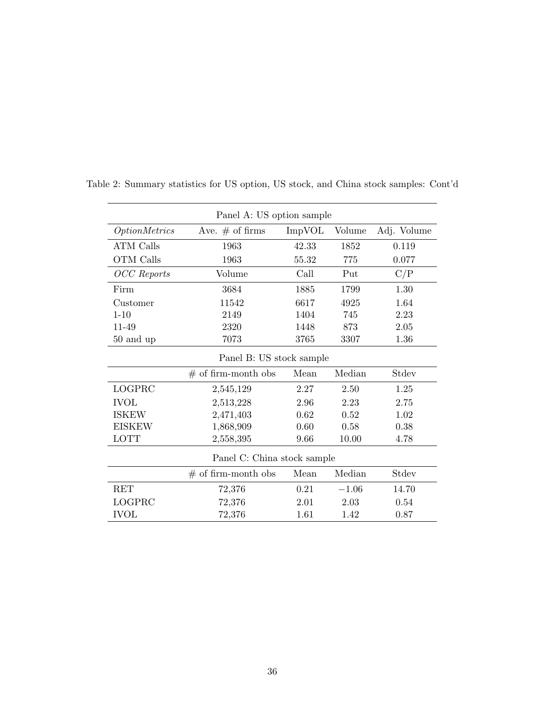|                          | Panel A: US option sample   |        |         |             |  |  |  |  |
|--------------------------|-----------------------------|--------|---------|-------------|--|--|--|--|
| <i>OptionMetrics</i>     | Ave. $#$ of firms           | ImpVOL | Volume  | Adj. Volume |  |  |  |  |
| <b>ATM Calls</b>         | 1963                        | 42.33  | 1852    | 0.119       |  |  |  |  |
| OTM Calls                | 1963                        | 55.32  | 775     | 0.077       |  |  |  |  |
| <b>OCC</b> Reports       | Volume                      | Call   | Put     | C/P         |  |  |  |  |
| Firm                     | 3684                        | 1885   | 1799    | 1.30        |  |  |  |  |
| Customer                 | 11542                       | 6617   | 4925    | 1.64        |  |  |  |  |
| $1 - 10$                 | 2149                        | 1404   | 745     | 2.23        |  |  |  |  |
| 11-49                    | 2320                        | 1448   | 873     | 2.05        |  |  |  |  |
| 50 and up                | 7073                        | 3765   | 3307    | 1.36        |  |  |  |  |
| Panel B: US stock sample |                             |        |         |             |  |  |  |  |
|                          | $#$ of firm-month obs       | Mean   | Median  | Stdev       |  |  |  |  |
| LOGPRC                   | 2,545,129                   | 2.27   | 2.50    | 1.25        |  |  |  |  |
| <b>IVOL</b>              | 2,513,228                   | 2.96   | 2.23    | 2.75        |  |  |  |  |
| <b>ISKEW</b>             | 2,471,403                   | 0.62   | 0.52    | 1.02        |  |  |  |  |
| <b>EISKEW</b>            | 1,868,909                   | 0.60   | 0.58    | 0.38        |  |  |  |  |
| <b>LOTT</b>              | 2,558,395                   | 9.66   | 10.00   | 4.78        |  |  |  |  |
|                          | Panel C: China stock sample |        |         |             |  |  |  |  |
|                          | $#$ of firm-month obs       | Mean   | Median  | Stdev       |  |  |  |  |
| <b>RET</b>               | 72,376                      | 0.21   | $-1.06$ | 14.70       |  |  |  |  |
| LOGPRC                   | 72,376                      | 2.01   | 2.03    | 0.54        |  |  |  |  |
| <b>IVOL</b>              | 72,376                      | 1.61   | 1.42    | 0.87        |  |  |  |  |

Table 2: Summary statistics for US option, US stock, and China stock samples: Cont'd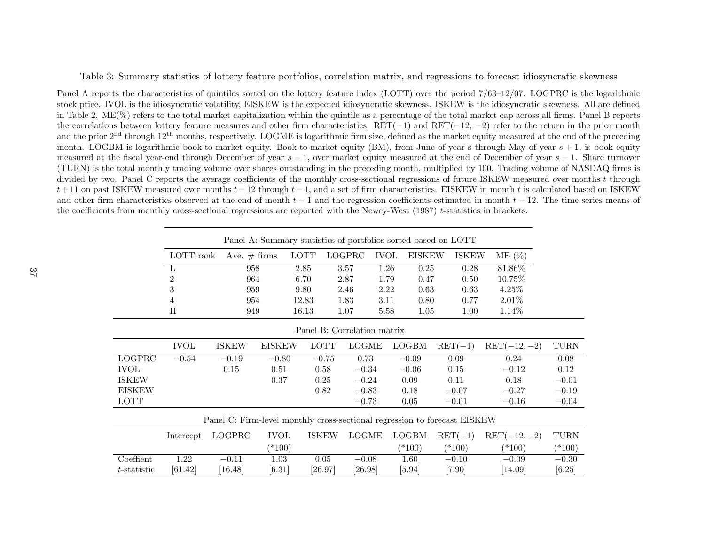Table 3: Summary statistics of lottery feature portfolios, correlation matrix, and regressions to forecast idiosyncratic skewness

Panel <sup>A</sup> reports the characteristics of quintiles sorted on the lottery feature index (LOTT) over the period 7/63–12/07. LOGPRC is the logarithmic stock price. IVOL is the idiosyncratic volatility, EISKEW is the expected idiosyncratic skewness. ISKEW is the idiosyncratic skewness. All are definedin Table 2. ME(%) refers to the total market capitalization within the quintile as a percentage of the total market cap across all firms. Panel B reports the correlations between lottery feature measures and other firm characteristics. RET(<sup>−</sup>1) and RET(−12,<sup>−</sup>2) refer to the return in the prior monthand the prior  $2<sup>nd</sup>$  through  $12<sup>th</sup>$  months, respectively. LOGME is logarithmic firm size, defined as the market equity measured at the end of the preceding month. LOGBM is logarithmic book-to-market equity. Book-to-market equity (BM), from June of year s through May of year  $s + 1$ , is book equity measured at the fiscal year-end through December of year  $s - 1$ , over market equity measured at the end of December of year  $s - 1$ . Share turnover (TURN) is the total monthly trading volume over shares outstanding in the preceding month, multiplied by 100. Trading volume of NASDAQ firms isdivided by two. Panel C reports the average coefficients of the monthly cross-sectional regressions of future ISKEW measured over months  $t$  through  $t+11$  on past ISKEW measured over months  $t-12$  through  $t-1$ , and a set of firm characteristics. EISKEW in month t is calculated based on ISKEW and other firm characteristics observed at the end of month  $t - 1$  and the regression coefficients estimated in month  $t - 12$ . The time series means of the coefficients from monthly cross-sectional regressions are reported with the Newey-West (1987) t-statistics in brackets.

|                | Panel A: Summary statistics of portfolios sorted based on LOTT |                |               |                       |              |             |               |                                                                           |               |             |  |
|----------------|----------------------------------------------------------------|----------------|---------------|-----------------------|--------------|-------------|---------------|---------------------------------------------------------------------------|---------------|-------------|--|
|                | LOTT rank                                                      | Ave. $# firms$ |               | <b>LOTT</b><br>LOGPRC |              | <b>IVOL</b> | <b>EISKEW</b> | <b>ISKEW</b>                                                              | $ME(\%)$      |             |  |
|                | L                                                              | 958            |               | 2.85<br>3.57          |              | 1.26        | 0.25          | 0.28                                                                      | 81.86%        |             |  |
|                | $\overline{2}$                                                 | 964            |               | 6.70                  | 2.87         | 1.79        | 0.47          | 0.50                                                                      | 10.75%        |             |  |
|                | $\boldsymbol{3}$                                               | 959            |               | 9.80                  | 2.46         | 2.22        | 0.63          | 0.63                                                                      | 4.25\%        |             |  |
|                | 4                                                              | 954            |               | 12.83                 | 1.83         | 3.11        | 0.80          | 0.77                                                                      | $2.01\%$      |             |  |
|                | H                                                              | 949            |               | 16.13                 | 1.07         | 5.58        | 1.05          | 1.00                                                                      | 1.14\%        |             |  |
|                | Panel B: Correlation matrix                                    |                |               |                       |              |             |               |                                                                           |               |             |  |
|                | <b>IVOL</b>                                                    | <b>ISKEW</b>   | <b>EISKEW</b> | <b>LOTT</b>           | <b>LOGME</b> |             | LOGBM         | $\operatorname{RET}(-1)$                                                  | $RET(-12,-2)$ | <b>TURN</b> |  |
| LOGPRC         | $-0.54$                                                        | $-0.19$        | $-0.80$       | $-0.75$               | 0.73         |             | $-0.09$       | 0.09                                                                      | 0.24          | 0.08        |  |
| <b>IVOL</b>    |                                                                | 0.15           | 0.51          | 0.58                  | $-0.34$      |             | $-0.06$       | 0.15                                                                      | $-0.12$       | 0.12        |  |
| <b>ISKEW</b>   |                                                                |                | 0.37          | 0.25                  | $-0.24$      |             | 0.09          | 0.11                                                                      | 0.18          | $-0.01$     |  |
| <b>EISKEW</b>  |                                                                |                |               | 0.82                  | $-0.83$      |             | 0.18          | $-0.07$                                                                   | $-0.27$       | $-0.19$     |  |
| <b>LOTT</b>    |                                                                |                |               |                       | $-0.73$      |             | 0.05          | $-0.01$                                                                   | $-0.16$       | $-0.04$     |  |
|                |                                                                |                |               |                       |              |             |               | Panel C: Firm-level monthly cross-sectional regression to forecast EISKEW |               |             |  |
|                | Intercept                                                      | LOGPRC         | <b>IVOL</b>   | <b>ISKEW</b>          | <b>LOGME</b> |             | <b>LOGBM</b>  | $\operatorname{RET}(-1)$                                                  | $RET(-12,-2)$ | TURN        |  |
|                |                                                                |                | $(*100)$      |                       |              |             | $(*100)$      | $(*100)$                                                                  | $(*100)$      | $(*100)$    |  |
| Coeffient      | 1.22                                                           | $-0.11$        | 1.03          | 0.05                  | $-0.08$      |             | 1.60          | $-0.10$                                                                   | $-0.09$       | $-0.30$     |  |
| $t$ -statistic | [61.42]                                                        | [16.48]        | $[6.31]$      | [26.97]               | [26.98]      |             | $[5.94]$      | $[7.90]$                                                                  | $[14.09]$     | $[6.25]$    |  |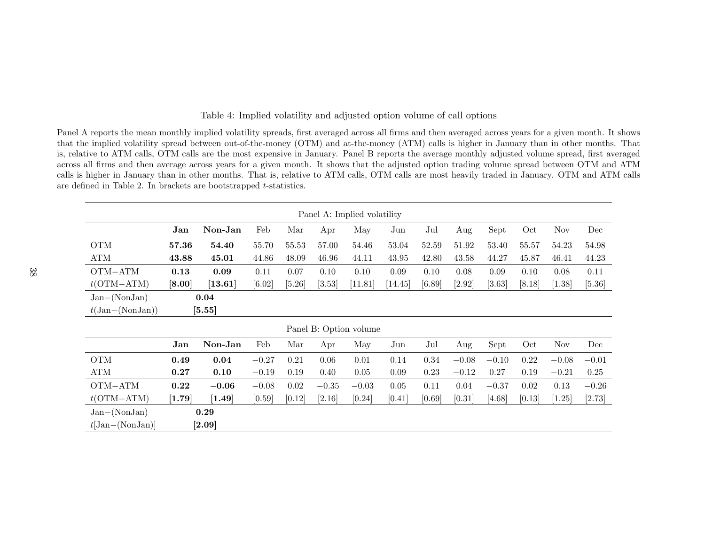# Table 4: Implied volatility and adjusted option volume of call options

Panel <sup>A</sup> reports the mean monthly implied volatility spreads, first averaged across all firms and then averaged across years for <sup>a</sup> <sup>g</sup>iven month. It shows that the implied volatility spread between out-of-the-money (OTM) and at-the-money (ATM) calls is higher in January than in other months. That is, relative to ATM calls, OTM calls are the most expensive in January. Panel <sup>B</sup> reports the average monthly adjusted volume spread, first averaged across all firms and then average across years for <sup>a</sup> <sup>g</sup>iven month. It shows that the adjusted option trading volume spread between OTM and ATM calls is higher in January than in other months. That is, relative to ATM calls, OTM calls are most heavily traded in January. OTM and ATM callsare defined in Table 2. In brackets are bootstrapped <sup>t</sup>-statistics.

|                                      | Panel A: Implied volatility |                              |         |        |          |                        |                      |        |          |          |        |            |          |
|--------------------------------------|-----------------------------|------------------------------|---------|--------|----------|------------------------|----------------------|--------|----------|----------|--------|------------|----------|
|                                      | Jan                         | Non-Jan                      | Feb     | Mar    | Apr      | May                    | Jun                  | Jul    | Aug      | Sept     | Oct    | <b>Nov</b> | Dec      |
| <b>OTM</b>                           | 57.36                       | 54.40                        | 55.70   | 55.53  | 57.00    | 54.46                  | 53.04                | 52.59  | 51.92    | 53.40    | 55.57  | 54.23      | 54.98    |
| ATM                                  | 43.88                       | 45.01                        | 44.86   | 48.09  | 46.96    | 44.11                  | 43.95                | 42.80  | 43.58    | 44.27    | 45.87  | 46.41      | 44.23    |
| OTM-ATM                              | 0.13                        | 0.09                         | 0.11    | 0.07   | 0.10     | 0.10                   | 0.09                 | 0.10   | 0.08     | 0.09     | 0.10   | 0.08       | 0.11     |
| $t$ (OTM-ATM)                        | [8.00]                      | $[13.61]$                    | [6.02]  | [5.26] | [3.53]   | [11.81]                | $\left[14.45\right]$ | [6.89] | $[2.92]$ | $[3.63]$ | [8.18] | [1.38]     | $[5.36]$ |
| $Jan-(NonJan)$                       |                             | 0.04                         |         |        |          |                        |                      |        |          |          |        |            |          |
| $t(\text{Jan}-(\text{NonJan}))$      |                             | $[5.55]$                     |         |        |          |                        |                      |        |          |          |        |            |          |
|                                      |                             |                              |         |        |          | Panel B: Option volume |                      |        |          |          |        |            |          |
|                                      | Jan                         | Non-Jan                      | Feb     | Mar    | Apr      | May                    | Jun                  | Jul    | Aug      | Sept     | Oct    | <b>Nov</b> | Dec      |
| <b>OTM</b>                           | 0.49                        | 0.04                         | $-0.27$ | 0.21   | 0.06     | 0.01                   | 0.14                 | 0.34   | $-0.08$  | $-0.10$  | 0.22   | $-0.08$    | $-0.01$  |
| ATM                                  | 0.27                        | 0.10                         | $-0.19$ | 0.19   | 0.40     | 0.05                   | 0.09                 | 0.23   | $-0.12$  | 0.27     | 0.19   | $-0.21$    | 0.25     |
| OTM-ATM                              | 0.22                        | $-0.06$                      | $-0.08$ | 0.02   | $-0.35$  | $-0.03$                | 0.05                 | 0.11   | 0.04     | $-0.37$  | 0.02   | $0.13\,$   | $-0.26$  |
| $t$ (OTM-ATM)                        | $[1.79]$                    | $[1.49]$                     | [0.59]  | [0.12] | $[2.16]$ | [0.24]                 | [0.41]               | [0.69] | [0.31]   | [4.68]   | [0.13] | $[1.25]$   | [2.73]   |
| $Jan-(NonJan)$<br>$t$ [Jan-(NonJan)] |                             | 0.29<br>$\left[ 2.09\right]$ |         |        |          |                        |                      |        |          |          |        |            |          |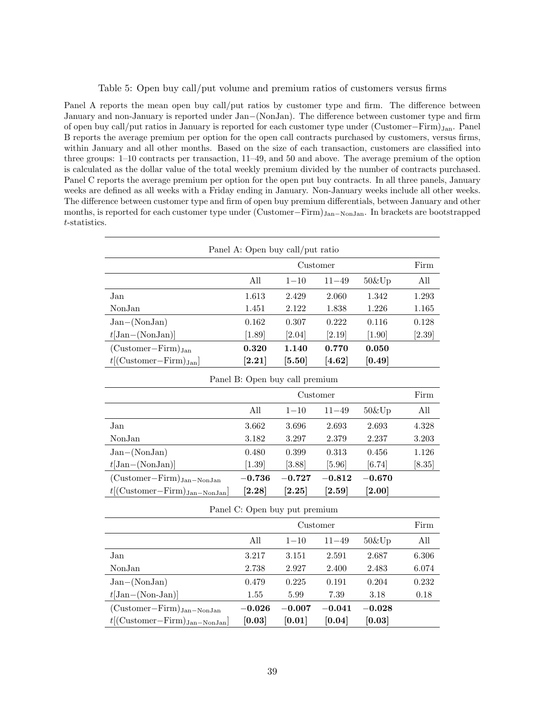## Table 5: Open buy call/put volume and premium ratios of customers versus firms

Panel A reports the mean open buy call/put ratios by customer type and firm. The difference between January and non-January is reported under Jan−(NonJan). The difference between customer type and firm of open buy call/put ratios in January is reported for each customer type under (Customer−Firm)Jan. Panel B reports the average premium per option for the open call contracts purchased by customers, versus firms, within January and all other months. Based on the size of each transaction, customers are classified into three groups: 1–10 contracts per transaction, 11–49, and 50 and above. The average premium of the option is calculated as the dollar value of the total weekly premium divided by the number of contracts purchased. Panel C reports the average premium per option for the open put buy contracts. In all three panels, January weeks are defined as all weeks with a Friday ending in January. Non-January weeks include all other weeks. The difference between customer type and firm of open buy premium differentials, between January and other months, is reported for each customer type under (Customer–Firm)J<sub>an–Non</sub>J<sub>an</sub>. In brackets are bootstrapped t-statistics.

| Panel A: Open buy call/put ratio                       |                      |                                |                      |                       |          |  |  |  |  |
|--------------------------------------------------------|----------------------|--------------------------------|----------------------|-----------------------|----------|--|--|--|--|
|                                                        |                      | Customer                       |                      |                       | Firm     |  |  |  |  |
|                                                        | All                  | $1 - 10$                       | $11 - 49$            | $50\&$ Up             | All      |  |  |  |  |
| Jan                                                    | 1.613                | 2.429                          | 2.060                | 1.342                 | 1.293    |  |  |  |  |
| NonJan                                                 | 1.451                | 2.122                          | 1.838                | 1.226                 | 1.165    |  |  |  |  |
| $Jan-(NonJan)$                                         | $\,0.162\,$          | 0.307                          | 0.222                | 0.116                 | 0.128    |  |  |  |  |
| $t[\text{Jan}-(\text{NonJan})]$                        | $[1.89]$             | [2.04]                         | $[2.19]$             | $[1.90]$              | $[2.39]$ |  |  |  |  |
| $(Customer-Firm)_{Jan}$                                | 0.320                | 1.140                          | 0.770                | 0.050                 |          |  |  |  |  |
| $t$ [(Customer-Firm) $_{\text{Jan}}$ ]                 | $\left[ 2.21\right]$ | $\left[ 5.50 \right]$          | $\bm{[4.62]}$        | [0.49]                |          |  |  |  |  |
|                                                        |                      | Panel B: Open buy call premium |                      |                       |          |  |  |  |  |
|                                                        | Customer             |                                |                      |                       |          |  |  |  |  |
|                                                        | All                  | $1 - 10$                       | $11 - 49$            | 50&Up                 | All      |  |  |  |  |
| Jan                                                    | 3.662                | 3.696                          | 2.693                | 2.693                 | 4.328    |  |  |  |  |
| NonJan                                                 | 3.182                | 3.297                          | 2.379                | 2.237                 | 3.203    |  |  |  |  |
| $Jan-(NonJan)$                                         | 0.480                | 0.399                          | 0.313                | 0.456                 | 1.126    |  |  |  |  |
| $t[\text{Jan}-(\text{NonJan})]$                        | $[1.39]$             | [3.88]                         | $[5.96]$             | [6.74]                | $[8.35]$ |  |  |  |  |
| $(Customer-Firm)_{Jan-NonJan}$                         | $-0.736$             | $-0.727$                       | $-0.812$             | $-0.670$              |          |  |  |  |  |
| $t$ [(Customer-Firm) $_{\text{Jan-NonJan}}$ ]          | $\bm{[2.28]}$        | $\left[ 2.25\right]$           | $\left[ 2.59\right]$ | $\left[ 2.00 \right]$ |          |  |  |  |  |
|                                                        |                      | Panel C: Open buy put premium  |                      |                       |          |  |  |  |  |
|                                                        |                      | Customer                       |                      |                       | Firm     |  |  |  |  |
|                                                        | All                  | $1 - 10$                       | $11 - 49$            | $50\&$ Up             | All      |  |  |  |  |
| Jan                                                    | 3.217                | 3.151                          | 2.591                | 2.687                 | 6.306    |  |  |  |  |
| NonJan                                                 | 2.738                | 2.927                          | 2.400                | 2.483                 | 6.074    |  |  |  |  |
| $Jan-(NonJan)$                                         | 0.479                | 0.225                          | 0.191                | 0.204                 | 0.232    |  |  |  |  |
| $t[Jan-(Non-Jan)]$                                     | 1.55                 | 5.99                           | 7.39                 | 3.18                  | 0.18     |  |  |  |  |
| $(Customer-Firm)_{Jan-NonJan}$                         | $-0.026$             | $-0.007$                       | $-0.041$             | $-0.028$              |          |  |  |  |  |
| $t[(\text{Customer}-\text{Firm})_{\text{Jan-NonJan}}]$ | [0.03]               | [0.01]                         | [0.04]               | [0.03]                |          |  |  |  |  |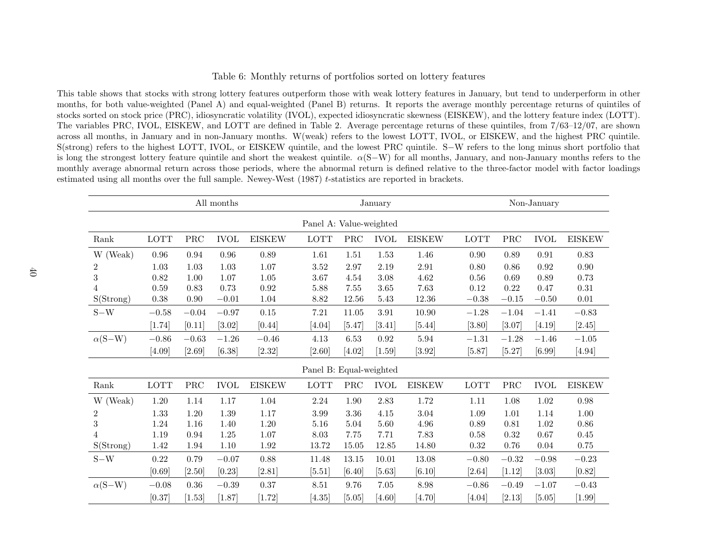### Table 6: Monthly returns of portfolios sorted on lottery features

This table shows that stocks with strong lottery features outperform those with weak lottery features in January, but tend to underperform in other months, for both value-weighted (Panel A) and equal-weighted (Panel B) returns. It reports the average monthly percentage returns of quintiles of stocks sorted on stock price (PRC), idiosyncratic volatility (IVOL), expected idiosyncratic skewness (EISKEW), and the lottery feature index (LOTT). The variables PRC, IVOL, EISKEW, and LOTT are defined in Table 2. Average percentage returns of these quintiles, from 7/63–12/07, are shown across all months, in January and in non-January months. W(weak) refers to the lowest LOTT, IVOL, or EISKEW, and the highest PRC quintile. S(strong) refers to the highest LOTT, IVOL, or EISKEW quintile, and the lowest PRC quintile. <sup>S</sup><sup>−</sup><sup>W</sup> refers to the long minus short portfolio thatis long the strongest lottery feature quintile and short the weakest quintile.  $\alpha(S-W)$  for all months, January, and non-January months refers to the monthly average abnormal return across those periods, where the abnormal return is defined relative to the three-factor model with factor loadingsestimated using all months over the full sample. Newey-West  $(1987)$  t-statistics are reported in brackets.

|                |         | January              |             |               |                         | Non-January          |             |               |         |                      |            |               |
|----------------|---------|----------------------|-------------|---------------|-------------------------|----------------------|-------------|---------------|---------|----------------------|------------|---------------|
|                |         |                      |             |               | Panel A: Value-weighted |                      |             |               |         |                      |            |               |
| Rank           | LOTT    | $\operatorname{PRC}$ | <b>IVOL</b> | <b>EISKEW</b> | <b>LOTT</b>             | PRC                  | <b>IVOL</b> | <b>EISKEW</b> | LOTT    | PRC                  | $\it IVOL$ | <b>EISKEW</b> |
| (Weak)<br>W    | 0.96    | 0.94                 | 0.96        | 0.89          | 1.61                    | 1.51                 | 1.53        | 1.46          | 0.90    | 0.89                 | 0.91       | $0.83\,$      |
| $\overline{2}$ | 1.03    | 1.03                 | 1.03        | 1.07          | 3.52                    | 2.97                 | 2.19        | 2.91          | 0.80    | 0.86                 | $\,0.92\,$ | $0.90\,$      |
| 3              | 0.82    | 1.00                 | 1.07        | 1.05          | 3.67                    | 4.54                 | 3.08        | 4.62          | 0.56    | 0.69                 | 0.89       | 0.73          |
| 4              | 0.59    | 0.83                 | 0.73        | 0.92          | 5.88                    | 7.55                 | 3.65        | 7.63          | 0.12    | 0.22                 | 0.47       | 0.31          |
| S(Strong)      | 0.38    | 0.90                 | $-0.01$     | 1.04          | 8.82                    | 12.56                | 5.43        | 12.36         | $-0.38$ | $-0.15$              | $-0.50$    | $0.01\,$      |
| $S-W$          | $-0.58$ | $-0.04$              | $-0.97$     | 0.15          | 7.21                    | 11.05                | 3.91        | 10.90         | $-1.28$ | $-1.04$              | $-1.41$    | $-0.83$       |
|                | [1.74]  | [0.11]               | [3.02]      | [0.44]        | [4.04]                  | [5.47]               | [3.41]      | [5.44]        | [3.80]  | [3.07]               | [4.19]     | [2.45]        |
| $\alpha(S-W)$  | $-0.86$ | $-0.63$              | $-1.26$     | $-0.46$       | 4.13                    | 6.53                 | 0.92        | 5.94          | $-1.31$ | $-1.28$              | $-1.46$    | $-1.05$       |
|                | [4.09]  | [2.69]               | [6.38]      | [2.32]        | [2.60]                  | [4.02]               | $[1.59]$    | [3.92]        | [5.87]  | [5.27]               | [6.99]     | [4.94]        |
|                |         |                      |             |               | Panel B: Equal-weighted |                      |             |               |         |                      |            |               |
| Rank           | LOTT    | $\operatorname{PRC}$ | <b>IVOL</b> | <b>EISKEW</b> | LOTT                    | $\operatorname{PRC}$ | <b>IVOL</b> | <b>EISKEW</b> | LOTT    | $\operatorname{PRC}$ | $\it IVOL$ | <b>EISKEW</b> |
| (Weak)<br>W    | 1.20    | 1.14                 | $1.17\,$    | $1.04\,$      | 2.24                    | $1.90\,$             | 2.83        | 1.72          | 1.11    | 1.08                 | 1.02       | $0.98\,$      |
| $\overline{2}$ | 1.33    | 1.20                 | 1.39        | 1.17          | 3.99                    | 3.36                 | 4.15        | 3.04          | 1.09    | 1.01                 | 1.14       | $1.00\,$      |
| 3              | 1.24    | 1.16                 | 1.40        | 1.20          | 5.16                    | 5.04                 | 5.60        | 4.96          | 0.89    | 0.81                 | 1.02       | 0.86          |
| 4              | 1.19    | 0.94                 | $1.25\,$    | $1.07\,$      | 8.03                    | 7.75                 | 7.71        | 7.83          | 0.58    | 0.32                 | $0.67\,$   | $0.45\,$      |
| S(Strong)      | 1.42    | 1.94                 | 1.10        | 1.92          | 13.72                   | 15.05                | 12.85       | 14.80         | 0.32    | 0.76                 | 0.04       | $0.75\,$      |
| $S-W$          | 0.22    | 0.79                 | $-0.07$     | 0.88          | 11.48                   | 13.15                | 10.01       | 13.08         | $-0.80$ | $-0.32$              | $-0.98$    | $-0.23$       |
|                | [0.69]  | $[2.50]$             | [0.23]      | [2.81]        | $[5.51]$                | [6.40]               | [5.63]      | [6.10]        | [2.64]  | $[1.12]$             | [3.03]     | [0.82]        |
| $\alpha(S-W)$  | $-0.08$ | 0.36                 | $-0.39$     | 0.37          | 8.51                    | 9.76                 | 7.05        | 8.98          | $-0.86$ | $-0.49$              | $-1.07$    | $-0.43$       |
|                | [0.37]  | [1.53]               | $[1.87]$    | $[1.72]$      | [4.35]                  | $[5.05]$             | [4.60]      | [4.70]        | [4.04]  | [2.13]               | [5.05]     | $[1.99]$      |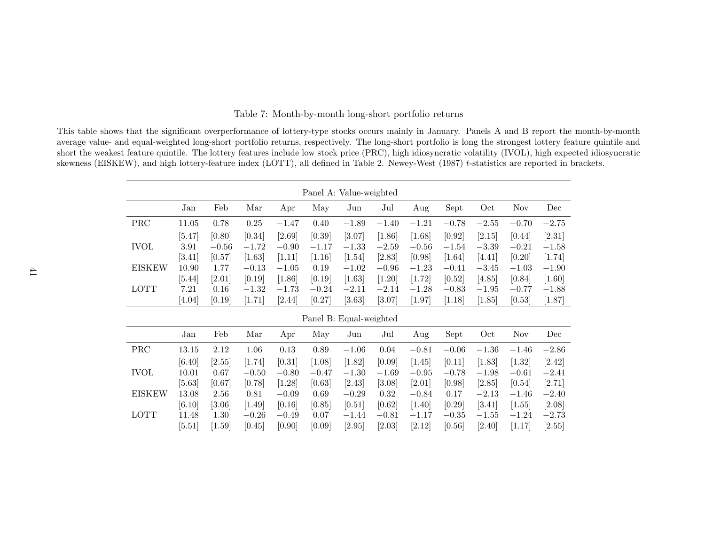| Table 7: Month-by-month long-short portfolio returns |
|------------------------------------------------------|
|------------------------------------------------------|

This table shows that the significant overperformance of lottery-type stocks occurs mainly in January. Panels <sup>A</sup> and <sup>B</sup> report the month-by-month average value- and equal-weighted long-short portfolio returns, respectively. The long-short portfolio is long the strongest lottery feature quintile and short the weakest feature quintile. The lottery features include low stock price (PRC), high idiosyncratic volatility (IVOL), high expected idiosyncraticskewness (EISKEW), and high lottery-feature index (LOTT), all defined in Table 2. Newey-West (1987)  $t$ -statistics are reported in brackets.

| Panel A: Value-weighted |          |          |         |          |         |                         |          |          |          |         |            |          |
|-------------------------|----------|----------|---------|----------|---------|-------------------------|----------|----------|----------|---------|------------|----------|
|                         | Jan      | Feb      | Mar     | Apr      | May     | Jun                     | Jul      | Aug      | Sept     | Oct     | <b>Nov</b> | Dec      |
| PRC                     | 11.05    | 0.78     | 0.25    | $-1.47$  | 0.40    | $-1.89$                 | $-1.40$  | $-1.21$  | $-0.78$  | $-2.55$ | $-0.70$    | $-2.75$  |
|                         | [5.47]   | [0.80]   | [0.34]  | [2.69]   | [0.39]  | [3.07]                  | $[1.86]$ | $[1.68]$ | [0.92]   | [2.15]  | [0.44]     | $[2.31]$ |
| <b>IVOL</b>             | 3.91     | $-0.56$  | $-1.72$ | $-0.90$  | $-1.17$ | $-1.33$                 | $-2.59$  | $-0.56$  | $-1.54$  | $-3.39$ | $-0.21$    | $-1.58$  |
|                         | [3.41]   | [0.57]   | [1.63]  | [1.11]   | [1.16]  | [1.54]                  | $[2.83]$ | [0.98]   | $[1.64]$ | [4.41]  | [0.20]     | [1.74]   |
| <b>EISKEW</b>           | 10.90    | 1.77     | $-0.13$ | $-1.05$  | 0.19    | $-1.02$                 | $-0.96$  | $-1.23$  | $-0.41$  | $-3.45$ | $-1.03$    | $-1.90$  |
|                         | $[5.44]$ | $[2.01]$ | [0.19]  | $[1.86]$ | [0.19]  | [1.63]                  | $[1.20]$ | [1.72]   | [0.52]   | [4.85]  | [0.84]     | $[1.60]$ |
| <b>LOTT</b>             | 7.21     | 0.16     | $-1.32$ | $-1.73$  | $-0.24$ | $-2.11$                 | $-2.14$  | $-1.28$  | $-0.83$  | $-1.95$ | $-0.77$    | $-1.88$  |
|                         | [4.04]   | [0.19]   | [1.71]  | [2.44]   | [0.27]  | $[3.63]$                | $[3.07]$ | $[1.97]$ | [1.18]   | [1.85]  | [0.53]     | $[1.87]$ |
|                         |          |          |         |          |         | Panel B: Equal-weighted |          |          |          |         |            |          |
|                         | Jan      | Feb      | Mar     | Apr      | May     | Jun                     | Jul      | Aug      | Sept     | Oct     | <b>Nov</b> | Dec      |
| <b>PRC</b>              | 13.15    | 2.12     | 1.06    | 0.13     | 0.89    | $-1.06$                 | 0.04     | $-0.81$  | $-0.06$  | $-1.36$ | $-1.46$    | $-2.86$  |
|                         | [6.40]   | [2.55]   | [1.74]  | [0.31]   | [1.08]  | $[1.82]$                | [0.09]   | $[1.45]$ | [0.11]   | [1.83]  | $[1.32]$   | $[2.42]$ |
| <b>IVOL</b>             | 10.01    | 0.67     | $-0.50$ | $-0.80$  | $-0.47$ | $-1.30$                 | $-1.69$  | $-0.95$  | $-0.78$  | $-1.98$ | $-0.61$    | $-2.41$  |
|                         | $[5.63]$ | [0.67]   | [0.78]  | [1.28]   | [0.63]  | [2.43]                  | $[3.08]$ | $[2.01]$ | [0.98]   | [2.85]  | [0.54]     | [2.71]   |
| <b>EISKEW</b>           | 13.08    | 2.56     | 0.81    | $-0.09$  | 0.69    | $-0.29$                 | 0.32     | $-0.84$  | 0.17     | $-2.13$ | $-1.46$    | $-2.40$  |
|                         | [6.10]   | [3.06]   | [1.49]  | [0.16]   | [0.85]  | [0.51]                  | [0.62]   | $[1.40]$ | [0.29]   | [3.41]  | [1.55]     | $[2.08]$ |
| <b>LOTT</b>             | 11.48    | 1.30     | $-0.26$ | $-0.49$  | 0.07    | $-1.44$                 | $-0.81$  | $-1.17$  | $-0.35$  | $-1.55$ | $-1.24$    | $-2.73$  |
|                         | [5.51]   | [1.59]   | [0.45]  | [0.90]   | [0.09]  | [2.95]                  | $[2.03]$ | [2.12]   | [0.56]   | [2.40]  | [1.17]     | [2.55]   |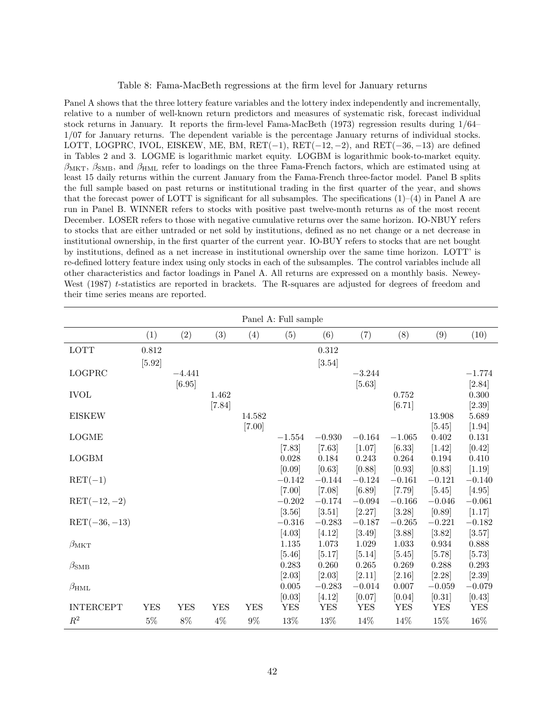# Table 8: Fama-MacBeth regressions at the firm level for January returns

Panel A shows that the three lottery feature variables and the lottery index independently and incrementally, relative to a number of well-known return predictors and measures of systematic risk, forecast individual stock returns in January. It reports the firm-level Fama-MacBeth (1973) regression results during 1/64– 1/07 for January returns. The dependent variable is the percentage January returns of individual stocks. LOTT, LOGPRC, IVOL, EISKEW, ME, BM, RET( $-1$ ), RET( $-12, -2$ ), and RET( $-36, -13$ ) are defined in Tables 2 and 3. LOGME is logarithmic market equity. LOGBM is logarithmic book-to-market equity.  $\beta_{\text{MKT}}$ ,  $\beta_{\text{SMB}}$ , and  $\beta_{\text{HML}}$  refer to loadings on the three Fama-French factors, which are estimated using at least 15 daily returns within the current January from the Fama-French three-factor model. Panel B splits the full sample based on past returns or institutional trading in the first quarter of the year, and shows that the forecast power of LOTT is significant for all subsamples. The specifications  $(1)-(4)$  in Panel A are run in Panel B. WINNER refers to stocks with positive past twelve-month returns as of the most recent December. LOSER refers to those with negative cumulative returns over the same horizon. IO-NBUY refers to stocks that are either untraded or net sold by institutions, defined as no net change or a net decrease in institutional ownership, in the first quarter of the current year. IO-BUY refers to stocks that are net bought by institutions, defined as a net increase in institutional ownership over the same time horizon. LOTT' is re-defined lottery feature index using only stocks in each of the subsamples. The control variables include all other characteristics and factor loadings in Panel A. All returns are expressed on a monthly basis. Newey-West (1987) t-statistics are reported in brackets. The R-squares are adjusted for degrees of freedom and their time series means are reported.

|                          |             |            |            |            | Panel A: Full sample |                      |                    |                    |                    |                    |
|--------------------------|-------------|------------|------------|------------|----------------------|----------------------|--------------------|--------------------|--------------------|--------------------|
|                          | (1)         | (2)        | (3)        | (4)        | (5)                  | (6)                  | (7)                | (8)                | (9)                | (10)               |
| LOTT                     | $0.812\,$   |            |            |            |                      | 0.312                |                    |                    |                    |                    |
|                          | [5.92]      |            |            |            |                      | [3.54]               |                    |                    |                    |                    |
| LOGPRC                   |             | $-4.441$   |            |            |                      |                      | $-3.244$           |                    |                    | $-1.774$           |
|                          |             | [6.95]     |            |            |                      |                      | $[5.63]$           |                    |                    | $[2.84]$           |
| <b>IVOL</b>              |             |            | 1.462      |            |                      |                      |                    | 0.752              |                    | 0.300              |
| <b>EISKEW</b>            |             |            | $[7.84]$   | 14.582     |                      |                      |                    | [6.71]             | 13.908             | $[2.39]$<br>5.689  |
|                          |             |            |            | $[7.00]$   |                      |                      |                    |                    | [5.45]             | $[1.94]$           |
| <b>LOGME</b>             |             |            |            |            | $-1.554$             | $-0.930$             | $-0.164$           | $-1.065$           | $0.402\,$          | 0.131              |
|                          |             |            |            |            | [7.83]               | $[7.63]$             | [1.07]             | [6.33]             | $[1.42]$           | [0.42]             |
| <b>LOGBM</b>             |             |            |            |            | 0.028                | 0.184                | 0.243              | 0.264              | 0.194              | 0.410              |
|                          |             |            |            |            | [0.09]               | [0.63]               | [0.88]             | [0.93]             | [0.83]             | [1.19]             |
| $\operatorname{RET}(-1)$ |             |            |            |            | $-0.142$             | $-0.144$             | $-0.124$           | $-0.161$           | $-0.121$           | $-0.140$           |
|                          |             |            |            |            | $[7.00]$             | $[7.08]$             | [6.89]             | $[7.79]$           | [5.45]             | [4.95]             |
| $RET(-12,-2)$            |             |            |            |            | $-0.202$             | $-0.174$             | $-0.094$           | $-0.166$           | $-0.046$           | $-0.061$           |
| $RET(-36, -13)$          |             |            |            |            | [3.56]<br>$-0.316$   | $[3.51]$<br>$-0.283$ | [2.27]<br>$-0.187$ | [3.28]<br>$-0.265$ | [0.89]<br>$-0.221$ | [1.17]<br>$-0.182$ |
|                          |             |            |            |            | [4.03]               | [4.12]               | [3.49]             | [3.88]             | [3.82]             | [3.57]             |
| $\beta_{\rm MKT}$        |             |            |            |            | 1.135                | 1.073                | 1.029              | 1.033              | $\,0.934\,$        | 0.888              |
|                          |             |            |            |            | $[5.46]$             | [5.17]               | [5.14]             | [5.45]             | [5.78]             | [5.73]             |
| $\beta_{\rm SMB}$        |             |            |            |            | 0.283                | 0.260                | $0.265\,$          | 0.269              | 0.288              | 0.293              |
|                          |             |            |            |            | $[2.03]$             | [2.03]               | [2.11]             | [2.16]             | [2.28]             | $[2.39]$           |
| $\beta_{\rm HML}$        |             |            |            |            | 0.005                | $-0.283$             | $-0.014$           | 0.007              | $-0.059$           | $-0.079$           |
|                          |             |            |            |            | [0.03]               | [4.12]               | [0.07]             | [0.04]             | [0.31]             | [0.43]             |
| <b>INTERCEPT</b>         | ${\rm YES}$ | <b>YES</b> | <b>YES</b> | <b>YES</b> | <b>YES</b>           | <b>YES</b>           | <b>YES</b>         | <b>YES</b>         | <b>YES</b>         | <b>YES</b>         |
| $R^2$                    | $5\%$       | $8\%$      | $4\%$      | $9\%$      | 13%                  | 13%                  | 14%                | 14%                | $15\%$             | 16%                |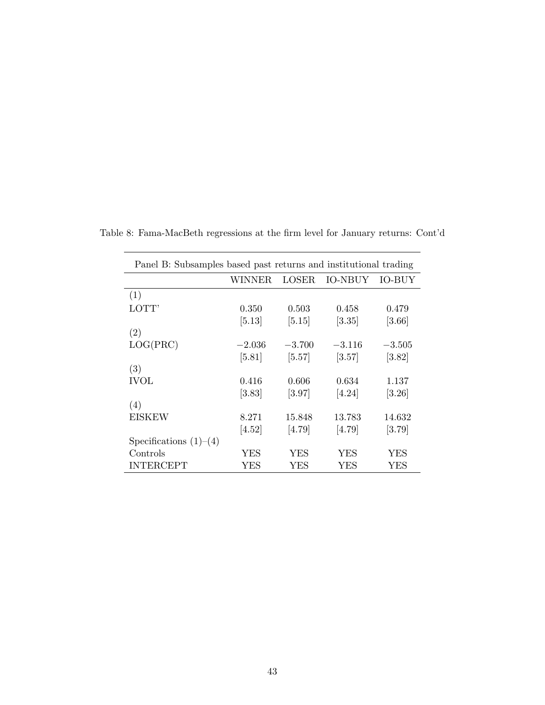| Panel B: Subsamples based past returns and institutional trading |          |          |          |               |  |  |  |  |
|------------------------------------------------------------------|----------|----------|----------|---------------|--|--|--|--|
|                                                                  | WINNER.  | LOSER    | IO-NBUY  | <b>IO-BUY</b> |  |  |  |  |
| (1)                                                              |          |          |          |               |  |  |  |  |
| LOTT'                                                            | 0.350    | 0.503    | 0.458    | 0.479         |  |  |  |  |
|                                                                  | [5.13]   | [5.15]   | $[3.35]$ | $[3.66]$      |  |  |  |  |
| (2)                                                              |          |          |          |               |  |  |  |  |
| LOG(PRC)                                                         | $-2.036$ | $-3.700$ | $-3.116$ | $-3.505$      |  |  |  |  |
|                                                                  | $[5.81]$ | $[5.57]$ | [3.57]   | [3.82]        |  |  |  |  |
| (3)                                                              |          |          |          |               |  |  |  |  |
| <b>IVOL</b>                                                      | 0.416    | 0.606    | 0.634    | 1.137         |  |  |  |  |
|                                                                  | [3.83]   | $[3.97]$ | [4.24]   | $[3.26]$      |  |  |  |  |
| (4)                                                              |          |          |          |               |  |  |  |  |
| <b>EISKEW</b>                                                    | 8.271    | 15.848   | 13.783   | 14.632        |  |  |  |  |
|                                                                  | [4.52]   | [4.79]   | [4.79]   | [3.79]        |  |  |  |  |
| Specifications $(1)$ – $(4)$                                     |          |          |          |               |  |  |  |  |
| Controls                                                         | YES      | YES      | YES      | YES           |  |  |  |  |
| <b>INTERCEPT</b>                                                 | YES      | YES      | YES      | <b>YES</b>    |  |  |  |  |

Table 8: Fama-MacBeth regressions at the firm level for January returns: Cont'd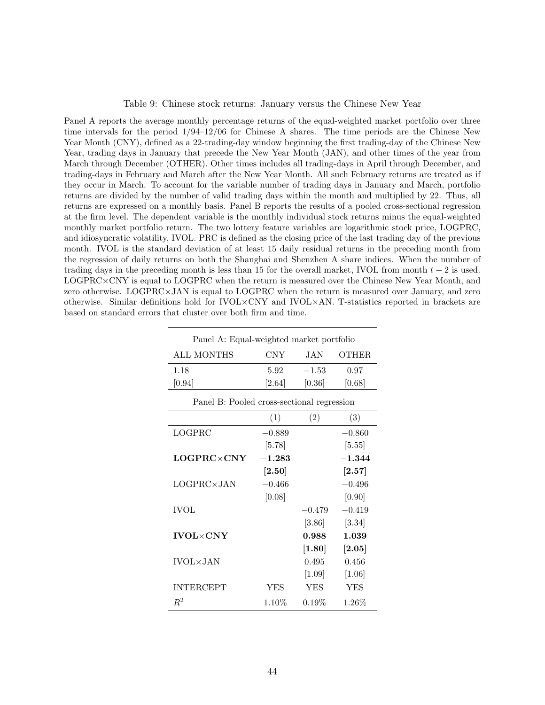#### Table 9: Chinese stock returns: January versus the Chinese New Year

Panel A reports the average monthly percentage returns of the equal-weighted market portfolio over three time intervals for the period 1/94–12/06 for Chinese A shares. The time periods are the Chinese New Year Month (CNY), defined as a 22-trading-day window beginning the first trading-day of the Chinese New Year, trading days in January that precede the New Year Month (JAN), and other times of the year from March through December (OTHER). Other times includes all trading-days in April through December, and trading-days in February and March after the New Year Month. All such February returns are treated as if they occur in March. To account for the variable number of trading days in January and March, portfolio returns are divided by the number of valid trading days within the month and multiplied by 22. Thus, all returns are expressed on a monthly basis. Panel B reports the results of a pooled cross-sectional regression at the firm level. The dependent variable is the monthly individual stock returns minus the equal-weighted monthly market portfolio return. The two lottery feature variables are logarithmic stock price, LOGPRC, and idiosyncratic volatility, IVOL. PRC is defined as the closing price of the last trading day of the previous month. IVOL is the standard deviation of at least 15 daily residual returns in the preceding month from the regression of daily returns on both the Shanghai and Shenzhen A share indices. When the number of trading days in the preceding month is less than 15 for the overall market, IVOL from month  $t-2$  is used. LOGPRC×CNY is equal to LOGPRC when the return is measured over the Chinese New Year Month, and zero otherwise. LOGPRC×JAN is equal to LOGPRC when the return is measured over January, and zero otherwise. Similar definitions hold for IVOL×CNY and IVOL×AN. T-statistics reported in brackets are based on standard errors that cluster over both firm and time.

| Panel A: Equal-weighted market portfolio   |                      |                     |                      |  |  |  |  |  |  |  |
|--------------------------------------------|----------------------|---------------------|----------------------|--|--|--|--|--|--|--|
| ALL MONTHS                                 | <b>CNY</b>           | JAN                 | OTHER.               |  |  |  |  |  |  |  |
| 1.18                                       | 5.92                 | $-1.53$             | 0.97                 |  |  |  |  |  |  |  |
| [0.94]                                     | [2.64]               | [0.36]              | [0.68]               |  |  |  |  |  |  |  |
| Panel B: Pooled cross-sectional regression |                      |                     |                      |  |  |  |  |  |  |  |
|                                            | (1)                  | (2)                 | (3)                  |  |  |  |  |  |  |  |
| LOGPRC                                     | $-0.889$             |                     | $-0.860$             |  |  |  |  |  |  |  |
|                                            | $[5.78]$             |                     | $[5.55]$             |  |  |  |  |  |  |  |
| $LOGPRC \times CNY$                        | $-1.283$             |                     | $-1.344$             |  |  |  |  |  |  |  |
|                                            | $\left[ 2.50\right]$ |                     | $\left[ 2.57\right]$ |  |  |  |  |  |  |  |
| $LOGPRC \times JAN$                        | $-0.466$             |                     | $-0.496$             |  |  |  |  |  |  |  |
|                                            | [0.08]               |                     | [0.90]               |  |  |  |  |  |  |  |
| <b>IVOL</b>                                |                      | $-0.479$            | $-0.419$             |  |  |  |  |  |  |  |
|                                            |                      | $[3.86]$            | $[3.34]$             |  |  |  |  |  |  |  |
| <b>IVOL×CNY</b>                            |                      | 0.988               | 1.039                |  |  |  |  |  |  |  |
|                                            |                      | $\left[1.80\right]$ | $\left[ 2.05\right]$ |  |  |  |  |  |  |  |
| <b>IVOL×JAN</b>                            |                      | 0.495               | 0.456                |  |  |  |  |  |  |  |
|                                            |                      | $[1.09]$            | $[1.06]$             |  |  |  |  |  |  |  |
| <b>INTERCEPT</b>                           | <b>YES</b>           | <b>YES</b>          | <b>YES</b>           |  |  |  |  |  |  |  |
| $R^2$                                      | $1.10\%$             | $0.19\%$            | $1.26\%$             |  |  |  |  |  |  |  |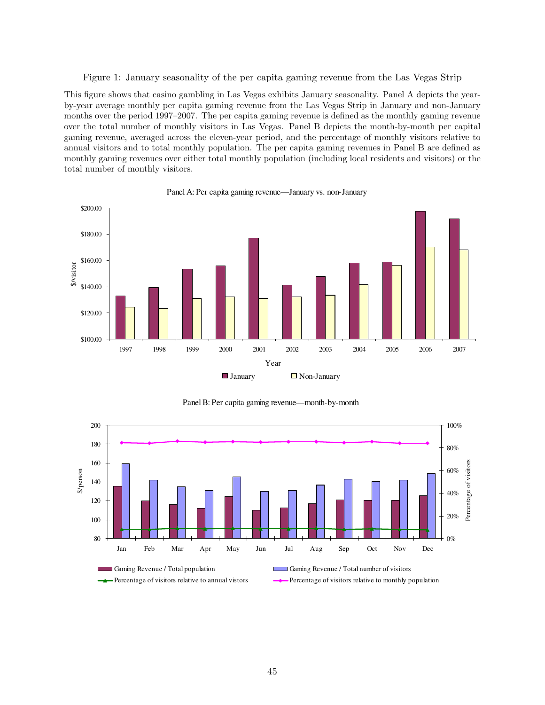Figure 1: January seasonality of the per capita gaming revenue from the Las Vegas Strip

This figure shows that casino gambling in Las Vegas exhibits January seasonality. Panel A depicts the yearby-year average monthly per capita gaming revenue from the Las Vegas Strip in January and non-January months over the period 1997–2007. The per capita gaming revenue is defined as the monthly gaming revenue over the total number of monthly visitors in Las Vegas. Panel B depicts the month-by-month per capital gaming revenue, averaged across the eleven-year period, and the percentage of monthly visitors relative to annual visitors and to total monthly population. The per capita gaming revenues in Panel B are defined as monthly gaming revenues over either total monthly population (including local residents and visitors) or the total number of monthly visitors.



Panel A: Per capita gaming revenue—January vs. non-January



Panel B: Per capita gaming revenue—month-by-month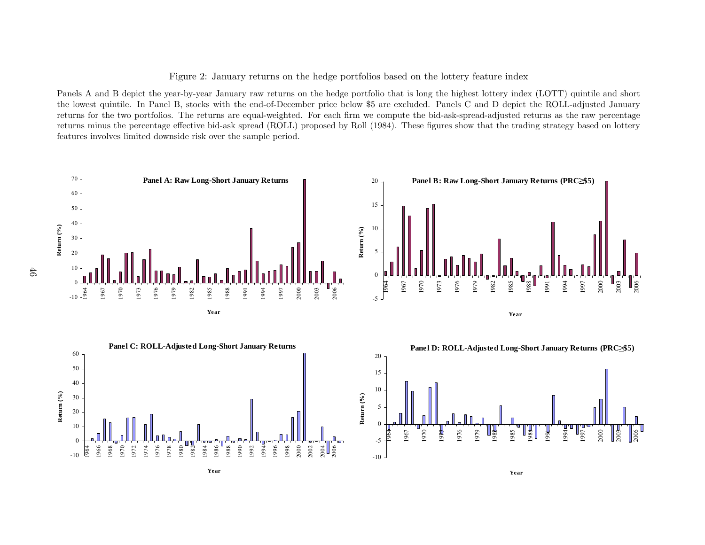Figure 2: January returns on the hedge portfolios based on the lottery feature index

Panels <sup>A</sup> and <sup>B</sup> depict the year-by-year January raw returns on the hedge portfolio that is long the highest lottery index (LOTT) quintile and short the lowest quintile. In Panel B, stocks with the end-of-December price below \$5 are excluded. Panels <sup>C</sup> and <sup>D</sup> depict the ROLL-adjusted January returns for the two portfolios. The returns are equal-weighted. For each firm we compute the bid-ask-spread-adjusted returns as the raw percentage returns minus the percentage effective bid-ask spread (ROLL) proposed by Roll (1984). These figures show that the trading strategy based on lotteryfeatures involves limited downside risk over the sample period.



**Year**

**Year**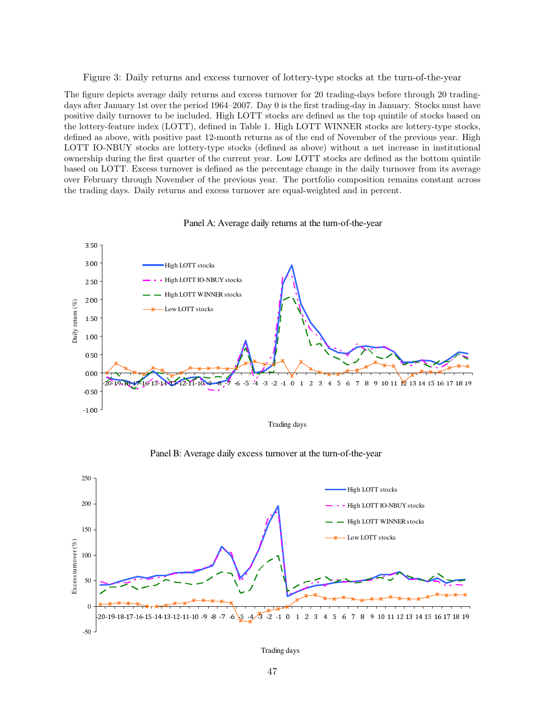#### Figure 3: Daily returns and excess turnover of lottery-type stocks at the turn-of-the-year

The figure depicts average daily returns and excess turnover for 20 trading-days before through 20 tradingdays after January 1st over the period 1964–2007. Day 0 is the first trading-day in January. Stocks must have positive daily turnover to be included. High LOTT stocks are defined as the top quintile of stocks based on the lottery-feature index (LOTT), defined in Table 1. High LOTT WINNER stocks are lottery-type stocks, defined as above, with positive past 12-month returns as of the end of November of the previous year. High LOTT IO-NBUY stocks are lottery-type stocks (defined as above) without a net increase in institutional ownership during the first quarter of the current year. Low LOTT stocks are defined as the bottom quintile based on LOTT. Excess turnover is defined as the percentage change in the daily turnover from its average over February through November of the previous year. The portfolio composition remains constant across the trading days. Daily returns and excess turnover are equal-weighted and in percent.



Panel A: Average daily returns at the turn-of-the-year

Trading days



Panel B: Average daily excess turnover at the turn-of-the-year

Trading days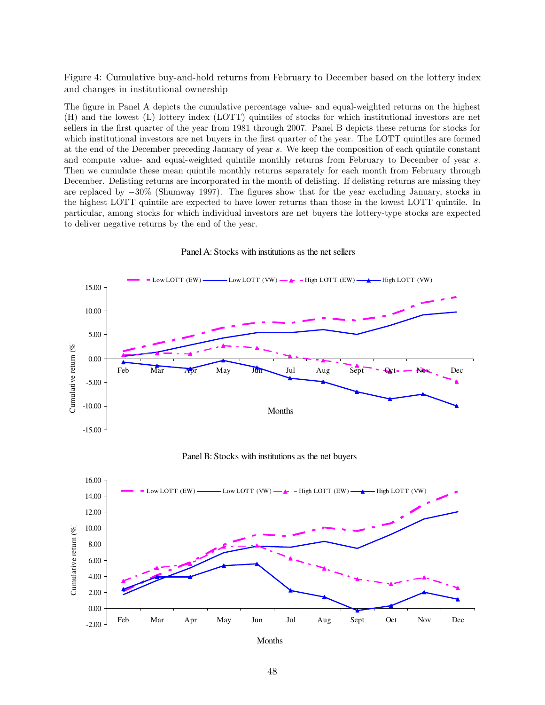Figure 4: Cumulative buy-and-hold returns from February to December based on the lottery index and changes in institutional ownership

The figure in Panel A depicts the cumulative percentage value- and equal-weighted returns on the highest (H) and the lowest (L) lottery index (LOTT) quintiles of stocks for which institutional investors are net sellers in the first quarter of the year from 1981 through 2007. Panel B depicts these returns for stocks for which institutional investors are net buyers in the first quarter of the year. The LOTT quintiles are formed at the end of the December preceding January of year s. We keep the composition of each quintile constant and compute value- and equal-weighted quintile monthly returns from February to December of year s. Then we cumulate these mean quintile monthly returns separately for each month from February through December. Delisting returns are incorporated in the month of delisting. If delisting returns are missing they are replaced by −30% (Shumway 1997). The figures show that for the year excluding January, stocks in the highest LOTT quintile are expected to have lower returns than those in the lowest LOTT quintile. In particular, among stocks for which individual investors are net buyers the lottery-type stocks are expected to deliver negative returns by the end of the year.



Panel A: Stocks with institutions as the net sellers





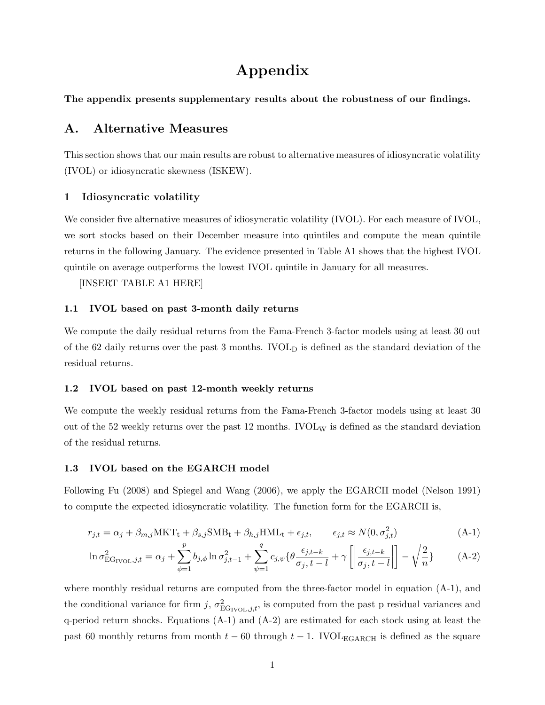# Appendix

The appendix presents supplementary results about the robustness of our findings.

# A. Alternative Measures

This section shows that our main results are robust to alternative measures of idiosyncratic volatility (IVOL) or idiosyncratic skewness (ISKEW).

# 1 Idiosyncratic volatility

We consider five alternative measures of idiosyncratic volatility (IVOL). For each measure of IVOL, we sort stocks based on their December measure into quintiles and compute the mean quintile returns in the following January. The evidence presented in Table A1 shows that the highest IVOL quintile on average outperforms the lowest IVOL quintile in January for all measures.

[INSERT TABLE A1 HERE]

# 1.1 IVOL based on past 3-month daily returns

We compute the daily residual returns from the Fama-French 3-factor models using at least 30 out of the 62 daily returns over the past 3 months.  $IVOL<sub>D</sub>$  is defined as the standard deviation of the residual returns.

## 1.2 IVOL based on past 12-month weekly returns

We compute the weekly residual returns from the Fama-French 3-factor models using at least 30 out of the 52 weekly returns over the past 12 months.  $\text{IVOL}_W$  is defined as the standard deviation of the residual returns.

## 1.3 IVOL based on the EGARCH model

Following Fu (2008) and Spiegel and Wang (2006), we apply the EGARCH model (Nelson 1991) to compute the expected idiosyncratic volatility. The function form for the EGARCH is,

$$
r_{j,t} = \alpha_j + \beta_{m,j} \text{MKT}_t + \beta_{s,j} \text{SMB}_t + \beta_{h,j} \text{HML}_t + \epsilon_{j,t}, \qquad \epsilon_{j,t} \approx N(0, \sigma_{j,t}^2)
$$
(A-1)

$$
\ln \sigma_{\text{EG}_{\text{IVOL}},j,t}^2 = \alpha_j + \sum_{\phi=1}^p b_{j,\phi} \ln \sigma_{j,t-1}^2 + \sum_{\psi=1}^q c_{j,\psi} \{ \theta \frac{\epsilon_{j,t-k}}{\sigma_j, t-l} + \gamma \left[ \left| \frac{\epsilon_{j,t-k}}{\sigma_j, t-l} \right| \right] - \sqrt{\frac{2}{n}} \}
$$
 (A-2)

where monthly residual returns are computed from the three-factor model in equation  $(A-1)$ , and the conditional variance for firm j,  $\sigma_{\text{EG}_{\text{IVOL}},j,t}^2$ , is computed from the past p residual variances and q-period return shocks. Equations  $(A-1)$  and  $(A-2)$  are estimated for each stock using at least the past 60 monthly returns from month  $t - 60$  through  $t - 1$ . IVOL<sub>EGARCH</sub> is defined as the square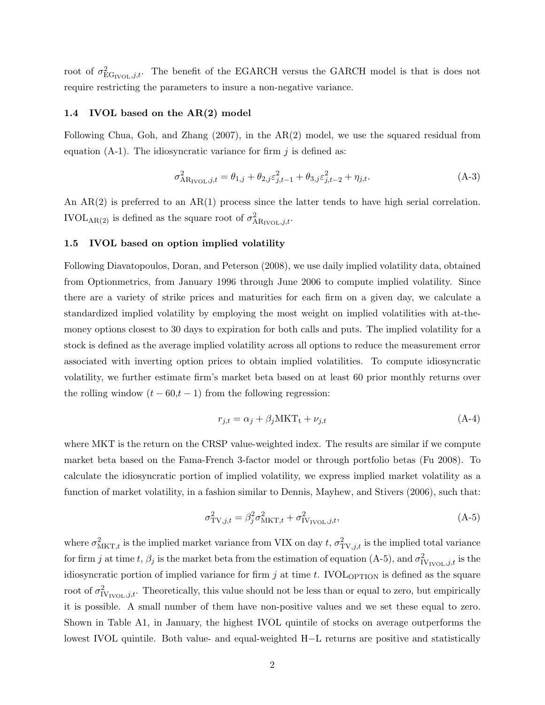root of  $\sigma_{\text{EG}_{\text{IVOL}},j,t}^2$ . The benefit of the EGARCH versus the GARCH model is that is does not require restricting the parameters to insure a non-negative variance.

# 1.4 IVOL based on the AR(2) model

Following Chua, Goh, and Zhang (2007), in the AR(2) model, we use the squared residual from equation  $(A-1)$ . The idiosyncratic variance for firm j is defined as:

$$
\sigma_{AR_{\text{IVOL}},j,t}^2 = \theta_{1,j} + \theta_{2,j}\varepsilon_{j,t-1}^2 + \theta_{3,j}\varepsilon_{j,t-2}^2 + \eta_{j,t}.
$$
 (A-3)

An AR(2) is preferred to an AR(1) process since the latter tends to have high serial correlation. IVOL<sub>AR(2)</sub> is defined as the square root of  $\sigma_{AR_{\text{IVOL}},j,t}^2$ .

#### 1.5 IVOL based on option implied volatility

Following Diavatopoulos, Doran, and Peterson (2008), we use daily implied volatility data, obtained from Optionmetrics, from January 1996 through June 2006 to compute implied volatility. Since there are a variety of strike prices and maturities for each firm on a given day, we calculate a standardized implied volatility by employing the most weight on implied volatilities with at-themoney options closest to 30 days to expiration for both calls and puts. The implied volatility for a stock is defined as the average implied volatility across all options to reduce the measurement error associated with inverting option prices to obtain implied volatilities. To compute idiosyncratic volatility, we further estimate firm's market beta based on at least 60 prior monthly returns over the rolling window  $(t - 60,t - 1)$  from the following regression:

$$
r_{j,t} = \alpha_j + \beta_j \text{MKT}_t + \nu_{j,t} \tag{A-4}
$$

where MKT is the return on the CRSP value-weighted index. The results are similar if we compute market beta based on the Fama-French 3-factor model or through portfolio betas (Fu 2008). To calculate the idiosyncratic portion of implied volatility, we express implied market volatility as a function of market volatility, in a fashion similar to Dennis, Mayhew, and Stivers (2006), such that:

$$
\sigma_{\text{TV},j,t}^2 = \beta_j^2 \sigma_{\text{MKT},t}^2 + \sigma_{\text{IV}_{\text{IVOL}},j,t}^2,\tag{A-5}
$$

where  $\sigma_{\text{MKT},t}^2$  is the implied market variance from VIX on day t,  $\sigma_{\text{TV},j,t}^2$  is the implied total variance for firm j at time t,  $\beta_j$  is the market beta from the estimation of equation (A-5), and  $\sigma_{\text{IV}_{\text{IVOL}},j,t}^2$  is the idiosyncratic portion of implied variance for firm  $j$  at time  $t$ . IVOL<sub>OPTION</sub> is defined as the square root of  $\sigma_{\text{IV}_{\text{IVOL}},j,t}^2$ . Theoretically, this value should not be less than or equal to zero, but empirically it is possible. A small number of them have non-positive values and we set these equal to zero. Shown in Table A1, in January, the highest IVOL quintile of stocks on average outperforms the lowest IVOL quintile. Both value- and equal-weighted H−L returns are positive and statistically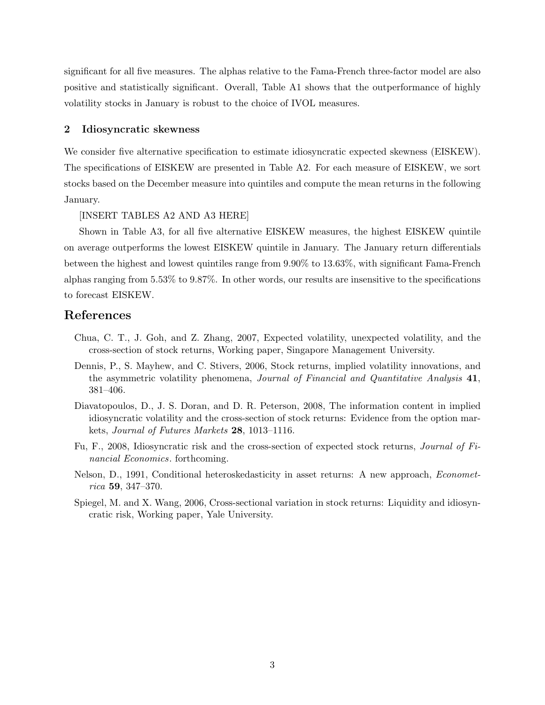significant for all five measures. The alphas relative to the Fama-French three-factor model are also positive and statistically significant. Overall, Table A1 shows that the outperformance of highly volatility stocks in January is robust to the choice of IVOL measures.

# 2 Idiosyncratic skewness

We consider five alternative specification to estimate idiosyncratic expected skewness (EISKEW). The specifications of EISKEW are presented in Table A2. For each measure of EISKEW, we sort stocks based on the December measure into quintiles and compute the mean returns in the following January.

# [INSERT TABLES A2 AND A3 HERE]

Shown in Table A3, for all five alternative EISKEW measures, the highest EISKEW quintile on average outperforms the lowest EISKEW quintile in January. The January return differentials between the highest and lowest quintiles range from 9.90% to 13.63%, with significant Fama-French alphas ranging from 5.53% to 9.87%. In other words, our results are insensitive to the specifications to forecast EISKEW.

# References

- Chua, C. T., J. Goh, and Z. Zhang, 2007, Expected volatility, unexpected volatility, and the cross-section of stock returns, Working paper, Singapore Management University.
- Dennis, P., S. Mayhew, and C. Stivers, 2006, Stock returns, implied volatility innovations, and the asymmetric volatility phenomena, *Journal of Financial and Quantitative Analysis* 41, 381–406.
- Diavatopoulos, D., J. S. Doran, and D. R. Peterson, 2008, The information content in implied idiosyncratic volatility and the cross-section of stock returns: Evidence from the option markets, Journal of Futures Markets 28, 1013–1116.
- Fu, F., 2008, Idiosyncratic risk and the cross-section of expected stock returns, Journal of Financial Economics. forthcoming.
- Nelson, D., 1991, Conditional heteroskedasticity in asset returns: A new approach, Econometrica 59, 347–370.
- Spiegel, M. and X. Wang, 2006, Cross-sectional variation in stock returns: Liquidity and idiosyncratic risk, Working paper, Yale University.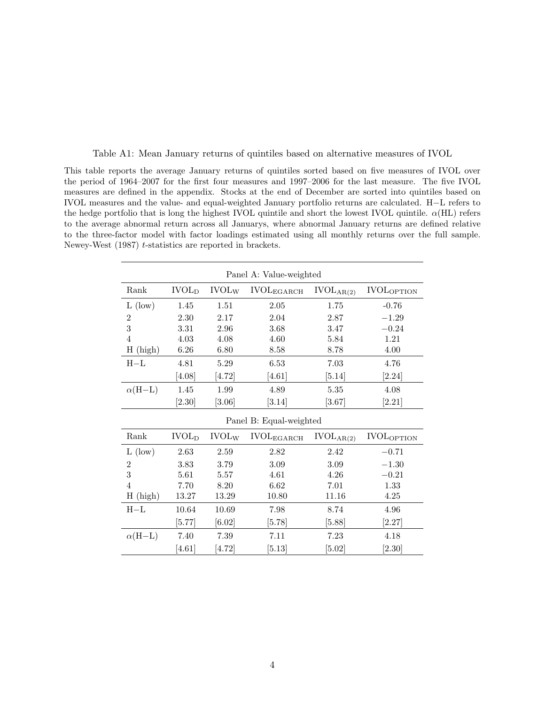| This table reports the average January returns of quintiles sorted based on five measures of IVOL over             |
|--------------------------------------------------------------------------------------------------------------------|
| the period of 1964–2007 for the first four measures and 1997–2006 for the last measure. The five IVOL              |
| measures are defined in the appendix. Stocks at the end of December are sorted into quintiles based on             |
| IVOL measures and the value- and equal-weighted January portfolio returns are calculated. H-L refers to            |
| the hedge portfolio that is long the highest IVOL quintile and short the lowest IVOL quintile. $\alpha(HL)$ refers |
| to the average abnormal return across all Januarys, where abnormal January returns are defined relative            |
| to the three-factor model with factor loadings estimated using all monthly returns over the full sample.           |

Newey-West (1987) t-statistics are reported in brackets.

Table A1: Mean January returns of quintiles based on alternative measures of IVOL

|                     |                         |                          | Panel A: Value-weighted |                       |                   |  |  |  |
|---------------------|-------------------------|--------------------------|-------------------------|-----------------------|-------------------|--|--|--|
| Rank                | IVOL <sub>D</sub>       | <b>IVOL</b> <sub>W</sub> | $\rm IVOL_{EGARCH}$     | IVOL <sub>AR(2)</sub> | <b>IVOLOPTION</b> |  |  |  |
| $L$ (low)           | 1.45                    | 1.51                     | 2.05                    | 1.75                  | $-0.76$           |  |  |  |
| $\overline{2}$      | 2.30                    | 2.17                     | 2.04                    | 2.87                  | $-1.29$           |  |  |  |
| 3                   | 3.31                    | 2.96                     | $3.68\,$                | 3.47                  | $-0.24$           |  |  |  |
| 4                   | 4.03                    | 4.08                     | 4.60                    | 5.84                  | 1.21              |  |  |  |
| H<br>(high)         | 6.26                    | 6.80                     | 8.58                    | 8.78                  | 4.00              |  |  |  |
| $H-L$               | 4.81                    | $5.29\,$                 | 6.53                    | $7.03\,$              | 4.76              |  |  |  |
|                     | [4.08]                  | $[4.72]$                 | [4.61]                  | [5.14]                | [2.24]            |  |  |  |
| $\alpha(H-L)$       | 1.45                    | 1.99                     | 4.89                    | $5.35\,$              | 4.08              |  |  |  |
|                     | [2.30]                  | [3.06]                   | [3.14]                  | [3.67]                | [2.21]            |  |  |  |
|                     | Panel B: Equal-weighted |                          |                         |                       |                   |  |  |  |
| Rank                | IVOL <sub>D</sub>       | <b>IVOL</b> <sub>W</sub> | $IVOL_{EGARCH}$         | $IVOL_{AR(2)}$        | <b>IVOLOPTION</b> |  |  |  |
| $L$ (low)           | 2.63                    | 2.59                     | 2.82                    | 2.42                  | $-0.71$           |  |  |  |
| $\overline{2}$      | 3.83                    | 3.79                     | 3.09                    | $3.09\,$              | $-1.30$           |  |  |  |
| 3                   | 5.61                    | 5.57                     | 4.61                    | 4.26                  | $-0.21$           |  |  |  |
| $\overline{4}$      | 7.70                    | 8.20                     | 6.62                    | 7.01                  | 1.33              |  |  |  |
| $H_{\rm}$<br>(high) | 13.27                   | 13.29                    | 10.80                   | 11.16                 | 4.25              |  |  |  |
| $H-L$               | 10.64                   | 10.69                    | 7.98                    | 8.74                  | 4.96              |  |  |  |
|                     | [5.77]                  | [6.02]                   | [5.78]                  | [5.88]                | [2.27]            |  |  |  |
| $\alpha(H-L)$       | 7.40                    | 7.39                     | 7.11                    | 7.23                  | 4.18              |  |  |  |
|                     | [4.61]                  | [4.72]                   | [5.13]                  | 5.02                  | [2.30]            |  |  |  |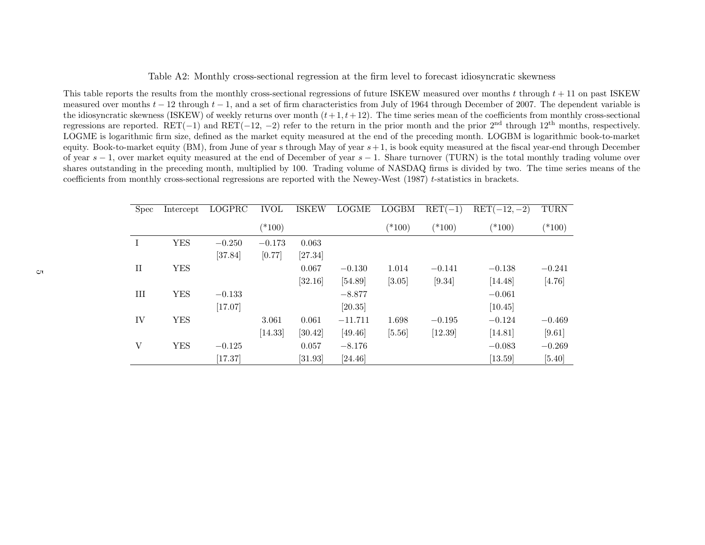# Table A2: Monthly cross-sectional regression at the firm level to forecast idiosyncratic skewness

This table reports the results from the monthly cross-sectional regressions of future ISKEW measured over months t through  $t + 11$  on past ISKEW measured over months  $t - 12$  through  $t - 1$ , and a set of firm characteristics from July of 1964 through December of 2007. The dependent variable is the idiosyncratic skewness (ISKEW) of weekly returns over month  $(t+1,t+12)$ . The time series mean of the coefficients from monthly cross-sectional regressions are reported. RET(−1) and RET(−12, −2) refer to the return in the prior month and the prior 2<sup>nd</sup> through 12<sup>th</sup> months, respectively. LOGME is logarithmic firm size, defined as the market equity measured at the end of the preceding month. LOGBM is logarithmic book-to-marketequity. Book-to-market equity (BM), from June of year s through May of year  $s+1$ , is book equity measured at the fiscal year-end through December of year  $s - 1$ , over market equity measured at the end of December of year  $s - 1$ . Share turnover (TURN) is the total monthly trading volume over shares outstanding in the preceding month, multiplied by 100. Trading volume of NASDAQ firms is divided by two. The time series means of thecoefficients from monthly cross-sectional regressions are reported with the Newey-West (1987) <sup>t</sup>-statistics in brackets.

| <b>Spec</b>  | Intercept  | LOGPRC   | <b>IVOL</b> | <b>ISKEW</b> | <b>LOGME</b> | <b>LOGBM</b> | $RET(-1)$ | $RET(-12,-2)$ | <b>TURN</b> |
|--------------|------------|----------|-------------|--------------|--------------|--------------|-----------|---------------|-------------|
|              |            |          | $(*100)$    |              |              | $(*100)$     | $(*100)$  | $(*100)$      | $(*100)$    |
| Ι            | <b>YES</b> | $-0.250$ | $-0.173$    | 0.063        |              |              |           |               |             |
|              |            | [37.84]  | [0.77]      | [27.34]      |              |              |           |               |             |
| $\rm II$     | <b>YES</b> |          |             | 0.067        | $-0.130$     | 1.014        | $-0.141$  | $-0.138$      | $-0.241$    |
|              |            |          |             | [32.16]      | [54.89]      | [3.05]       | [9.34]    | [14.48]       | [4.76]      |
| III          | <b>YES</b> | $-0.133$ |             |              | $-8.877$     |              |           | $-0.061$      |             |
|              |            | [17.07]  |             |              | [20.35]      |              |           | [10.45]       |             |
| IV           | <b>YES</b> |          | 3.061       | 0.061        | $-11.711$    | 1.698        | $-0.195$  | $-0.124$      | $-0.469$    |
|              |            |          | [14.33]     | [30.42]      | [49.46]      | [5.56]       | [12.39]   | [14.81]       | [9.61]      |
| $\mathbf{V}$ | <b>YES</b> | $-0.125$ |             | 0.057        | $-8.176$     |              |           | $-0.083$      | $-0.269$    |
|              |            | [17.37]  |             | [31.93]      | [24.46]      |              |           | [13.59]       | $[5.40]$    |